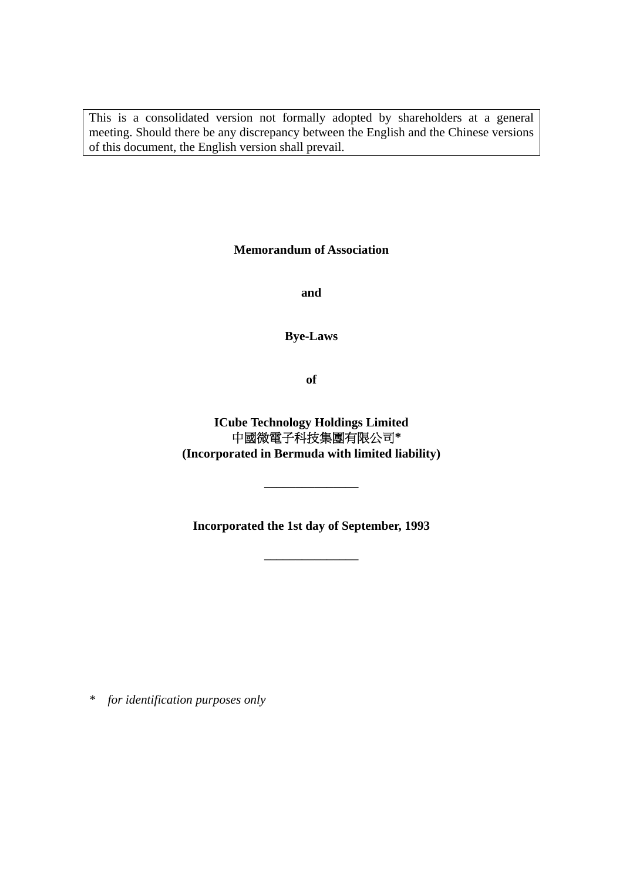This is a consolidated version not formally adopted by shareholders at a general meeting. Should there be any discrepancy between the English and the Chinese versions of this document, the English version shall prevail.

**Memorandum of Association** 

**and** 

**Bye-Laws** 

**of** 

**ICube Technology Holdings Limited**  中國微電子科技集團有限公司**\* (Incorporated in Bermuda with limited liability)** 

**Incorporated the 1st day of September, 1993** 

**\_\_\_\_\_\_\_\_\_\_\_\_\_\_\_** 

**\_\_\_\_\_\_\_\_\_\_\_\_\_\_\_** 

*\* for identification purposes only*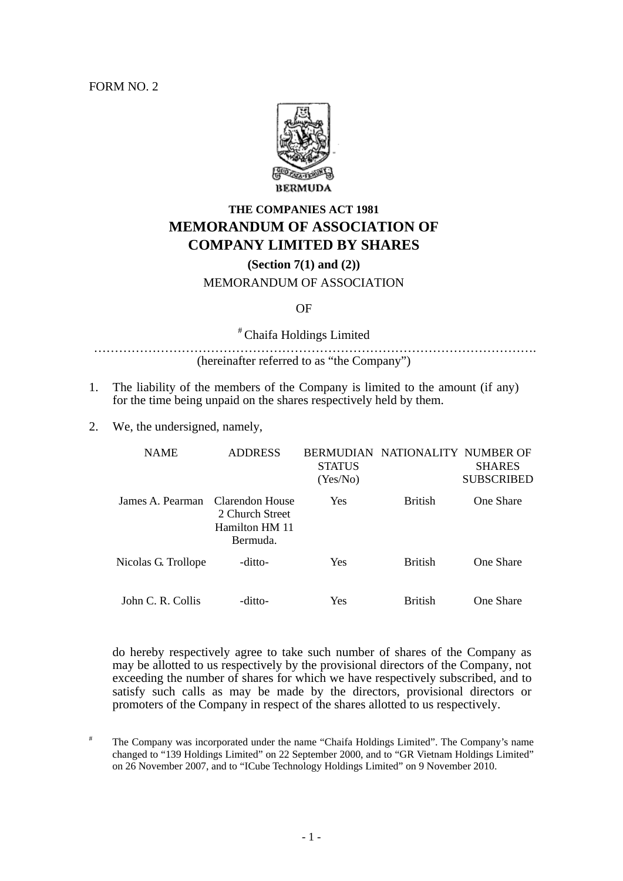FORM NO. 2



# **THE COMPANIES ACT 1981 MEMORANDUM OF ASSOCIATION OF COMPANY LIMITED BY SHARES**

**(Section 7(1) and (2))** 

#### MEMORANDUM OF ASSOCIATION

#### OF

# Chaifa Holdings Limited

……………………………………………………………………………………………. (hereinafter referred to as "the Company")

- 1. The liability of the members of the Company is limited to the amount (if any) for the time being unpaid on the shares respectively held by them.
- 2. We, the undersigned, namely,

| <b>NAME</b>         | <b>ADDRESS</b>                                                   | <b>STATUS</b><br>(Yes/No) | BERMUDIAN NATIONALITY NUMBER OF | <b>SHARES</b><br><b>SUBSCRIBED</b> |  |
|---------------------|------------------------------------------------------------------|---------------------------|---------------------------------|------------------------------------|--|
| James A. Pearman    | Clarendon House<br>2 Church Street<br>Hamilton HM 11<br>Bermuda. | Yes                       | <b>British</b>                  | <b>One Share</b>                   |  |
| Nicolas G. Trollope | -ditto-                                                          | Yes                       | <b>British</b>                  | <b>One Share</b>                   |  |
| John C. R. Collis   | -ditto-                                                          | Yes                       | <b>British</b>                  | <b>One Share</b>                   |  |

do hereby respectively agree to take such number of shares of the Company as may be allotted to us respectively by the provisional directors of the Company, not exceeding the number of shares for which we have respectively subscribed, and to satisfy such calls as may be made by the directors, provisional directors or promoters of the Company in respect of the shares allotted to us respectively.

<sup>#</sup> The Company was incorporated under the name "Chaifa Holdings Limited". The Company's name changed to "139 Holdings Limited" on 22 September 2000, and to "GR Vietnam Holdings Limited" on 26 November 2007, and to "ICube Technology Holdings Limited" on 9 November 2010.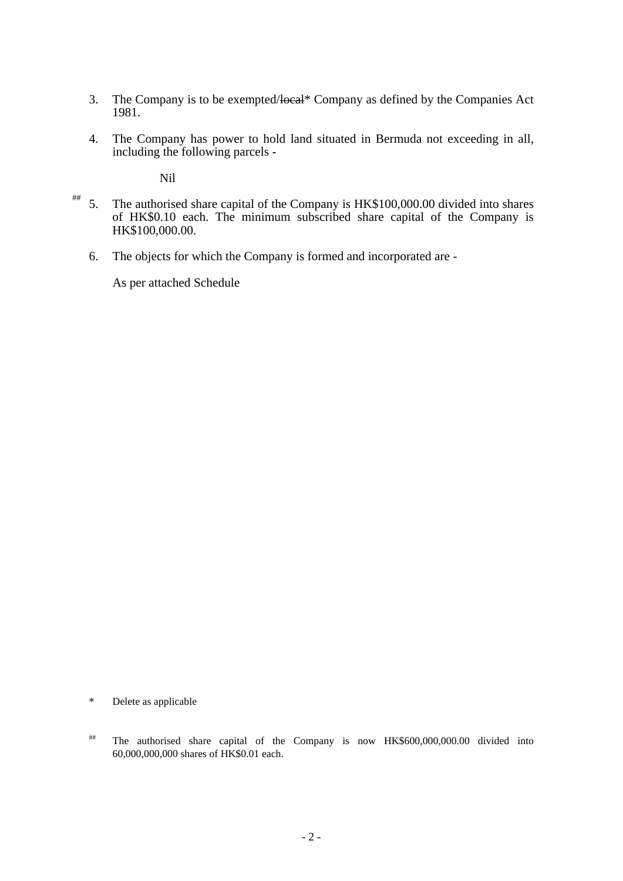- 3. The Company is to be exempted/local\* Company as defined by the Companies Act 1981.
- 4. The Company has power to hold land situated in Bermuda not exceeding in all, including the following parcels -

Nil

- 5. The authorised share capital of the Company is HK\$100,000.00 divided into shares of HK\$0.10 each. The minimum subscribed share capital of the Company is HK\$100,000.00. ##
	- 6. The objects for which the Company is formed and incorporated are -

As per attached Schedule

\* Delete as applicable

## The authorised share capital of the Company is now HK\$600,000,000.00 divided into 60,000,000,000 shares of HK\$0.01 each.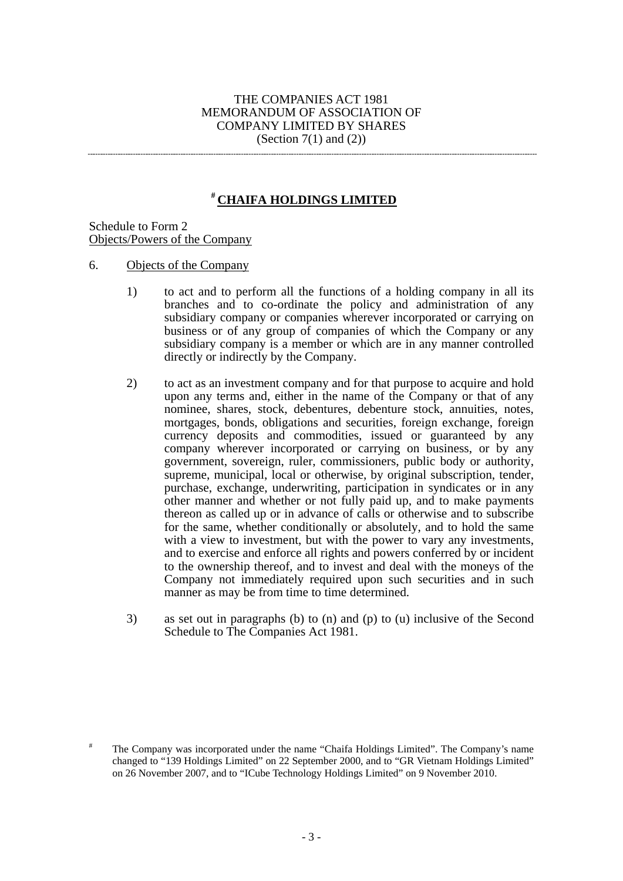### THE COMPANIES ACT 1981 MEMORANDUM OF ASSOCIATION OF COMPANY LIMITED BY SHARES (Section  $7(1)$  and  $(2)$ )

## **# CHAIFA HOLDINGS LIMITED**

Schedule to Form 2 Objects/Powers of the Company

- 6. Objects of the Company
	- 1) to act and to perform all the functions of a holding company in all its branches and to co-ordinate the policy and administration of any subsidiary company or companies wherever incorporated or carrying on business or of any group of companies of which the Company or any subsidiary company is a member or which are in any manner controlled directly or indirectly by the Company.
	- 2) to act as an investment company and for that purpose to acquire and hold upon any terms and, either in the name of the Company or that of any nominee, shares, stock, debentures, debenture stock, annuities, notes, mortgages, bonds, obligations and securities, foreign exchange, foreign currency deposits and commodities, issued or guaranteed by any company wherever incorporated or carrying on business, or by any government, sovereign, ruler, commissioners, public body or authority, supreme, municipal, local or otherwise, by original subscription, tender, purchase, exchange, underwriting, participation in syndicates or in any other manner and whether or not fully paid up, and to make payments thereon as called up or in advance of calls or otherwise and to subscribe for the same, whether conditionally or absolutely, and to hold the same with a view to investment, but with the power to vary any investments, and to exercise and enforce all rights and powers conferred by or incident to the ownership thereof, and to invest and deal with the moneys of the Company not immediately required upon such securities and in such manner as may be from time to time determined.
	- 3) as set out in paragraphs (b) to (n) and (p) to (u) inclusive of the Second Schedule to The Companies Act 1981.

<sup>#</sup> The Company was incorporated under the name "Chaifa Holdings Limited". The Company's name changed to "139 Holdings Limited" on 22 September 2000, and to "GR Vietnam Holdings Limited" on 26 November 2007, and to "ICube Technology Holdings Limited" on 9 November 2010.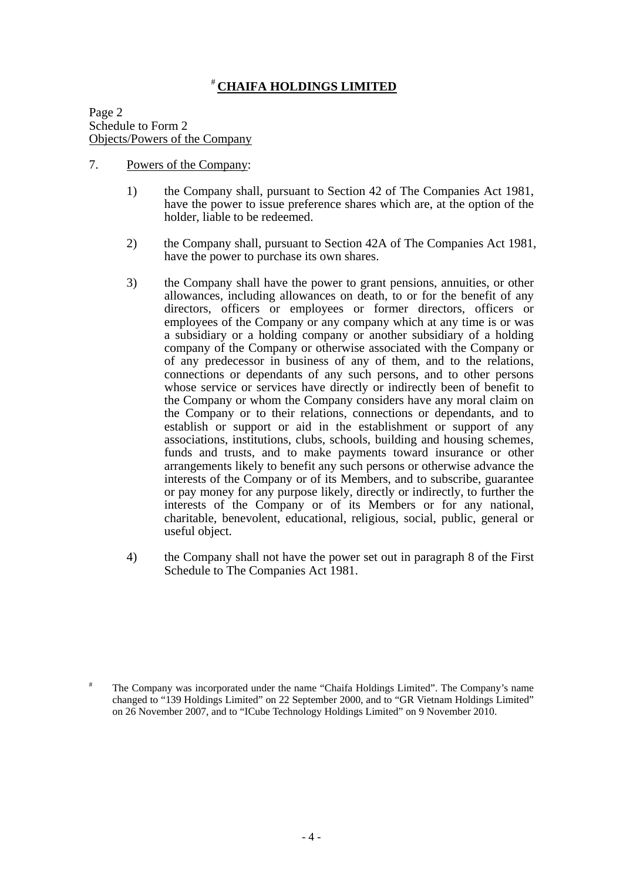## # **CHAIFA HOLDINGS LIMITED**

Page 2 Schedule to Form 2 Objects/Powers of the Company

- 7. Powers of the Company:
	- 1) the Company shall, pursuant to Section 42 of The Companies Act 1981, have the power to issue preference shares which are, at the option of the holder, liable to be redeemed.
	- 2) the Company shall, pursuant to Section 42A of The Companies Act 1981, have the power to purchase its own shares.
	- 3) the Company shall have the power to grant pensions, annuities, or other allowances, including allowances on death, to or for the benefit of any directors, officers or employees or former directors, officers or employees of the Company or any company which at any time is or was a subsidiary or a holding company or another subsidiary of a holding company of the Company or otherwise associated with the Company or of any predecessor in business of any of them, and to the relations, connections or dependants of any such persons, and to other persons whose service or services have directly or indirectly been of benefit to the Company or whom the Company considers have any moral claim on the Company or to their relations, connections or dependants, and to establish or support or aid in the establishment or support of any associations, institutions, clubs, schools, building and housing schemes, funds and trusts, and to make payments toward insurance or other arrangements likely to benefit any such persons or otherwise advance the interests of the Company or of its Members, and to subscribe, guarantee or pay money for any purpose likely, directly or indirectly, to further the interests of the Company or of its Members or for any national, charitable, benevolent, educational, religious, social, public, general or useful object.
	- 4) the Company shall not have the power set out in paragraph 8 of the First Schedule to The Companies Act 1981.

<sup>#</sup> The Company was incorporated under the name "Chaifa Holdings Limited". The Company's name changed to "139 Holdings Limited" on 22 September 2000, and to "GR Vietnam Holdings Limited" on 26 November 2007, and to "ICube Technology Holdings Limited" on 9 November 2010.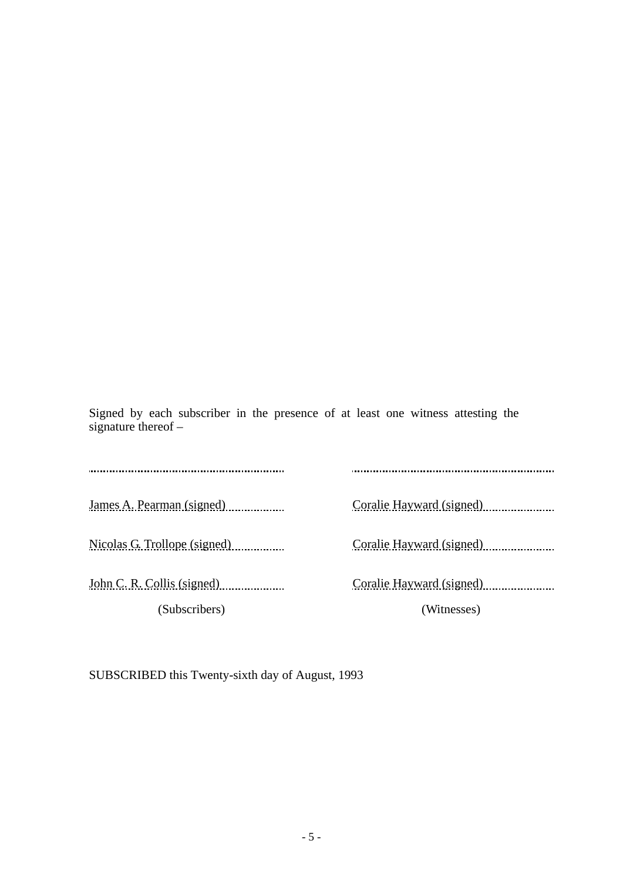Signed by each subscriber in the presence of at least one witness attesting the signature thereof –

James A. Pearman (signed) Coralie Hayward (signed) Coralie Hayward (signed) Nicolas G. Trollope (signed) Coralie Hayward (signed) Coralie Hayward (signed) John C. R. Collis (signed) Coralie Hayward (signed) Coralie Hayward (signed) (Subscribers) (Witnesses)

SUBSCRIBED this Twenty-sixth day of August, 1993

l.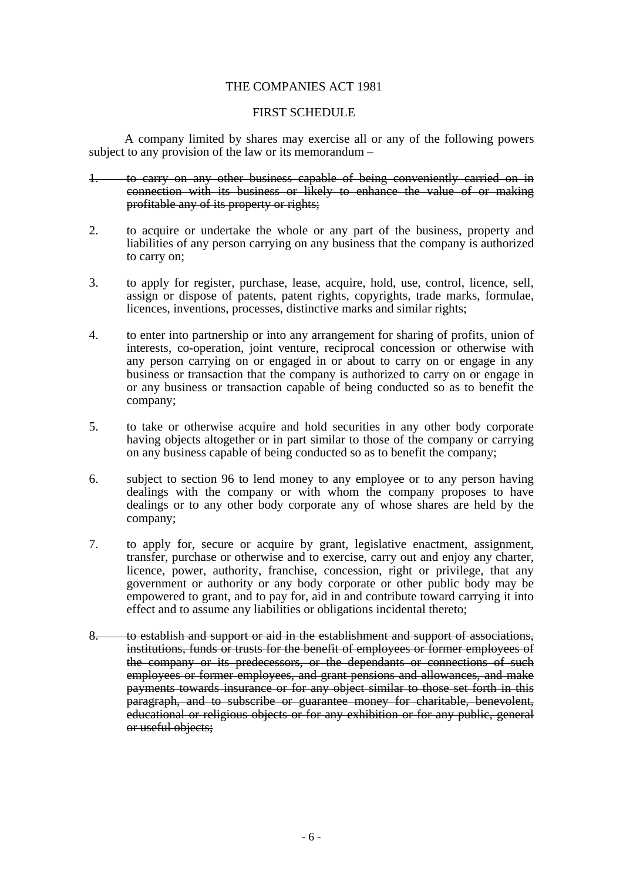## THE COMPANIES ACT 1981

### FIRST SCHEDULE

A company limited by shares may exercise all or any of the following powers subject to any provision of the law or its memorandum –

- 1. to carry on any other business capable of being conveniently carried on in connection with its business or likely to enhance the value of or making profitable any of its property or rights;
- 2. to acquire or undertake the whole or any part of the business, property and liabilities of any person carrying on any business that the company is authorized to carry on;
- 3. to apply for register, purchase, lease, acquire, hold, use, control, licence, sell, assign or dispose of patents, patent rights, copyrights, trade marks, formulae, licences, inventions, processes, distinctive marks and similar rights;
- 4. to enter into partnership or into any arrangement for sharing of profits, union of interests, co-operation, joint venture, reciprocal concession or otherwise with any person carrying on or engaged in or about to carry on or engage in any business or transaction that the company is authorized to carry on or engage in or any business or transaction capable of being conducted so as to benefit the company;
- 5. to take or otherwise acquire and hold securities in any other body corporate having objects altogether or in part similar to those of the company or carrying on any business capable of being conducted so as to benefit the company;
- 6. subject to section 96 to lend money to any employee or to any person having dealings with the company or with whom the company proposes to have dealings or to any other body corporate any of whose shares are held by the company;
- 7. to apply for, secure or acquire by grant, legislative enactment, assignment, transfer, purchase or otherwise and to exercise, carry out and enjoy any charter, licence, power, authority, franchise, concession, right or privilege, that any government or authority or any body corporate or other public body may be empowered to grant, and to pay for, aid in and contribute toward carrying it into effect and to assume any liabilities or obligations incidental thereto;
- 8. to establish and support or aid in the establishment and support of associations, institutions, funds or trusts for the benefit of employees or former employees of the company or its predecessors, or the dependants or connections of such employees or former employees, and grant pensions and allowances, and make payments towards insurance or for any object similar to those set forth in this paragraph, and to subscribe or guarantee money for charitable, benevolent, educational or religious objects or for any exhibition or for any public, general or useful objects: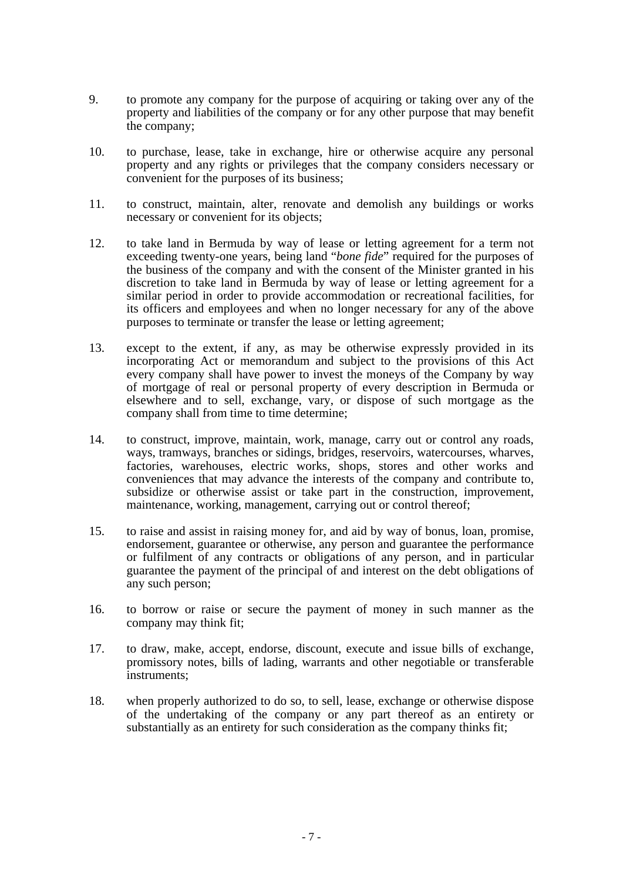- 9. to promote any company for the purpose of acquiring or taking over any of the property and liabilities of the company or for any other purpose that may benefit the company;
- 10. to purchase, lease, take in exchange, hire or otherwise acquire any personal property and any rights or privileges that the company considers necessary or convenient for the purposes of its business;
- 11. to construct, maintain, alter, renovate and demolish any buildings or works necessary or convenient for its objects;
- 12. to take land in Bermuda by way of lease or letting agreement for a term not exceeding twenty-one years, being land "*bone fide*" required for the purposes of the business of the company and with the consent of the Minister granted in his discretion to take land in Bermuda by way of lease or letting agreement for a similar period in order to provide accommodation or recreational facilities, for its officers and employees and when no longer necessary for any of the above purposes to terminate or transfer the lease or letting agreement;
- 13. except to the extent, if any, as may be otherwise expressly provided in its incorporating Act or memorandum and subject to the provisions of this Act every company shall have power to invest the moneys of the Company by way of mortgage of real or personal property of every description in Bermuda or elsewhere and to sell, exchange, vary, or dispose of such mortgage as the company shall from time to time determine;
- 14. to construct, improve, maintain, work, manage, carry out or control any roads, ways, tramways, branches or sidings, bridges, reservoirs, watercourses, wharves, factories, warehouses, electric works, shops, stores and other works and conveniences that may advance the interests of the company and contribute to, subsidize or otherwise assist or take part in the construction, improvement, maintenance, working, management, carrying out or control thereof;
- 15. to raise and assist in raising money for, and aid by way of bonus, loan, promise, endorsement, guarantee or otherwise, any person and guarantee the performance or fulfilment of any contracts or obligations of any person, and in particular guarantee the payment of the principal of and interest on the debt obligations of any such person;
- 16. to borrow or raise or secure the payment of money in such manner as the company may think fit;
- 17. to draw, make, accept, endorse, discount, execute and issue bills of exchange, promissory notes, bills of lading, warrants and other negotiable or transferable instruments;
- 18. when properly authorized to do so, to sell, lease, exchange or otherwise dispose of the undertaking of the company or any part thereof as an entirety or substantially as an entirety for such consideration as the company thinks fit;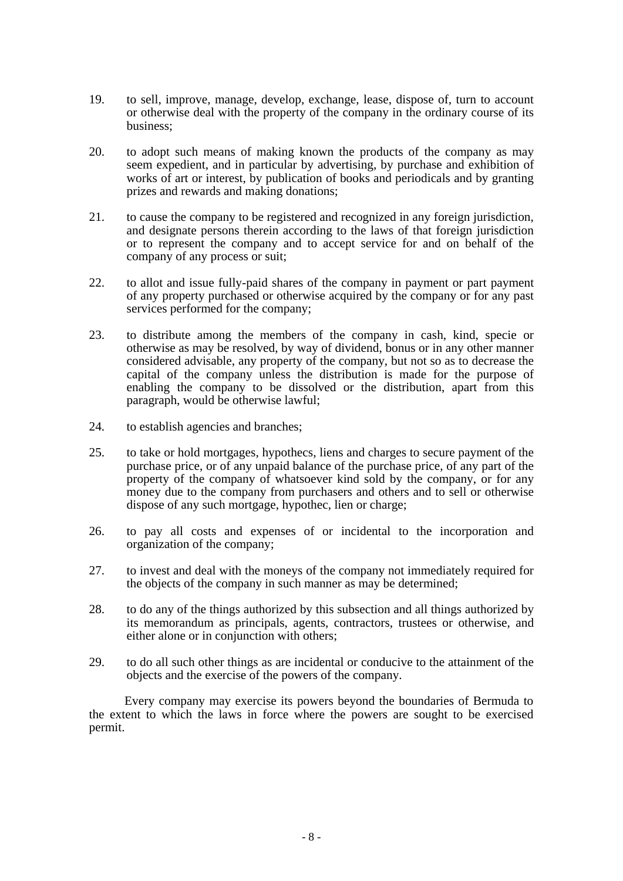- 19. to sell, improve, manage, develop, exchange, lease, dispose of, turn to account or otherwise deal with the property of the company in the ordinary course of its business;
- 20. to adopt such means of making known the products of the company as may seem expedient, and in particular by advertising, by purchase and exhibition of works of art or interest, by publication of books and periodicals and by granting prizes and rewards and making donations;
- 21. to cause the company to be registered and recognized in any foreign jurisdiction, and designate persons therein according to the laws of that foreign jurisdiction or to represent the company and to accept service for and on behalf of the company of any process or suit;
- 22. to allot and issue fully-paid shares of the company in payment or part payment of any property purchased or otherwise acquired by the company or for any past services performed for the company;
- 23. to distribute among the members of the company in cash, kind, specie or otherwise as may be resolved, by way of dividend, bonus or in any other manner considered advisable, any property of the company, but not so as to decrease the capital of the company unless the distribution is made for the purpose of enabling the company to be dissolved or the distribution, apart from this paragraph, would be otherwise lawful;
- 24. to establish agencies and branches;
- 25. to take or hold mortgages, hypothecs, liens and charges to secure payment of the purchase price, or of any unpaid balance of the purchase price, of any part of the property of the company of whatsoever kind sold by the company, or for any money due to the company from purchasers and others and to sell or otherwise dispose of any such mortgage, hypothec, lien or charge;
- 26. to pay all costs and expenses of or incidental to the incorporation and organization of the company;
- 27. to invest and deal with the moneys of the company not immediately required for the objects of the company in such manner as may be determined;
- 28. to do any of the things authorized by this subsection and all things authorized by its memorandum as principals, agents, contractors, trustees or otherwise, and either alone or in conjunction with others;
- 29. to do all such other things as are incidental or conducive to the attainment of the objects and the exercise of the powers of the company.

Every company may exercise its powers beyond the boundaries of Bermuda to the extent to which the laws in force where the powers are sought to be exercised permit.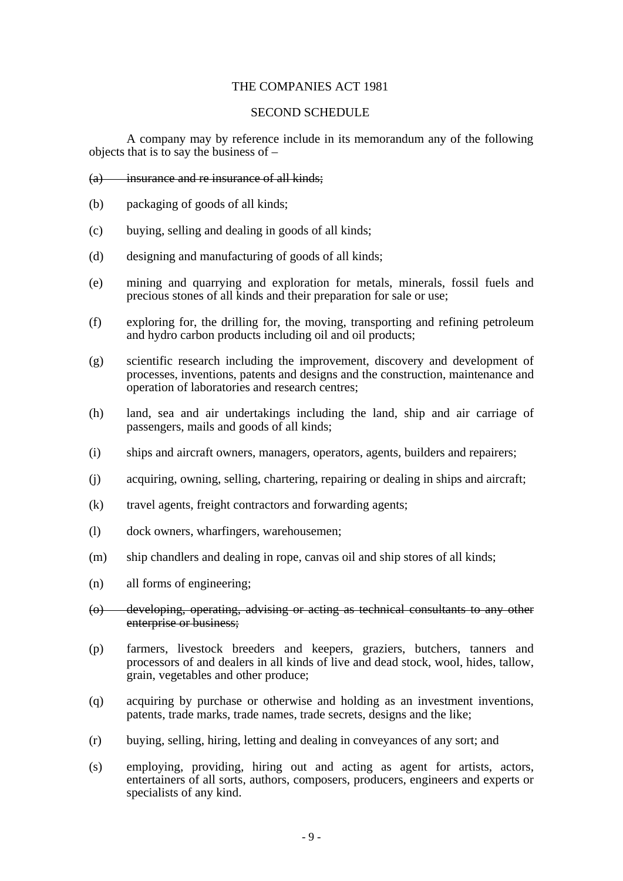## THE COMPANIES ACT 1981

### SECOND SCHEDULE

A company may by reference include in its memorandum any of the following objects that is to say the business of –

#### (a) insurance and re insurance of all kinds;

- (b) packaging of goods of all kinds;
- (c) buying, selling and dealing in goods of all kinds;
- (d) designing and manufacturing of goods of all kinds;
- (e) mining and quarrying and exploration for metals, minerals, fossil fuels and precious stones of all kinds and their preparation for sale or use;
- (f) exploring for, the drilling for, the moving, transporting and refining petroleum and hydro carbon products including oil and oil products;
- (g) scientific research including the improvement, discovery and development of processes, inventions, patents and designs and the construction, maintenance and operation of laboratories and research centres;
- (h) land, sea and air undertakings including the land, ship and air carriage of passengers, mails and goods of all kinds;
- (i) ships and aircraft owners, managers, operators, agents, builders and repairers;
- (j) acquiring, owning, selling, chartering, repairing or dealing in ships and aircraft;
- (k) travel agents, freight contractors and forwarding agents;
- (l) dock owners, wharfingers, warehousemen;
- (m) ship chandlers and dealing in rope, canvas oil and ship stores of all kinds;
- (n) all forms of engineering;
- (o) developing, operating, advising or acting as technical consultants to any other enterprise or business;
- (p) farmers, livestock breeders and keepers, graziers, butchers, tanners and processors of and dealers in all kinds of live and dead stock, wool, hides, tallow, grain, vegetables and other produce;
- (q) acquiring by purchase or otherwise and holding as an investment inventions, patents, trade marks, trade names, trade secrets, designs and the like;
- (r) buying, selling, hiring, letting and dealing in conveyances of any sort; and
- (s) employing, providing, hiring out and acting as agent for artists, actors, entertainers of all sorts, authors, composers, producers, engineers and experts or specialists of any kind.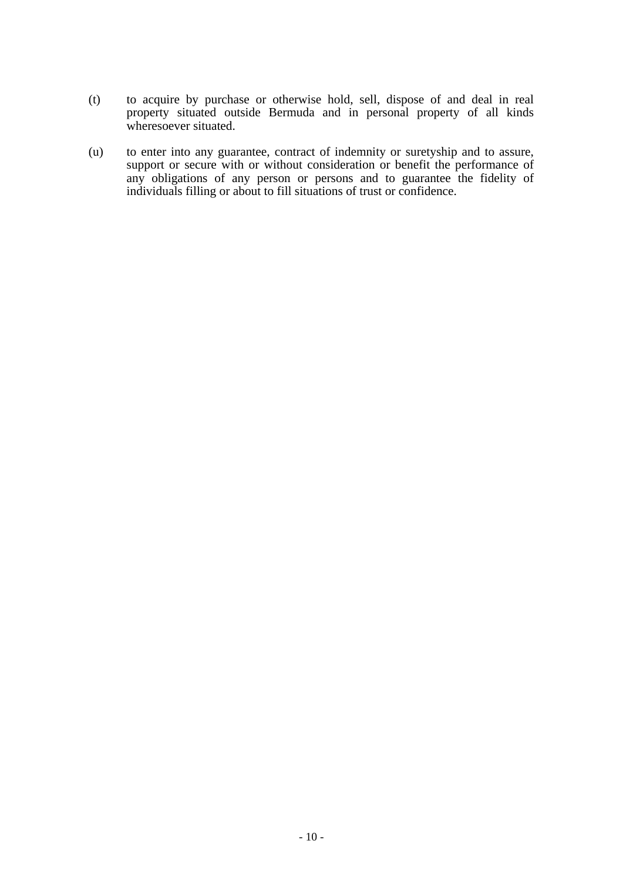- (t) to acquire by purchase or otherwise hold, sell, dispose of and deal in real property situated outside Bermuda and in personal property of all kinds wheresoever situated.
- (u) to enter into any guarantee, contract of indemnity or suretyship and to assure, support or secure with or without consideration or benefit the performance of any obligations of any person or persons and to guarantee the fidelity of individuals filling or about to fill situations of trust or confidence.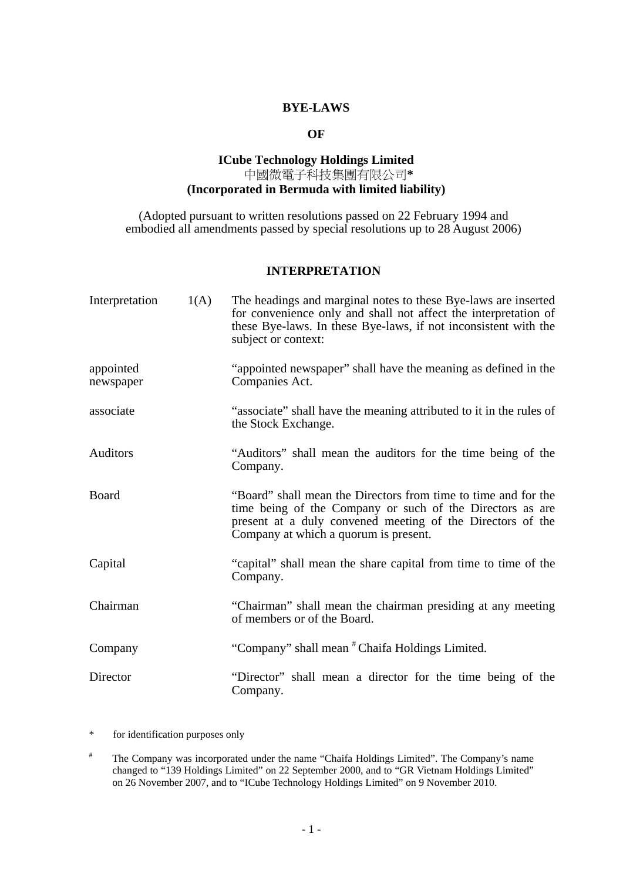## **BYE-LAWS**

## **OF**

## **ICube Technology Holdings Limited**  中國微電子科技集團有限公司**\* (Incorporated in Bermuda with limited liability)**

(Adopted pursuant to written resolutions passed on 22 February 1994 and embodied all amendments passed by special resolutions up to 28 August 2006)

## **INTERPRETATION**

| Interpretation         | 1(A) | The headings and marginal notes to these Bye-laws are inserted<br>for convenience only and shall not affect the interpretation of<br>these Bye-laws. In these Bye-laws, if not inconsistent with the<br>subject or context:        |
|------------------------|------|------------------------------------------------------------------------------------------------------------------------------------------------------------------------------------------------------------------------------------|
| appointed<br>newspaper |      | "appointed newspaper" shall have the meaning as defined in the<br>Companies Act.                                                                                                                                                   |
| associate              |      | "associate" shall have the meaning attributed to it in the rules of<br>the Stock Exchange.                                                                                                                                         |
| Auditors               |      | "Auditors" shall mean the auditors for the time being of the<br>Company.                                                                                                                                                           |
| <b>Board</b>           |      | "Board" shall mean the Directors from time to time and for the<br>time being of the Company or such of the Directors as are<br>present at a duly convened meeting of the Directors of the<br>Company at which a quorum is present. |
| Capital                |      | "capital" shall mean the share capital from time to time of the<br>Company.                                                                                                                                                        |
| Chairman               |      | "Chairman" shall mean the chairman presiding at any meeting<br>of members or of the Board.                                                                                                                                         |
| Company                |      | "Company" shall mean "Chaifa Holdings Limited.                                                                                                                                                                                     |
| Director               |      | "Director" shall mean a director for the time being of the<br>Company.                                                                                                                                                             |

\* for identification purposes only

<sup>#</sup> The Company was incorporated under the name "Chaifa Holdings Limited". The Company's name changed to "139 Holdings Limited" on 22 September 2000, and to "GR Vietnam Holdings Limited" on 26 November 2007, and to "ICube Technology Holdings Limited" on 9 November 2010.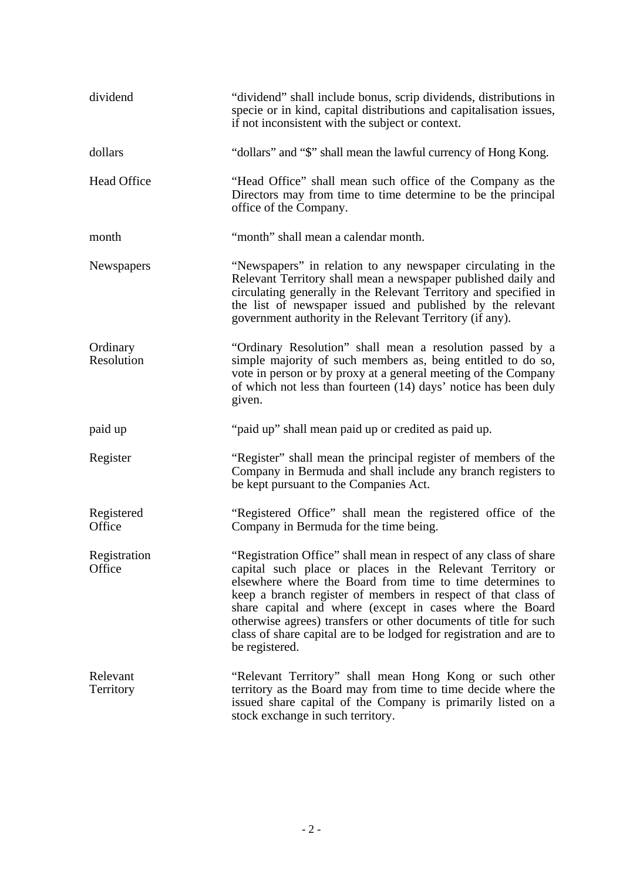| dividend               | "dividend" shall include bonus, scrip dividends, distributions in<br>specie or in kind, capital distributions and capitalisation issues,<br>if not inconsistent with the subject or context.                                                                                                                                                                                                                                                                                          |
|------------------------|---------------------------------------------------------------------------------------------------------------------------------------------------------------------------------------------------------------------------------------------------------------------------------------------------------------------------------------------------------------------------------------------------------------------------------------------------------------------------------------|
| dollars                | "dollars" and "\$" shall mean the lawful currency of Hong Kong.                                                                                                                                                                                                                                                                                                                                                                                                                       |
| Head Office            | "Head Office" shall mean such office of the Company as the<br>Directors may from time to time determine to be the principal<br>office of the Company.                                                                                                                                                                                                                                                                                                                                 |
| month                  | "month" shall mean a calendar month.                                                                                                                                                                                                                                                                                                                                                                                                                                                  |
| Newspapers             | "Newspapers" in relation to any newspaper circulating in the<br>Relevant Territory shall mean a newspaper published daily and<br>circulating generally in the Relevant Territory and specified in<br>the list of newspaper issued and published by the relevant<br>government authority in the Relevant Territory (if any).                                                                                                                                                           |
| Ordinary<br>Resolution | "Ordinary Resolution" shall mean a resolution passed by a<br>simple majority of such members as, being entitled to do so,<br>vote in person or by proxy at a general meeting of the Company<br>of which not less than fourteen (14) days' notice has been duly<br>given.                                                                                                                                                                                                              |
| paid up                | "paid up" shall mean paid up or credited as paid up.                                                                                                                                                                                                                                                                                                                                                                                                                                  |
| Register               | "Register" shall mean the principal register of members of the<br>Company in Bermuda and shall include any branch registers to<br>be kept pursuant to the Companies Act.                                                                                                                                                                                                                                                                                                              |
| Registered<br>Office   | "Registered Office" shall mean the registered office of the<br>Company in Bermuda for the time being.                                                                                                                                                                                                                                                                                                                                                                                 |
| Registration<br>Office | "Registration Office" shall mean in respect of any class of share<br>capital such place or places in the Relevant Territory or<br>elsewhere where the Board from time to time determines to<br>keep a branch register of members in respect of that class of<br>share capital and where (except in cases where the Board<br>otherwise agrees) transfers or other documents of title for such<br>class of share capital are to be lodged for registration and are to<br>be registered. |
| Relevant<br>Territory  | "Relevant Territory" shall mean Hong Kong or such other<br>territory as the Board may from time to time decide where the<br>issued share capital of the Company is primarily listed on a<br>stock exchange in such territory.                                                                                                                                                                                                                                                         |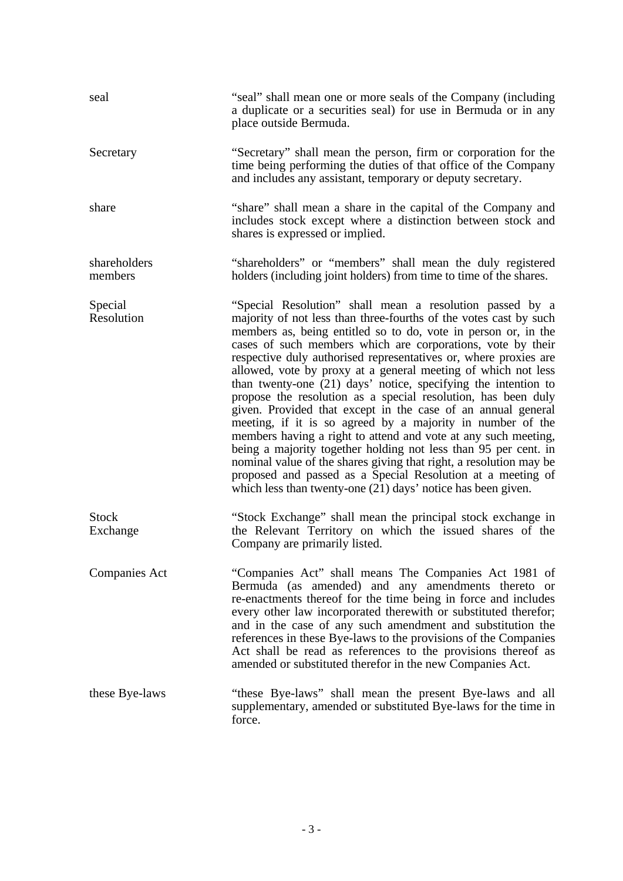| seal                     | "seal" shall mean one or more seals of the Company (including<br>a duplicate or a securities seal) for use in Bermuda or in any<br>place outside Bermuda.                                                                                                                                                                                                                                                                                                                                                                                                                                                                                                                                                                                                                                                                                                                                                                                                                                                      |
|--------------------------|----------------------------------------------------------------------------------------------------------------------------------------------------------------------------------------------------------------------------------------------------------------------------------------------------------------------------------------------------------------------------------------------------------------------------------------------------------------------------------------------------------------------------------------------------------------------------------------------------------------------------------------------------------------------------------------------------------------------------------------------------------------------------------------------------------------------------------------------------------------------------------------------------------------------------------------------------------------------------------------------------------------|
| Secretary                | "Secretary" shall mean the person, firm or corporation for the<br>time being performing the duties of that office of the Company<br>and includes any assistant, temporary or deputy secretary.                                                                                                                                                                                                                                                                                                                                                                                                                                                                                                                                                                                                                                                                                                                                                                                                                 |
| share                    | "share" shall mean a share in the capital of the Company and<br>includes stock except where a distinction between stock and<br>shares is expressed or implied.                                                                                                                                                                                                                                                                                                                                                                                                                                                                                                                                                                                                                                                                                                                                                                                                                                                 |
| shareholders<br>members  | "shareholders" or "members" shall mean the duly registered<br>holders (including joint holders) from time to time of the shares.                                                                                                                                                                                                                                                                                                                                                                                                                                                                                                                                                                                                                                                                                                                                                                                                                                                                               |
| Special<br>Resolution    | "Special Resolution" shall mean a resolution passed by a<br>majority of not less than three-fourths of the votes cast by such<br>members as, being entitled so to do, vote in person or, in the<br>cases of such members which are corporations, vote by their<br>respective duly authorised representatives or, where proxies are<br>allowed, vote by proxy at a general meeting of which not less<br>than twenty-one (21) days' notice, specifying the intention to<br>propose the resolution as a special resolution, has been duly<br>given. Provided that except in the case of an annual general<br>meeting, if it is so agreed by a majority in number of the<br>members having a right to attend and vote at any such meeting,<br>being a majority together holding not less than 95 per cent. in<br>nominal value of the shares giving that right, a resolution may be<br>proposed and passed as a Special Resolution at a meeting of<br>which less than twenty-one (21) days' notice has been given. |
| <b>Stock</b><br>Exchange | "Stock Exchange" shall mean the principal stock exchange in<br>the Relevant Territory on which the issued shares of the<br>Company are primarily listed.                                                                                                                                                                                                                                                                                                                                                                                                                                                                                                                                                                                                                                                                                                                                                                                                                                                       |
| <b>Companies Act</b>     | "Companies Act" shall means The Companies Act 1981 of<br>Bermuda (as amended) and any amendments thereto or<br>re-enactments thereof for the time being in force and includes<br>every other law incorporated therewith or substituted therefor;<br>and in the case of any such amendment and substitution the<br>references in these Bye-laws to the provisions of the Companies<br>Act shall be read as references to the provisions thereof as<br>amended or substituted therefor in the new Companies Act.                                                                                                                                                                                                                                                                                                                                                                                                                                                                                                 |
| these Bye-laws           | "these Bye-laws" shall mean the present Bye-laws and all<br>supplementary, amended or substituted Bye-laws for the time in<br>force.                                                                                                                                                                                                                                                                                                                                                                                                                                                                                                                                                                                                                                                                                                                                                                                                                                                                           |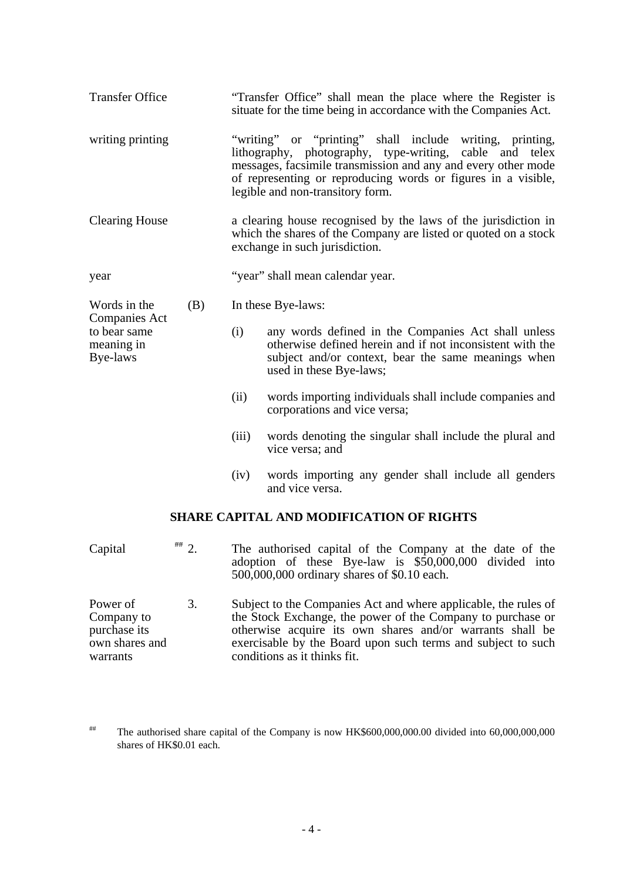| <b>Transfer Office</b>                      |       | "Transfer Office" shall mean the place where the Register is<br>situate for the time being in accordance with the Companies Act.                                                                                                                                                             |
|---------------------------------------------|-------|----------------------------------------------------------------------------------------------------------------------------------------------------------------------------------------------------------------------------------------------------------------------------------------------|
| writing printing                            |       | "writing" or "printing" shall include writing, printing,<br>lithography, photography, type-writing,<br>cable and telex<br>messages, facsimile transmission and any and every other mode<br>of representing or reproducing words or figures in a visible,<br>legible and non-transitory form. |
| <b>Clearing House</b>                       |       | a clearing house recognised by the laws of the jurisdiction in<br>which the shares of the Company are listed or quoted on a stock<br>exchange in such jurisdiction.                                                                                                                          |
| year                                        |       | "year" shall mean calendar year.                                                                                                                                                                                                                                                             |
| Words in the<br>(B)<br><b>Companies Act</b> |       | In these Bye-laws:                                                                                                                                                                                                                                                                           |
| to bear same<br>meaning in<br>Bye-laws      | (i)   | any words defined in the Companies Act shall unless<br>otherwise defined herein and if not inconsistent with the<br>subject and/or context, bear the same meanings when<br>used in these Bye-laws;                                                                                           |
|                                             | (ii)  | words importing individuals shall include companies and<br>corporations and vice versa;                                                                                                                                                                                                      |
|                                             | (iii) | words denoting the singular shall include the plural and<br>vice versa; and                                                                                                                                                                                                                  |
|                                             | (iv)  | words importing any gender shall include all genders<br>and vice versa.                                                                                                                                                                                                                      |
|                                             |       | <b>SHARE CAPITAL AND MODIFICATION OF RIGHTS</b>                                                                                                                                                                                                                                              |
| $*** 2.$<br>Capital                         |       | The authorised capital of the Company at the date of the<br>adoption of these Bye-law is \$50,000,000 divided into                                                                                                                                                                           |

Power of Company to purchase its own shares and warrants 3. Subject to the Companies Act and where applicable, the rules of the Stock Exchange, the power of the Company to purchase or otherwise acquire its own shares and/or warrants shall be exercisable by the Board upon such terms and subject to such conditions as it thinks fit.

500,000,000 ordinary shares of \$0.10 each.

<sup>##</sup> The authorised share capital of the Company is now HK\$600,000,000.00 divided into 60,000,000,000 shares of HK\$0.01 each.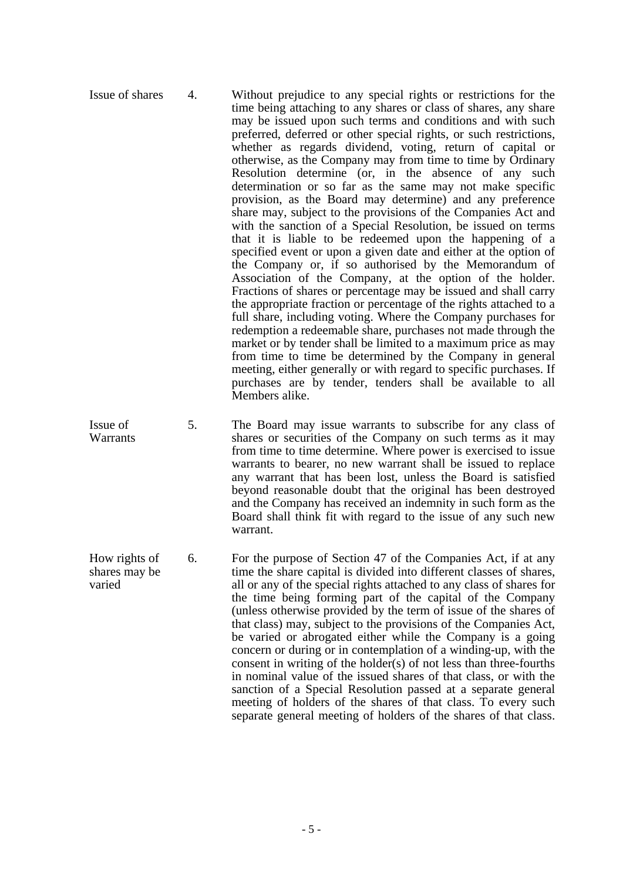- Issue of shares 4. Without prejudice to any special rights or restrictions for the time being attaching to any shares or class of shares, any share may be issued upon such terms and conditions and with such preferred, deferred or other special rights, or such restrictions, whether as regards dividend, voting, return of capital or otherwise, as the Company may from time to time by Ordinary Resolution determine (or, in the absence of any such determination or so far as the same may not make specific provision, as the Board may determine) and any preference share may, subject to the provisions of the Companies Act and with the sanction of a Special Resolution, be issued on terms that it is liable to be redeemed upon the happening of a specified event or upon a given date and either at the option of the Company or, if so authorised by the Memorandum of Association of the Company, at the option of the holder. Fractions of shares or percentage may be issued and shall carry the appropriate fraction or percentage of the rights attached to a full share, including voting. Where the Company purchases for redemption a redeemable share, purchases not made through the market or by tender shall be limited to a maximum price as may from time to time be determined by the Company in general meeting, either generally or with regard to specific purchases. If purchases are by tender, tenders shall be available to all Members alike.
- Issue of **Warrants** 5. The Board may issue warrants to subscribe for any class of shares or securities of the Company on such terms as it may from time to time determine. Where power is exercised to issue warrants to bearer, no new warrant shall be issued to replace any warrant that has been lost, unless the Board is satisfied beyond reasonable doubt that the original has been destroyed and the Company has received an indemnity in such form as the Board shall think fit with regard to the issue of any such new warrant.
- How rights of shares may be varied 6. For the purpose of Section 47 of the Companies Act, if at any time the share capital is divided into different classes of shares, all or any of the special rights attached to any class of shares for the time being forming part of the capital of the Company (unless otherwise provided by the term of issue of the shares of that class) may, subject to the provisions of the Companies Act, be varied or abrogated either while the Company is a going concern or during or in contemplation of a winding-up, with the consent in writing of the holder(s) of not less than three-fourths in nominal value of the issued shares of that class, or with the sanction of a Special Resolution passed at a separate general meeting of holders of the shares of that class. To every such separate general meeting of holders of the shares of that class.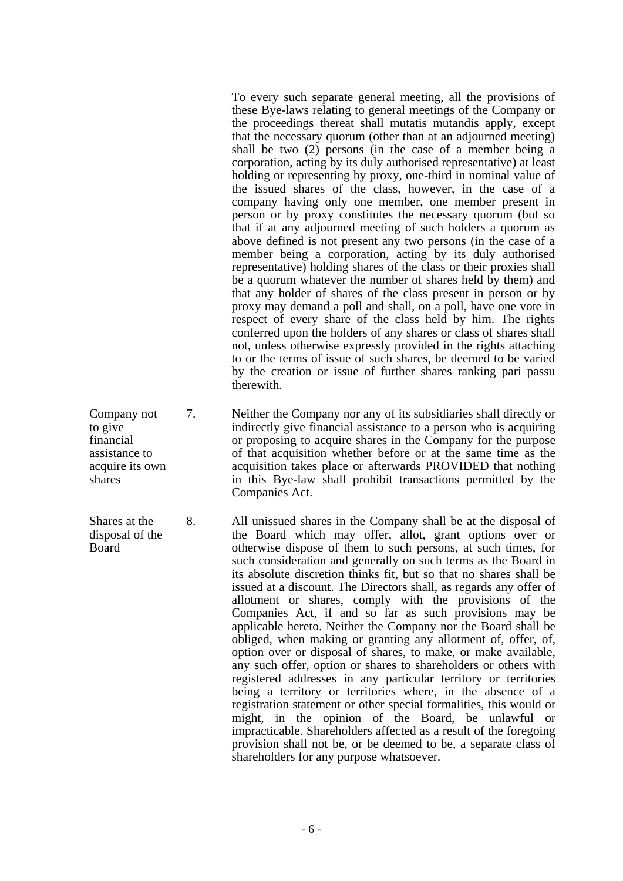To every such separate general meeting, all the provisions of these Bye-laws relating to general meetings of the Company or the proceedings thereat shall mutatis mutandis apply, except that the necessary quorum (other than at an adjourned meeting) shall be two (2) persons (in the case of a member being a corporation, acting by its duly authorised representative) at least holding or representing by proxy, one-third in nominal value of the issued shares of the class, however, in the case of a company having only one member, one member present in person or by proxy constitutes the necessary quorum (but so that if at any adjourned meeting of such holders a quorum as above defined is not present any two persons (in the case of a member being a corporation, acting by its duly authorised representative) holding shares of the class or their proxies shall be a quorum whatever the number of shares held by them) and that any holder of shares of the class present in person or by proxy may demand a poll and shall, on a poll, have one vote in respect of every share of the class held by him. The rights conferred upon the holders of any shares or class of shares shall not, unless otherwise expressly provided in the rights attaching to or the terms of issue of such shares, be deemed to be varied by the creation or issue of further shares ranking pari passu therewith.

Company not 7. Neither the Company nor any of its subsidiaries shall directly or indirectly give financial assistance to a person who is acquiring or proposing to acquire shares in the Company for the purpose of that acquisition whether before or at the same time as the acquisition takes place or afterwards PROVIDED that nothing in this Bye-law shall prohibit transactions permitted by the Companies Act.

8. All unissued shares in the Company shall be at the disposal of the Board which may offer, allot, grant options over or otherwise dispose of them to such persons, at such times, for such consideration and generally on such terms as the Board in its absolute discretion thinks fit, but so that no shares shall be issued at a discount. The Directors shall, as regards any offer of allotment or shares, comply with the provisions of the Companies Act, if and so far as such provisions may be applicable hereto. Neither the Company nor the Board shall be obliged, when making or granting any allotment of, offer, of, option over or disposal of shares, to make, or make available, any such offer, option or shares to shareholders or others with registered addresses in any particular territory or territories being a territory or territories where, in the absence of a registration statement or other special formalities, this would or might, in the opinion of the Board, be unlawful or impracticable. Shareholders affected as a result of the foregoing provision shall not be, or be deemed to be, a separate class of shareholders for any purpose whatsoever.

to give financial assistance to acquire its own shares

Shares at the disposal of the **Board**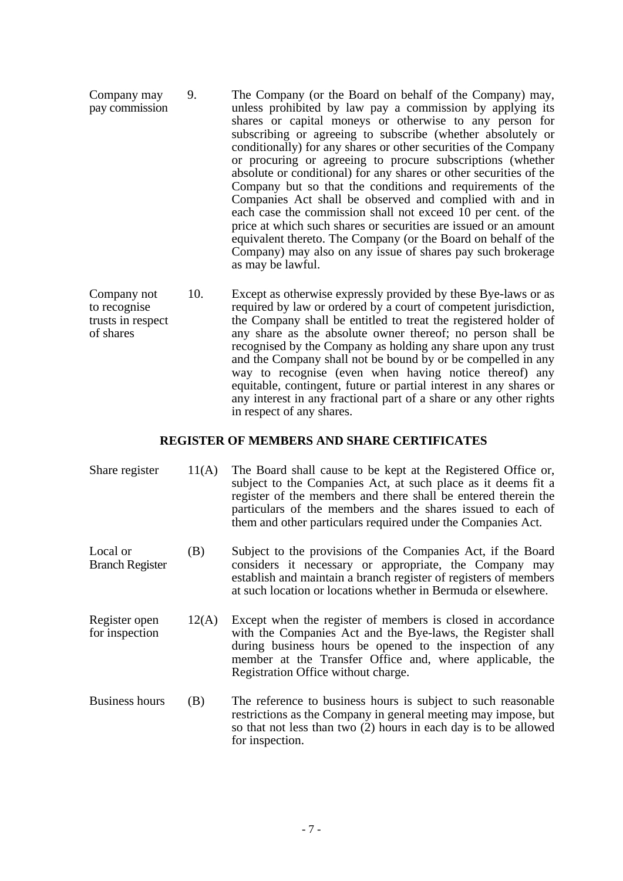- Company may pay commission 9. The Company (or the Board on behalf of the Company) may, unless prohibited by law pay a commission by applying its shares or capital moneys or otherwise to any person for subscribing or agreeing to subscribe (whether absolutely or conditionally) for any shares or other securities of the Company or procuring or agreeing to procure subscriptions (whether absolute or conditional) for any shares or other securities of the Company but so that the conditions and requirements of the Companies Act shall be observed and complied with and in each case the commission shall not exceed 10 per cent. of the price at which such shares or securities are issued or an amount equivalent thereto. The Company (or the Board on behalf of the Company) may also on any issue of shares pay such brokerage as may be lawful.
- Company not to recognise trusts in respect of shares 10. Except as otherwise expressly provided by these Bye-laws or as required by law or ordered by a court of competent jurisdiction, the Company shall be entitled to treat the registered holder of any share as the absolute owner thereof; no person shall be recognised by the Company as holding any share upon any trust and the Company shall not be bound by or be compelled in any way to recognise (even when having notice thereof) any equitable, contingent, future or partial interest in any shares or any interest in any fractional part of a share or any other rights in respect of any shares.

## **REGISTER OF MEMBERS AND SHARE CERTIFICATES**

| Share register                     | 11(A) | The Board shall cause to be kept at the Registered Office or,<br>subject to the Companies Act, at such place as it deems fit a<br>register of the members and there shall be entered therein the<br>particulars of the members and the shares issued to each of<br>them and other particulars required under the Companies Act. |
|------------------------------------|-------|---------------------------------------------------------------------------------------------------------------------------------------------------------------------------------------------------------------------------------------------------------------------------------------------------------------------------------|
| Local or<br><b>Branch Register</b> | (B)   | Subject to the provisions of the Companies Act, if the Board<br>considers it necessary or appropriate, the Company may<br>establish and maintain a branch register of registers of members<br>at such location or locations whether in Bermuda or elsewhere.                                                                    |
| Register open<br>for inspection    | 12(A) | Except when the register of members is closed in accordance<br>with the Companies Act and the Bye-laws, the Register shall<br>during business hours be opened to the inspection of any<br>member at the Transfer Office and, where applicable, the<br>Registration Office without charge.                                       |
| Business hours                     | (B)   | The reference to business hours is subject to such reasonable<br>restrictions as the Company in general meeting may impose, but<br>so that not less than two (2) hours in each day is to be allowed<br>for inspection.                                                                                                          |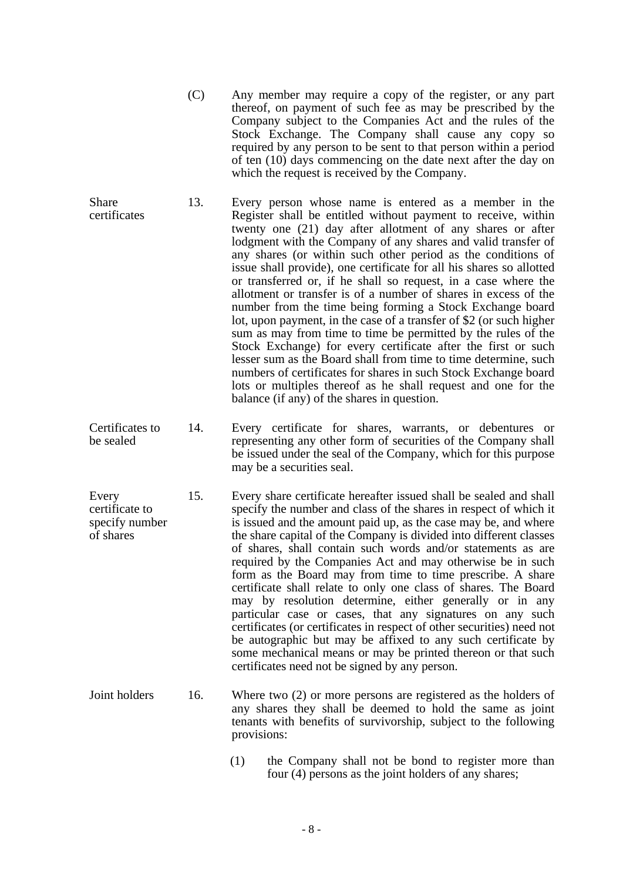- (C) Any member may require a copy of the register, or any part thereof, on payment of such fee as may be prescribed by the Company subject to the Companies Act and the rules of the Stock Exchange. The Company shall cause any copy so required by any person to be sent to that person within a period of ten (10) days commencing on the date next after the day on which the request is received by the Company.
- **Share** certificates 13. Every person whose name is entered as a member in the Register shall be entitled without payment to receive, within twenty one (21) day after allotment of any shares or after lodgment with the Company of any shares and valid transfer of any shares (or within such other period as the conditions of issue shall provide), one certificate for all his shares so allotted or transferred or, if he shall so request, in a case where the allotment or transfer is of a number of shares in excess of the number from the time being forming a Stock Exchange board lot, upon payment, in the case of a transfer of \$2 (or such higher sum as may from time to time be permitted by the rules of the Stock Exchange) for every certificate after the first or such lesser sum as the Board shall from time to time determine, such numbers of certificates for shares in such Stock Exchange board lots or multiples thereof as he shall request and one for the balance (if any) of the shares in question.
- Certificates to be sealed 14. Every certificate for shares, warrants, or debentures or representing any other form of securities of the Company shall be issued under the seal of the Company, which for this purpose may be a securities seal.
- Every certificate to specify number of shares 15. Every share certificate hereafter issued shall be sealed and shall specify the number and class of the shares in respect of which it is issued and the amount paid up, as the case may be, and where the share capital of the Company is divided into different classes of shares, shall contain such words and/or statements as are required by the Companies Act and may otherwise be in such form as the Board may from time to time prescribe. A share certificate shall relate to only one class of shares. The Board may by resolution determine, either generally or in any particular case or cases, that any signatures on any such certificates (or certificates in respect of other securities) need not be autographic but may be affixed to any such certificate by some mechanical means or may be printed thereon or that such certificates need not be signed by any person.
- Joint holders 16. Where two (2) or more persons are registered as the holders of any shares they shall be deemed to hold the same as joint tenants with benefits of survivorship, subject to the following provisions:
	- (1) the Company shall not be bond to register more than four (4) persons as the joint holders of any shares;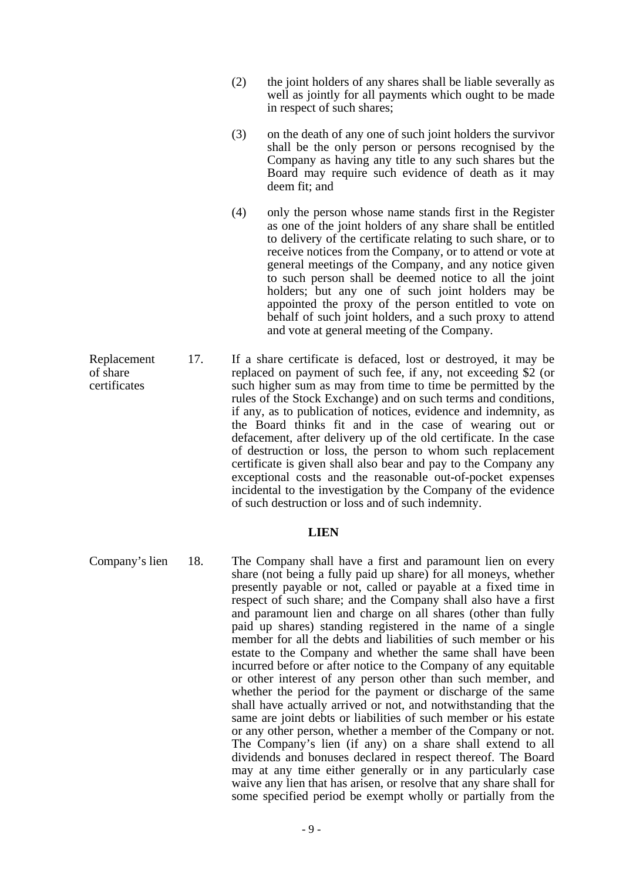- (2) the joint holders of any shares shall be liable severally as well as jointly for all payments which ought to be made in respect of such shares;
- (3) on the death of any one of such joint holders the survivor shall be the only person or persons recognised by the Company as having any title to any such shares but the Board may require such evidence of death as it may deem fit; and
- (4) only the person whose name stands first in the Register as one of the joint holders of any share shall be entitled to delivery of the certificate relating to such share, or to receive notices from the Company, or to attend or vote at general meetings of the Company, and any notice given to such person shall be deemed notice to all the joint holders; but any one of such joint holders may be appointed the proxy of the person entitled to vote on behalf of such joint holders, and a such proxy to attend and vote at general meeting of the Company.
- Replacement of share certificates 17. If a share certificate is defaced, lost or destroyed, it may be replaced on payment of such fee, if any, not exceeding \$2 (or such higher sum as may from time to time be permitted by the rules of the Stock Exchange) and on such terms and conditions, if any, as to publication of notices, evidence and indemnity, as the Board thinks fit and in the case of wearing out or defacement, after delivery up of the old certificate. In the case of destruction or loss, the person to whom such replacement certificate is given shall also bear and pay to the Company any exceptional costs and the reasonable out-of-pocket expenses incidental to the investigation by the Company of the evidence of such destruction or loss and of such indemnity.

#### **LIEN**

Company's lien 18. The Company shall have a first and paramount lien on every share (not being a fully paid up share) for all moneys, whether presently payable or not, called or payable at a fixed time in respect of such share; and the Company shall also have a first and paramount lien and charge on all shares (other than fully paid up shares) standing registered in the name of a single member for all the debts and liabilities of such member or his estate to the Company and whether the same shall have been incurred before or after notice to the Company of any equitable or other interest of any person other than such member, and whether the period for the payment or discharge of the same shall have actually arrived or not, and notwithstanding that the same are joint debts or liabilities of such member or his estate or any other person, whether a member of the Company or not. The Company's lien (if any) on a share shall extend to all dividends and bonuses declared in respect thereof. The Board may at any time either generally or in any particularly case waive any lien that has arisen, or resolve that any share shall for some specified period be exempt wholly or partially from the

- 9 -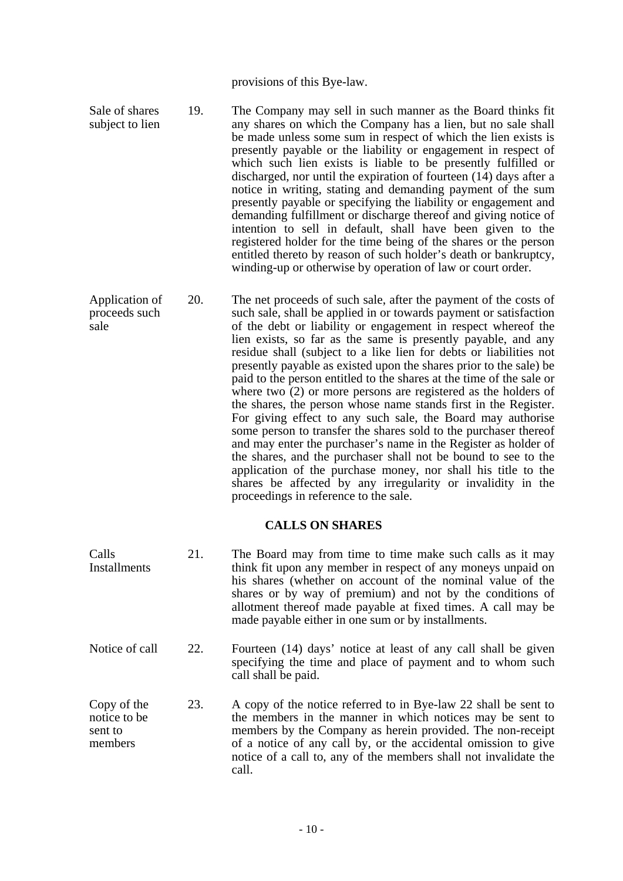provisions of this Bye-law.

- Sale of shares subject to lien 19. The Company may sell in such manner as the Board thinks fit any shares on which the Company has a lien, but no sale shall be made unless some sum in respect of which the lien exists is presently payable or the liability or engagement in respect of which such lien exists is liable to be presently fulfilled or discharged, nor until the expiration of fourteen (14) days after a notice in writing, stating and demanding payment of the sum presently payable or specifying the liability or engagement and demanding fulfillment or discharge thereof and giving notice of intention to sell in default, shall have been given to the registered holder for the time being of the shares or the person entitled thereto by reason of such holder's death or bankruptcy, winding-up or otherwise by operation of law or court order.
- Application of proceeds such sale 20. The net proceeds of such sale, after the payment of the costs of such sale, shall be applied in or towards payment or satisfaction of the debt or liability or engagement in respect whereof the lien exists, so far as the same is presently payable, and any residue shall (subject to a like lien for debts or liabilities not presently payable as existed upon the shares prior to the sale) be paid to the person entitled to the shares at the time of the sale or where two (2) or more persons are registered as the holders of the shares, the person whose name stands first in the Register. For giving effect to any such sale, the Board may authorise some person to transfer the shares sold to the purchaser thereof and may enter the purchaser's name in the Register as holder of the shares, and the purchaser shall not be bound to see to the application of the purchase money, nor shall his title to the shares be affected by any irregularity or invalidity in the proceedings in reference to the sale.

## **CALLS ON SHARES**

Calls Installments 21. The Board may from time to time make such calls as it may think fit upon any member in respect of any moneys unpaid on his shares (whether on account of the nominal value of the shares or by way of premium) and not by the conditions of allotment thereof made payable at fixed times. A call may be made payable either in one sum or by installments. Notice of call 22. Fourteen (14) days' notice at least of any call shall be given specifying the time and place of payment and to whom such call shall be paid. Copy of the notice to be sent to members 23. A copy of the notice referred to in Bye-law 22 shall be sent to the members in the manner in which notices may be sent to members by the Company as herein provided. The non-receipt of a notice of any call by, or the accidental omission to give notice of a call to, any of the members shall not invalidate the

call.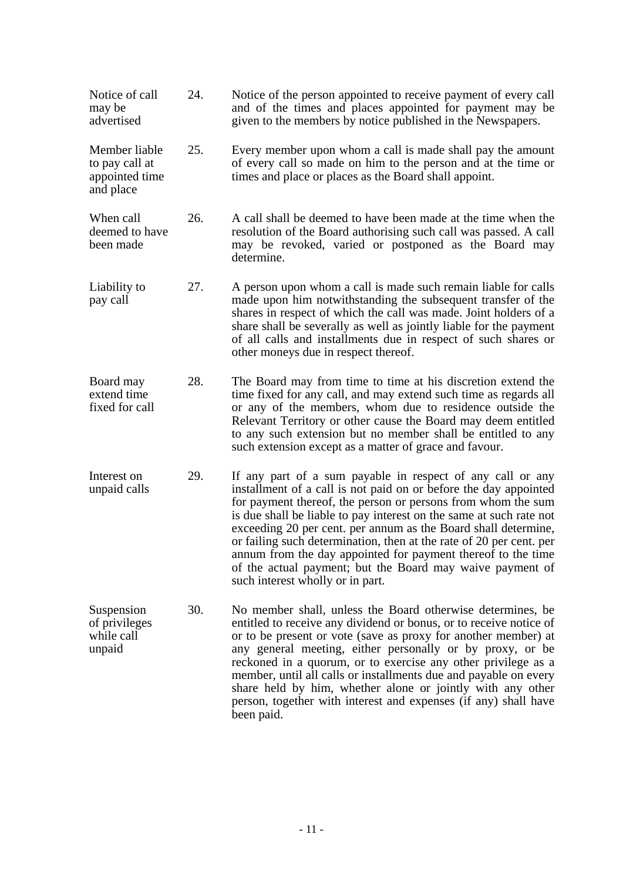| Notice of call<br>may be<br>advertised                         | 24. | Notice of the person appointed to receive payment of every call<br>and of the times and places appointed for payment may be<br>given to the members by notice published in the Newspapers.                                                                                                                                                                                                                                                                                                                                                                                      |
|----------------------------------------------------------------|-----|---------------------------------------------------------------------------------------------------------------------------------------------------------------------------------------------------------------------------------------------------------------------------------------------------------------------------------------------------------------------------------------------------------------------------------------------------------------------------------------------------------------------------------------------------------------------------------|
| Member liable<br>to pay call at<br>appointed time<br>and place | 25. | Every member upon whom a call is made shall pay the amount<br>of every call so made on him to the person and at the time or<br>times and place or places as the Board shall appoint.                                                                                                                                                                                                                                                                                                                                                                                            |
| When call<br>deemed to have<br>been made                       | 26. | A call shall be deemed to have been made at the time when the<br>resolution of the Board authorising such call was passed. A call<br>may be revoked, varied or postponed as the Board may<br>determine.                                                                                                                                                                                                                                                                                                                                                                         |
| Liability to<br>pay call                                       | 27. | A person upon whom a call is made such remain liable for calls<br>made upon him notwithstanding the subsequent transfer of the<br>shares in respect of which the call was made. Joint holders of a<br>share shall be severally as well as jointly liable for the payment<br>of all calls and installments due in respect of such shares or<br>other moneys due in respect thereof.                                                                                                                                                                                              |
| Board may<br>extend time<br>fixed for call                     | 28. | The Board may from time to time at his discretion extend the<br>time fixed for any call, and may extend such time as regards all<br>or any of the members, whom due to residence outside the<br>Relevant Territory or other cause the Board may deem entitled<br>to any such extension but no member shall be entitled to any<br>such extension except as a matter of grace and favour.                                                                                                                                                                                         |
| Interest on<br>unpaid calls                                    | 29. | If any part of a sum payable in respect of any call or any<br>installment of a call is not paid on or before the day appointed<br>for payment thereof, the person or persons from whom the sum<br>is due shall be liable to pay interest on the same at such rate not<br>exceeding 20 per cent. per annum as the Board shall determine,<br>or failing such determination, then at the rate of 20 per cent. per<br>annum from the day appointed for payment thereof to the time<br>of the actual payment; but the Board may waive payment of<br>such interest wholly or in part. |
| Suspension<br>of privileges<br>while call<br>unpaid            | 30. | No member shall, unless the Board otherwise determines, be<br>entitled to receive any dividend or bonus, or to receive notice of<br>or to be present or vote (save as proxy for another member) at<br>any general meeting, either personally or by proxy, or be<br>reckoned in a quorum, or to exercise any other privilege as a<br>member, until all calls or installments due and payable on every<br>share held by him, whether alone or jointly with any other<br>person, together with interest and expenses (if any) shall have<br>been paid.                             |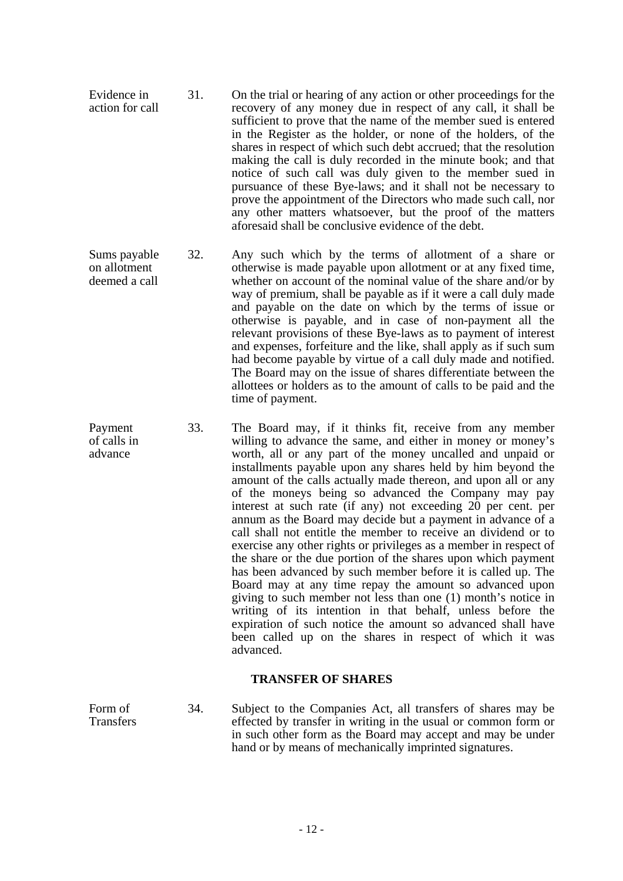- Evidence in action for call 31. On the trial or hearing of any action or other proceedings for the recovery of any money due in respect of any call, it shall be sufficient to prove that the name of the member sued is entered in the Register as the holder, or none of the holders, of the shares in respect of which such debt accrued; that the resolution making the call is duly recorded in the minute book; and that notice of such call was duly given to the member sued in pursuance of these Bye-laws; and it shall not be necessary to prove the appointment of the Directors who made such call, nor any other matters whatsoever, but the proof of the matters aforesaid shall be conclusive evidence of the debt.
- Sums payable on allotment deemed a call 32. Any such which by the terms of allotment of a share or otherwise is made payable upon allotment or at any fixed time, whether on account of the nominal value of the share and/or by way of premium, shall be payable as if it were a call duly made and payable on the date on which by the terms of issue or otherwise is payable, and in case of non-payment all the relevant provisions of these Bye-laws as to payment of interest and expenses, forfeiture and the like, shall apply as if such sum had become payable by virtue of a call duly made and notified. The Board may on the issue of shares differentiate between the allottees or holders as to the amount of calls to be paid and the time of payment.
- Payment of calls in advance 33. The Board may, if it thinks fit, receive from any member willing to advance the same, and either in money or money's worth, all or any part of the money uncalled and unpaid or installments payable upon any shares held by him beyond the amount of the calls actually made thereon, and upon all or any of the moneys being so advanced the Company may pay interest at such rate (if any) not exceeding 20 per cent. per annum as the Board may decide but a payment in advance of a call shall not entitle the member to receive an dividend or to exercise any other rights or privileges as a member in respect of the share or the due portion of the shares upon which payment has been advanced by such member before it is called up. The Board may at any time repay the amount so advanced upon giving to such member not less than one (1) month's notice in writing of its intention in that behalf, unless before the expiration of such notice the amount so advanced shall have been called up on the shares in respect of which it was advanced.

## **TRANSFER OF SHARES**

Form of Transfers 34. Subject to the Companies Act, all transfers of shares may be effected by transfer in writing in the usual or common form or in such other form as the Board may accept and may be under hand or by means of mechanically imprinted signatures.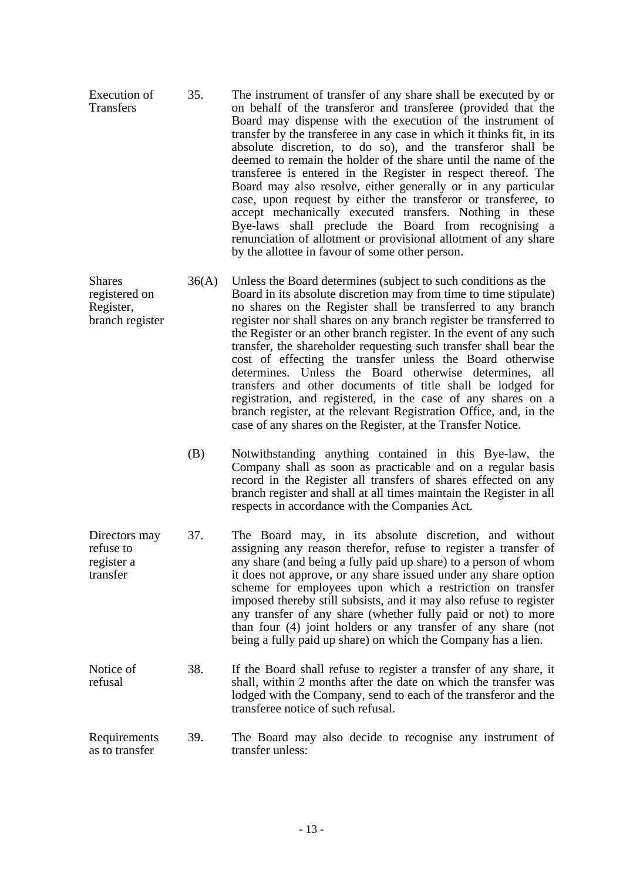- Shares registered on Register, branch register 36(A) Unless the Board determines (subject to such conditions as the Board in its absolute discretion may from time to time stipulate) no shares on the Register shall be transferred to any branch register nor shall shares on any branch register be transferred to the Register or an other branch register. In the event of any such transfer, the shareholder requesting such transfer shall bear the cost of effecting the transfer unless the Board otherwise determines. Unless the Board otherwise determines, all transfers and other documents of title shall be lodged for registration, and registered, in the case of any shares on a branch register, at the relevant Registration Office, and, in the case of any shares on the Register, at the Transfer Notice.
	- (B) Notwithstanding anything contained in this Bye-law, the Company shall as soon as practicable and on a regular basis record in the Register all transfers of shares effected on any branch register and shall at all times maintain the Register in all respects in accordance with the Companies Act.
- Directors may refuse to register a transfer 37. The Board may, in its absolute discretion, and without assigning any reason therefor, refuse to register a transfer of any share (and being a fully paid up share) to a person of whom it does not approve, or any share issued under any share option scheme for employees upon which a restriction on transfer imposed thereby still subsists, and it may also refuse to register any transfer of any share (whether fully paid or not) to more than four (4) joint holders or any transfer of any share (not being a fully paid up share) on which the Company has a lien.
- Notice of refusal 38. If the Board shall refuse to register a transfer of any share, it shall, within 2 months after the date on which the transfer was lodged with the Company, send to each of the transferor and the transferee notice of such refusal.
- **Requirements** as to transfer 39. The Board may also decide to recognise any instrument of transfer unless: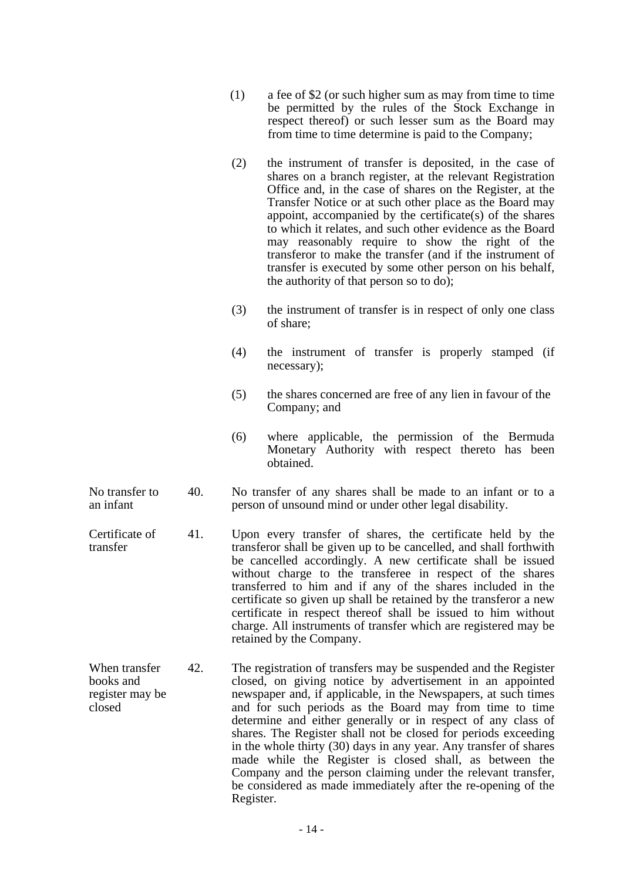- (1) a fee of \$2 (or such higher sum as may from time to time be permitted by the rules of the Stock Exchange in respect thereof) or such lesser sum as the Board may from time to time determine is paid to the Company;
- (2) the instrument of transfer is deposited, in the case of shares on a branch register, at the relevant Registration Office and, in the case of shares on the Register, at the Transfer Notice or at such other place as the Board may appoint, accompanied by the certificate(s) of the shares to which it relates, and such other evidence as the Board may reasonably require to show the right of the transferor to make the transfer (and if the instrument of transfer is executed by some other person on his behalf, the authority of that person so to do);
- (3) the instrument of transfer is in respect of only one class of share;
- (4) the instrument of transfer is properly stamped (if necessary);
- (5) the shares concerned are free of any lien in favour of the Company; and
- (6) where applicable, the permission of the Bermuda Monetary Authority with respect thereto has been obtained.
- No transfer to an infant 40. No transfer of any shares shall be made to an infant or to a person of unsound mind or under other legal disability.
- Certificate of transfer 41. Upon every transfer of shares, the certificate held by the transferor shall be given up to be cancelled, and shall forthwith be cancelled accordingly. A new certificate shall be issued without charge to the transferee in respect of the shares transferred to him and if any of the shares included in the certificate so given up shall be retained by the transferor a new certificate in respect thereof shall be issued to him without charge. All instruments of transfer which are registered may be retained by the Company.
- When transfer books and register may be closed 42. The registration of transfers may be suspended and the Register closed, on giving notice by advertisement in an appointed newspaper and, if applicable, in the Newspapers, at such times and for such periods as the Board may from time to time determine and either generally or in respect of any class of shares. The Register shall not be closed for periods exceeding in the whole thirty (30) days in any year. Any transfer of shares made while the Register is closed shall, as between the Company and the person claiming under the relevant transfer, be considered as made immediately after the re-opening of the Register.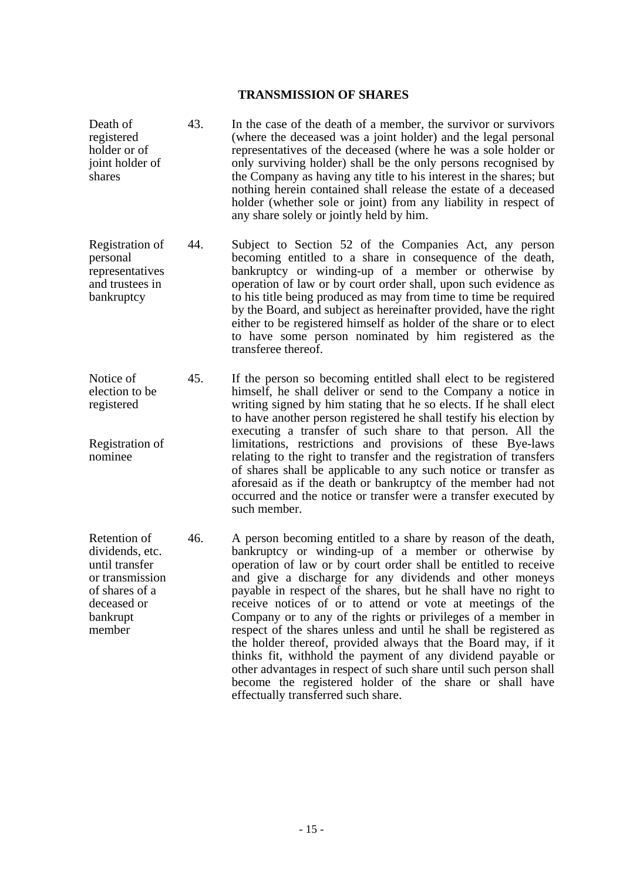#### **TRANSMISSION OF SHARES**

Death of registered holder or of joint holder of shares 43. In the case of the death of a member, the survivor or survivors (where the deceased was a joint holder) and the legal personal representatives of the deceased (where he was a sole holder or only surviving holder) shall be the only persons recognised by the Company as having any title to his interest in the shares; but nothing herein contained shall release the estate of a deceased holder (whether sole or joint) from any liability in respect of any share solely or jointly held by him. Registration of personal representatives and trustees in bankruptcy 44. Subject to Section 52 of the Companies Act, any person becoming entitled to a share in consequence of the death, bankruptcy or winding-up of a member or otherwise by operation of law or by court order shall, upon such evidence as to his title being produced as may from time to time be required by the Board, and subject as hereinafter provided, have the right either to be registered himself as holder of the share or to elect to have some person nominated by him registered as the transferee thereof. Notice of election to be registered Registration of nominee 45. If the person so becoming entitled shall elect to be registered himself, he shall deliver or send to the Company a notice in writing signed by him stating that he so elects. If he shall elect to have another person registered he shall testify his election by executing a transfer of such share to that person. All the limitations, restrictions and provisions of these Bye-laws relating to the right to transfer and the registration of transfers of shares shall be applicable to any such notice or transfer as aforesaid as if the death or bankruptcy of the member had not occurred and the notice or transfer were a transfer executed by such member. Retention of dividends, etc. until transfer or transmission of shares of a deceased or bankrupt member 46. A person becoming entitled to a share by reason of the death, bankruptcy or winding-up of a member or otherwise by operation of law or by court order shall be entitled to receive and give a discharge for any dividends and other moneys payable in respect of the shares, but he shall have no right to receive notices of or to attend or vote at meetings of the Company or to any of the rights or privileges of a member in respect of the shares unless and until he shall be registered as the holder thereof, provided always that the Board may, if it

effectually transferred such share.

thinks fit, withhold the payment of any dividend payable or other advantages in respect of such share until such person shall become the registered holder of the share or shall have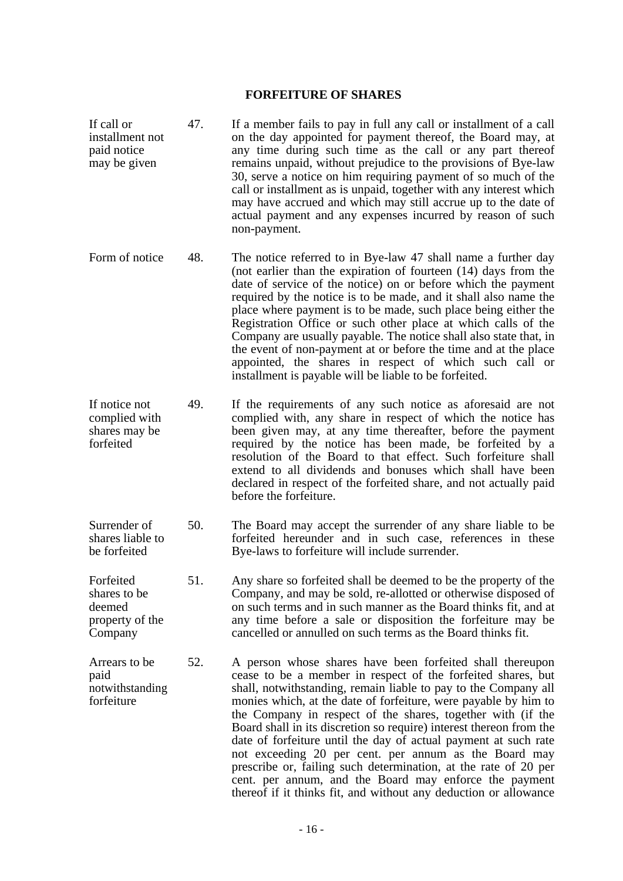#### **FORFEITURE OF SHARES**

- If call or installment not paid notice may be given 47. If a member fails to pay in full any call or installment of a call on the day appointed for payment thereof, the Board may, at any time during such time as the call or any part thereof remains unpaid, without prejudice to the provisions of Bye-law 30, serve a notice on him requiring payment of so much of the call or installment as is unpaid, together with any interest which may have accrued and which may still accrue up to the date of actual payment and any expenses incurred by reason of such non-payment.
- Form of notice 48. The notice referred to in Bye-law 47 shall name a further day (not earlier than the expiration of fourteen (14) days from the date of service of the notice) on or before which the payment required by the notice is to be made, and it shall also name the place where payment is to be made, such place being either the Registration Office or such other place at which calls of the Company are usually payable. The notice shall also state that, in the event of non-payment at or before the time and at the place appointed, the shares in respect of which such call or installment is payable will be liable to be forfeited.
- If notice not complied with shares may be forfeited 49. If the requirements of any such notice as aforesaid are not complied with, any share in respect of which the notice has been given may, at any time thereafter, before the payment required by the notice has been made, be forfeited by a resolution of the Board to that effect. Such forfeiture shall extend to all dividends and bonuses which shall have been declared in respect of the forfeited share, and not actually paid before the forfeiture.
- Surrender of shares liable to be forfeited 50. The Board may accept the surrender of any share liable to be forfeited hereunder and in such case, references in these Bye-laws to forfeiture will include surrender.
- Forfeited shares to be deemed property of the Company 51. Any share so forfeited shall be deemed to be the property of the Company, and may be sold, re-allotted or otherwise disposed of on such terms and in such manner as the Board thinks fit, and at any time before a sale or disposition the forfeiture may be cancelled or annulled on such terms as the Board thinks fit.

Arrears to be paid notwithstanding forfeiture 52. A person whose shares have been forfeited shall thereupon cease to be a member in respect of the forfeited shares, but shall, notwithstanding, remain liable to pay to the Company all monies which, at the date of forfeiture, were payable by him to the Company in respect of the shares, together with (if the Board shall in its discretion so require) interest thereon from the date of forfeiture until the day of actual payment at such rate not exceeding 20 per cent. per annum as the Board may prescribe or, failing such determination, at the rate of 20 per cent. per annum, and the Board may enforce the payment thereof if it thinks fit, and without any deduction or allowance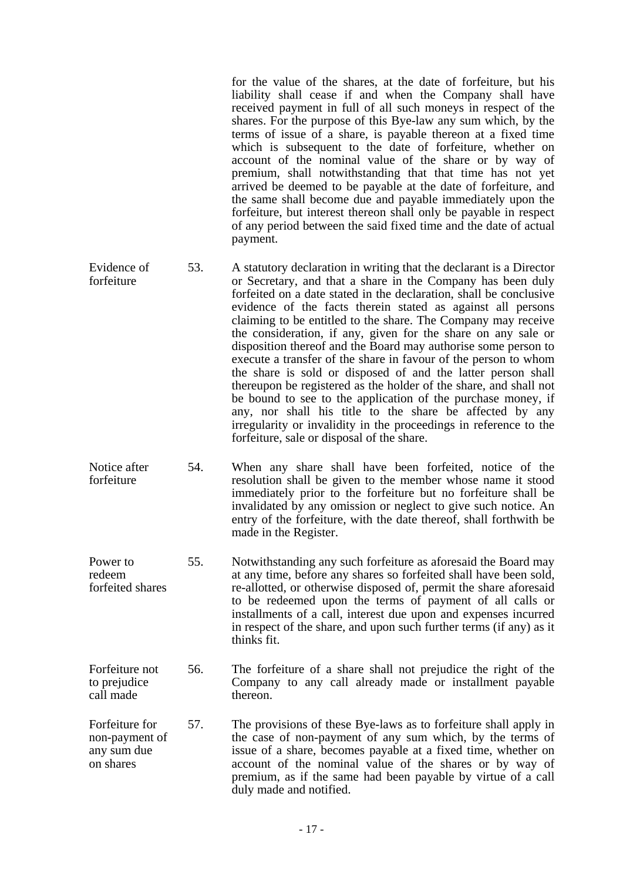for the value of the shares, at the date of forfeiture, but his liability shall cease if and when the Company shall have received payment in full of all such moneys in respect of the shares. For the purpose of this Bye-law any sum which, by the terms of issue of a share, is payable thereon at a fixed time which is subsequent to the date of forfeiture, whether on account of the nominal value of the share or by way of premium, shall notwithstanding that that time has not yet arrived be deemed to be payable at the date of forfeiture, and the same shall become due and payable immediately upon the forfeiture, but interest thereon shall only be payable in respect of any period between the said fixed time and the date of actual payment.

- Evidence of forfeiture 53. A statutory declaration in writing that the declarant is a Director or Secretary, and that a share in the Company has been duly forfeited on a date stated in the declaration, shall be conclusive evidence of the facts therein stated as against all persons claiming to be entitled to the share. The Company may receive the consideration, if any, given for the share on any sale or disposition thereof and the Board may authorise some person to execute a transfer of the share in favour of the person to whom the share is sold or disposed of and the latter person shall thereupon be registered as the holder of the share, and shall not be bound to see to the application of the purchase money, if any, nor shall his title to the share be affected by any irregularity or invalidity in the proceedings in reference to the forfeiture, sale or disposal of the share.
- Notice after forfeiture 54. When any share shall have been forfeited, notice of the resolution shall be given to the member whose name it stood immediately prior to the forfeiture but no forfeiture shall be invalidated by any omission or neglect to give such notice. An entry of the forfeiture, with the date thereof, shall forthwith be made in the Register.
- Power to redeem forfeited shares 55. Notwithstanding any such forfeiture as aforesaid the Board may at any time, before any shares so forfeited shall have been sold, re-allotted, or otherwise disposed of, permit the share aforesaid to be redeemed upon the terms of payment of all calls or installments of a call, interest due upon and expenses incurred in respect of the share, and upon such further terms (if any) as it thinks fit.
- Forfeiture not to prejudice call made 56. The forfeiture of a share shall not prejudice the right of the Company to any call already made or installment payable thereon.
- Forfeiture for non-payment of any sum due on shares 57. The provisions of these Bye-laws as to forfeiture shall apply in the case of non-payment of any sum which, by the terms of issue of a share, becomes payable at a fixed time, whether on account of the nominal value of the shares or by way of premium, as if the same had been payable by virtue of a call duly made and notified.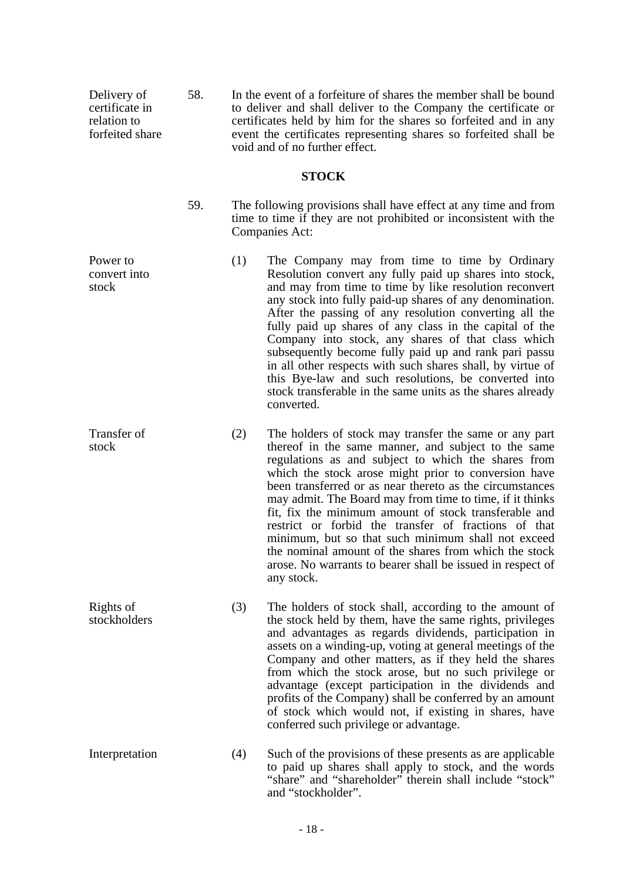Delivery of certificate in relation to forfeited share 58. In the event of a forfeiture of shares the member shall be bound to deliver and shall deliver to the Company the certificate or certificates held by him for the shares so forfeited and in any event the certificates representing shares so forfeited shall be void and of no further effect.

## **STOCK**

Power to convert into

stock

- 59. The following provisions shall have effect at any time and from time to time if they are not prohibited or inconsistent with the Companies Act:
	- (1) The Company may from time to time by Ordinary Resolution convert any fully paid up shares into stock, and may from time to time by like resolution reconvert any stock into fully paid-up shares of any denomination. After the passing of any resolution converting all the fully paid up shares of any class in the capital of the Company into stock, any shares of that class which subsequently become fully paid up and rank pari passu in all other respects with such shares shall, by virtue of this Bye-law and such resolutions, be converted into stock transferable in the same units as the shares already converted.
- Transfer of stock (2) The holders of stock may transfer the same or any part thereof in the same manner, and subject to the same regulations as and subject to which the shares from which the stock arose might prior to conversion have been transferred or as near thereto as the circumstances may admit. The Board may from time to time, if it thinks fit, fix the minimum amount of stock transferable and restrict or forbid the transfer of fractions of that minimum, but so that such minimum shall not exceed the nominal amount of the shares from which the stock arose. No warrants to bearer shall be issued in respect of any stock.
- Rights of stockholders (3) The holders of stock shall, according to the amount of the stock held by them, have the same rights, privileges and advantages as regards dividends, participation in assets on a winding-up, voting at general meetings of the Company and other matters, as if they held the shares from which the stock arose, but no such privilege or advantage (except participation in the dividends and profits of the Company) shall be conferred by an amount of stock which would not, if existing in shares, have conferred such privilege or advantage.
- Interpretation (4) Such of the provisions of these presents as are applicable to paid up shares shall apply to stock, and the words "share" and "shareholder" therein shall include "stock" and "stockholder".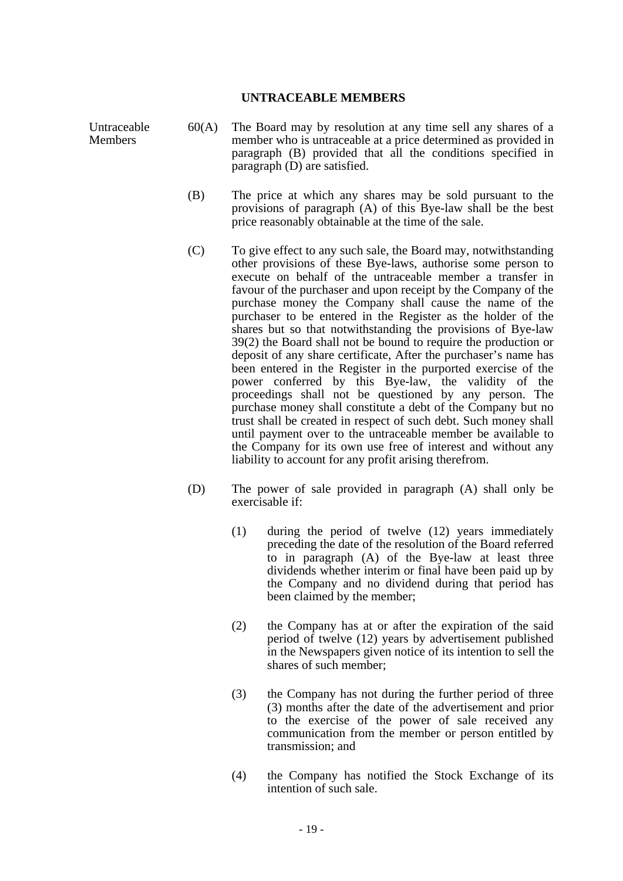#### **UNTRACEABLE MEMBERS**

Untraceable Members

- 60(A) The Board may by resolution at any time sell any shares of a member who is untraceable at a price determined as provided in paragraph (B) provided that all the conditions specified in paragraph (D) are satisfied.
	- (B) The price at which any shares may be sold pursuant to the provisions of paragraph (A) of this Bye-law shall be the best price reasonably obtainable at the time of the sale.
	- (C) To give effect to any such sale, the Board may, notwithstanding other provisions of these Bye-laws, authorise some person to execute on behalf of the untraceable member a transfer in favour of the purchaser and upon receipt by the Company of the purchase money the Company shall cause the name of the purchaser to be entered in the Register as the holder of the shares but so that notwithstanding the provisions of Bye-law 39(2) the Board shall not be bound to require the production or deposit of any share certificate, After the purchaser's name has been entered in the Register in the purported exercise of the power conferred by this Bye-law, the validity of the proceedings shall not be questioned by any person. The purchase money shall constitute a debt of the Company but no trust shall be created in respect of such debt. Such money shall until payment over to the untraceable member be available to the Company for its own use free of interest and without any liability to account for any profit arising therefrom.
- (D) The power of sale provided in paragraph (A) shall only be exercisable if:
	- (1) during the period of twelve (12) years immediately preceding the date of the resolution of the Board referred to in paragraph (A) of the Bye-law at least three dividends whether interim or final have been paid up by the Company and no dividend during that period has been claimed by the member;
	- (2) the Company has at or after the expiration of the said period of twelve (12) years by advertisement published in the Newspapers given notice of its intention to sell the shares of such member;
	- (3) the Company has not during the further period of three (3) months after the date of the advertisement and prior to the exercise of the power of sale received any communication from the member or person entitled by transmission; and
	- (4) the Company has notified the Stock Exchange of its intention of such sale.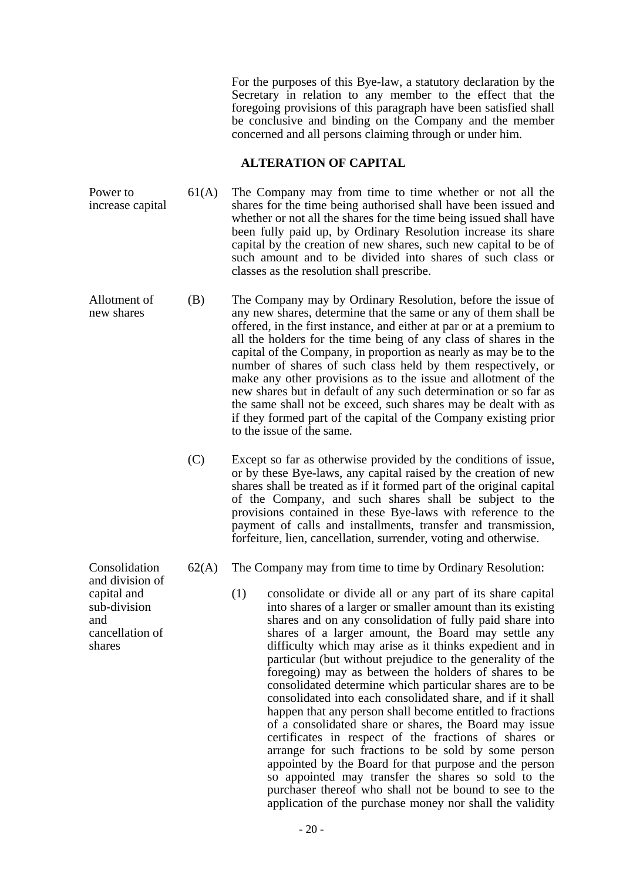For the purposes of this Bye-law, a statutory declaration by the Secretary in relation to any member to the effect that the foregoing provisions of this paragraph have been satisfied shall be conclusive and binding on the Company and the member concerned and all persons claiming through or under him.

#### **ALTERATION OF CAPITAL**

- Power to increase capital 61(A) The Company may from time to time whether or not all the shares for the time being authorised shall have been issued and whether or not all the shares for the time being issued shall have been fully paid up, by Ordinary Resolution increase its share capital by the creation of new shares, such new capital to be of such amount and to be divided into shares of such class or classes as the resolution shall prescribe.
- Allotment of new shares (B) The Company may by Ordinary Resolution, before the issue of any new shares, determine that the same or any of them shall be offered, in the first instance, and either at par or at a premium to all the holders for the time being of any class of shares in the capital of the Company, in proportion as nearly as may be to the number of shares of such class held by them respectively, or make any other provisions as to the issue and allotment of the new shares but in default of any such determination or so far as the same shall not be exceed, such shares may be dealt with as if they formed part of the capital of the Company existing prior to the issue of the same.
	- (C) Except so far as otherwise provided by the conditions of issue, or by these Bye-laws, any capital raised by the creation of new shares shall be treated as if it formed part of the original capital of the Company, and such shares shall be subject to the provisions contained in these Bye-laws with reference to the payment of calls and installments, transfer and transmission, forfeiture, lien, cancellation, surrender, voting and otherwise.
	- 62(A) The Company may from time to time by Ordinary Resolution:
		- (1) consolidate or divide all or any part of its share capital into shares of a larger or smaller amount than its existing shares and on any consolidation of fully paid share into shares of a larger amount, the Board may settle any difficulty which may arise as it thinks expedient and in particular (but without prejudice to the generality of the foregoing) may as between the holders of shares to be consolidated determine which particular shares are to be consolidated into each consolidated share, and if it shall happen that any person shall become entitled to fractions of a consolidated share or shares, the Board may issue certificates in respect of the fractions of shares or arrange for such fractions to be sold by some person appointed by the Board for that purpose and the person so appointed may transfer the shares so sold to the purchaser thereof who shall not be bound to see to the application of the purchase money nor shall the validity

Consolidation and division of capital and sub-division and cancellation of shares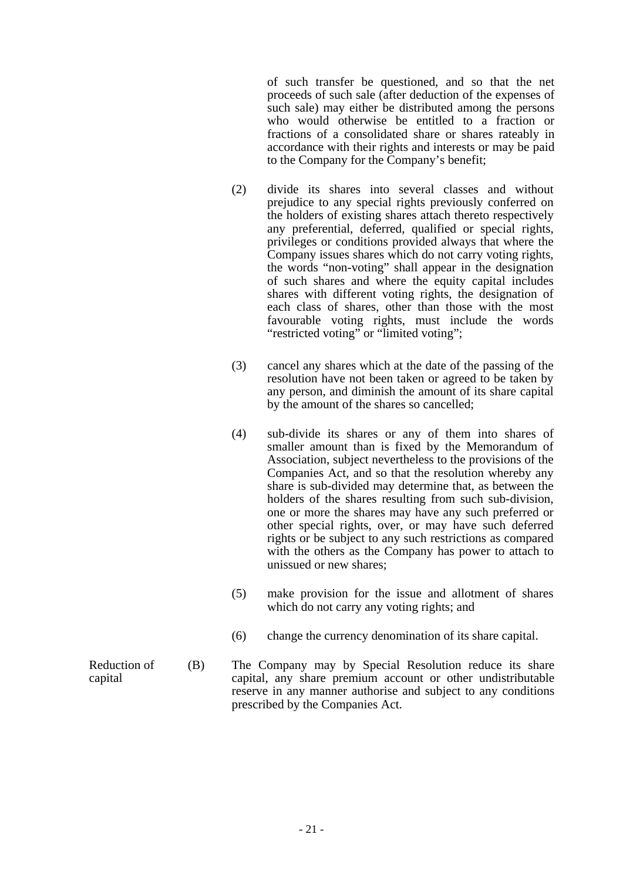of such transfer be questioned, and so that the net proceeds of such sale (after deduction of the expenses of such sale) may either be distributed among the persons who would otherwise be entitled to a fraction or fractions of a consolidated share or shares rateably in accordance with their rights and interests or may be paid to the Company for the Company's benefit;

- (2) divide its shares into several classes and without prejudice to any special rights previously conferred on the holders of existing shares attach thereto respectively any preferential, deferred, qualified or special rights, privileges or conditions provided always that where the Company issues shares which do not carry voting rights, the words "non-voting" shall appear in the designation of such shares and where the equity capital includes shares with different voting rights, the designation of each class of shares, other than those with the most favourable voting rights, must include the words "restricted voting" or "limited voting";
- (3) cancel any shares which at the date of the passing of the resolution have not been taken or agreed to be taken by any person, and diminish the amount of its share capital by the amount of the shares so cancelled;
- (4) sub-divide its shares or any of them into shares of smaller amount than is fixed by the Memorandum of Association, subject nevertheless to the provisions of the Companies Act, and so that the resolution whereby any share is sub-divided may determine that, as between the holders of the shares resulting from such sub-division, one or more the shares may have any such preferred or other special rights, over, or may have such deferred rights or be subject to any such restrictions as compared with the others as the Company has power to attach to unissued or new shares;
- (5) make provision for the issue and allotment of shares which do not carry any voting rights; and
- (6) change the currency denomination of its share capital.
- Reduction of capital (B) The Company may by Special Resolution reduce its share capital, any share premium account or other undistributable reserve in any manner authorise and subject to any conditions prescribed by the Companies Act.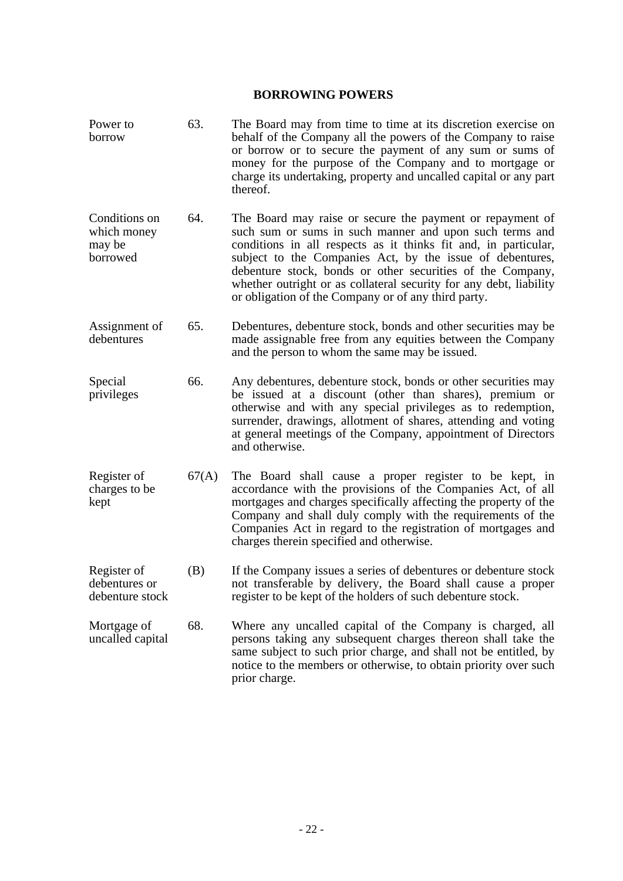#### **BORROWING POWERS**

- Power to borrow 63. The Board may from time to time at its discretion exercise on behalf of the Company all the powers of the Company to raise or borrow or to secure the payment of any sum or sums of money for the purpose of the Company and to mortgage or charge its undertaking, property and uncalled capital or any part thereof.
- Conditions on which money may be borrowed 64. The Board may raise or secure the payment or repayment of such sum or sums in such manner and upon such terms and conditions in all respects as it thinks fit and, in particular, subject to the Companies Act, by the issue of debentures, debenture stock, bonds or other securities of the Company, whether outright or as collateral security for any debt, liability or obligation of the Company or of any third party.
- Assignment of debentures 65. Debentures, debenture stock, bonds and other securities may be made assignable free from any equities between the Company and the person to whom the same may be issued.
- Special privileges 66. Any debentures, debenture stock, bonds or other securities may be issued at a discount (other than shares), premium or otherwise and with any special privileges as to redemption, surrender, drawings, allotment of shares, attending and voting at general meetings of the Company, appointment of Directors and otherwise.
- Register of charges to be kept 67(A) The Board shall cause a proper register to be kept, in accordance with the provisions of the Companies Act, of all mortgages and charges specifically affecting the property of the Company and shall duly comply with the requirements of the Companies Act in regard to the registration of mortgages and charges therein specified and otherwise.
- Register of debentures or debenture stock (B) If the Company issues a series of debentures or debenture stock not transferable by delivery, the Board shall cause a proper register to be kept of the holders of such debenture stock.
- Mortgage of uncalled capital 68. Where any uncalled capital of the Company is charged, all persons taking any subsequent charges thereon shall take the same subject to such prior charge, and shall not be entitled, by notice to the members or otherwise, to obtain priority over such prior charge.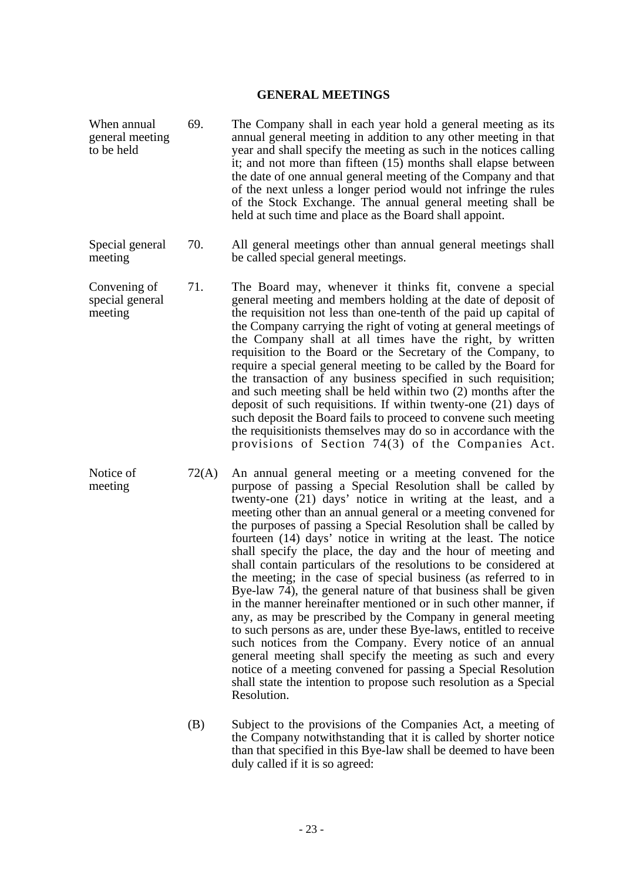#### **GENERAL MEETINGS**

| When annual<br>general meeting<br>to be held | 69.   | The Company shall in each year hold a general meeting as its<br>annual general meeting in addition to any other meeting in that<br>year and shall specify the meeting as such in the notices calling<br>it; and not more than fifteen (15) months shall elapse between<br>the date of one annual general meeting of the Company and that<br>of the next unless a longer period would not infringe the rules<br>of the Stock Exchange. The annual general meeting shall be<br>held at such time and place as the Board shall appoint.                                                                                                                                                                                                                                                                                                                                                                                                                                                                                                                                     |
|----------------------------------------------|-------|--------------------------------------------------------------------------------------------------------------------------------------------------------------------------------------------------------------------------------------------------------------------------------------------------------------------------------------------------------------------------------------------------------------------------------------------------------------------------------------------------------------------------------------------------------------------------------------------------------------------------------------------------------------------------------------------------------------------------------------------------------------------------------------------------------------------------------------------------------------------------------------------------------------------------------------------------------------------------------------------------------------------------------------------------------------------------|
| Special general<br>meeting                   | 70.   | All general meetings other than annual general meetings shall<br>be called special general meetings.                                                                                                                                                                                                                                                                                                                                                                                                                                                                                                                                                                                                                                                                                                                                                                                                                                                                                                                                                                     |
| Convening of<br>special general<br>meeting   | 71.   | The Board may, whenever it thinks fit, convene a special<br>general meeting and members holding at the date of deposit of<br>the requisition not less than one-tenth of the paid up capital of<br>the Company carrying the right of voting at general meetings of<br>the Company shall at all times have the right, by written<br>requisition to the Board or the Secretary of the Company, to<br>require a special general meeting to be called by the Board for<br>the transaction of any business specified in such requisition;<br>and such meeting shall be held within two (2) months after the<br>deposit of such requisitions. If within twenty-one (21) days of<br>such deposit the Board fails to proceed to convene such meeting<br>the requisitionists themselves may do so in accordance with the<br>provisions of Section 74(3) of the Companies Act.                                                                                                                                                                                                      |
| Notice of<br>meeting                         | 72(A) | An annual general meeting or a meeting convened for the<br>purpose of passing a Special Resolution shall be called by<br>twenty-one (21) days' notice in writing at the least, and a<br>meeting other than an annual general or a meeting convened for<br>the purposes of passing a Special Resolution shall be called by<br>fourteen (14) days' notice in writing at the least. The notice<br>shall specify the place, the day and the hour of meeting and<br>shall contain particulars of the resolutions to be considered at<br>the meeting; in the case of special business (as referred to in<br>Bye-law 74), the general nature of that business shall be given<br>in the manner hereinafter mentioned or in such other manner, if<br>any, as may be prescribed by the Company in general meeting<br>to such persons as are, under these Bye-laws, entitled to receive<br>such notices from the Company. Every notice of an annual<br>general meeting shall specify the meeting as such and every<br>notice of a meeting convened for passing a Special Resolution |

 (B) Subject to the provisions of the Companies Act, a meeting of the Company notwithstanding that it is called by shorter notice than that specified in this Bye-law shall be deemed to have been duly called if it is so agreed:

shall state the intention to propose such resolution as a Special

Resolution.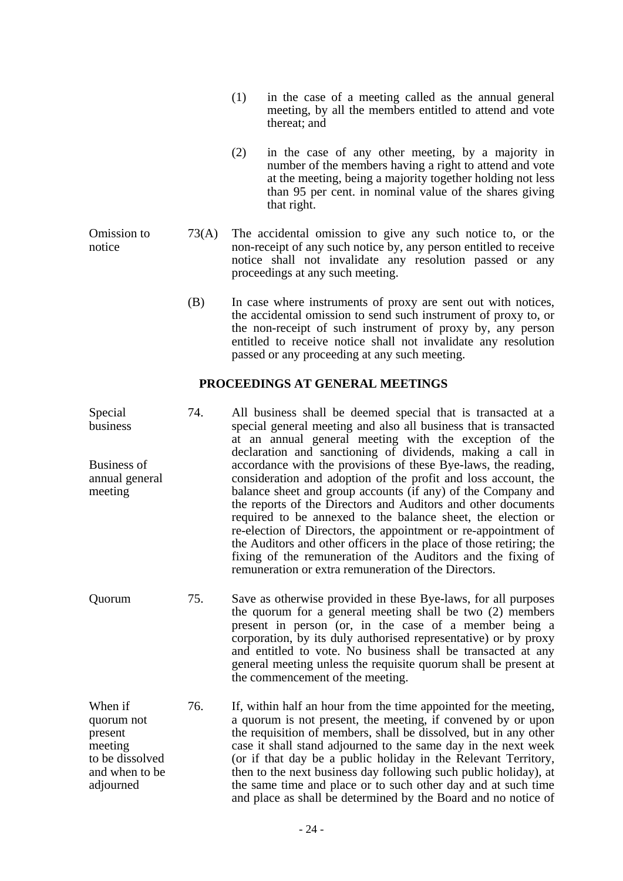- (1) in the case of a meeting called as the annual general meeting, by all the members entitled to attend and vote thereat; and
- (2) in the case of any other meeting, by a majority in number of the members having a right to attend and vote at the meeting, being a majority together holding not less than 95 per cent. in nominal value of the shares giving that right.
- Omission to notice 73(A) The accidental omission to give any such notice to, or the non-receipt of any such notice by, any person entitled to receive notice shall not invalidate any resolution passed or any proceedings at any such meeting.
	- (B) In case where instruments of proxy are sent out with notices, the accidental omission to send such instrument of proxy to, or the non-receipt of such instrument of proxy by, any person entitled to receive notice shall not invalidate any resolution passed or any proceeding at any such meeting.

## **PROCEEDINGS AT GENERAL MEETINGS**

- Special business Business of annual general meeting 74. All business shall be deemed special that is transacted at a special general meeting and also all business that is transacted at an annual general meeting with the exception of the declaration and sanctioning of dividends, making a call in accordance with the provisions of these Bye-laws, the reading, consideration and adoption of the profit and loss account, the balance sheet and group accounts (if any) of the Company and the reports of the Directors and Auditors and other documents required to be annexed to the balance sheet, the election or re-election of Directors, the appointment or re-appointment of the Auditors and other officers in the place of those retiring; the fixing of the remuneration of the Auditors and the fixing of remuneration or extra remuneration of the Directors.
- Quorum 75. Save as otherwise provided in these Bye-laws, for all purposes the quorum for a general meeting shall be two (2) members present in person (or, in the case of a member being a corporation, by its duly authorised representative) or by proxy and entitled to vote. No business shall be transacted at any general meeting unless the requisite quorum shall be present at the commencement of the meeting.
- When if quorum not present meeting to be dissolved and when to be adjourned 76. If, within half an hour from the time appointed for the meeting, a quorum is not present, the meeting, if convened by or upon the requisition of members, shall be dissolved, but in any other case it shall stand adjourned to the same day in the next week (or if that day be a public holiday in the Relevant Territory, then to the next business day following such public holiday), at the same time and place or to such other day and at such time and place as shall be determined by the Board and no notice of

- 24 -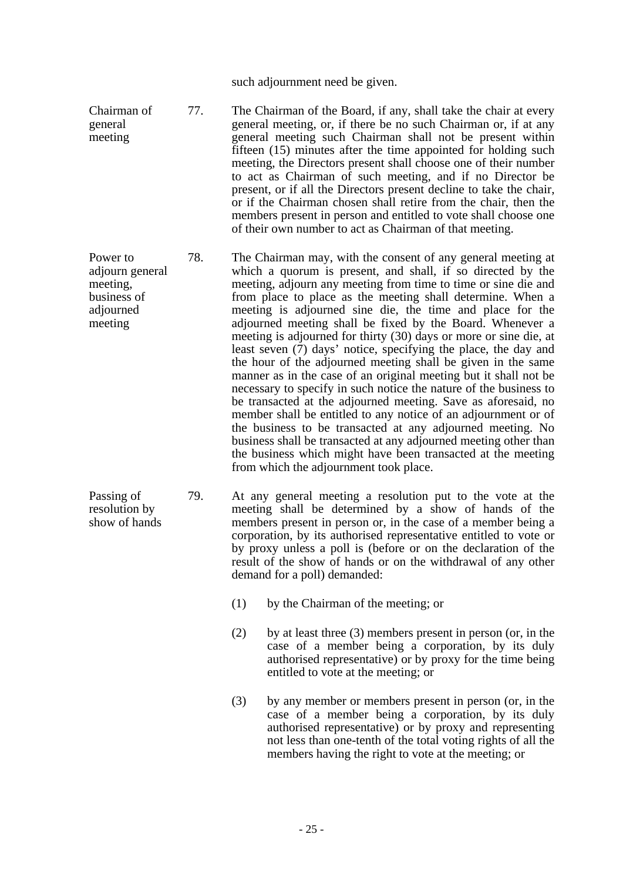such adjournment need be given.

Chairman of general meeting 77. The Chairman of the Board, if any, shall take the chair at every general meeting, or, if there be no such Chairman or, if at any general meeting such Chairman shall not be present within fifteen (15) minutes after the time appointed for holding such meeting, the Directors present shall choose one of their number to act as Chairman of such meeting, and if no Director be present, or if all the Directors present decline to take the chair, or if the Chairman chosen shall retire from the chair, then the members present in person and entitled to vote shall choose one of their own number to act as Chairman of that meeting.

Power to adjourn general meeting, business of adjourned meeting 78. The Chairman may, with the consent of any general meeting at which a quorum is present, and shall, if so directed by the meeting, adjourn any meeting from time to time or sine die and from place to place as the meeting shall determine. When a meeting is adjourned sine die, the time and place for the adjourned meeting shall be fixed by the Board. Whenever a meeting is adjourned for thirty (30) days or more or sine die, at least seven (7) days' notice, specifying the place, the day and the hour of the adjourned meeting shall be given in the same manner as in the case of an original meeting but it shall not be necessary to specify in such notice the nature of the business to be transacted at the adjourned meeting. Save as aforesaid, no member shall be entitled to any notice of an adjournment or of the business to be transacted at any adjourned meeting. No business shall be transacted at any adjourned meeting other than the business which might have been transacted at the meeting from which the adjournment took place.

Passing of resolution by show of hands 79. At any general meeting a resolution put to the vote at the meeting shall be determined by a show of hands of the members present in person or, in the case of a member being a corporation, by its authorised representative entitled to vote or by proxy unless a poll is (before or on the declaration of the result of the show of hands or on the withdrawal of any other demand for a poll) demanded:

- (1) by the Chairman of the meeting; or
- (2) by at least three (3) members present in person (or, in the case of a member being a corporation, by its duly authorised representative) or by proxy for the time being entitled to vote at the meeting; or
- (3) by any member or members present in person (or, in the case of a member being a corporation, by its duly authorised representative) or by proxy and representing not less than one-tenth of the total voting rights of all the members having the right to vote at the meeting; or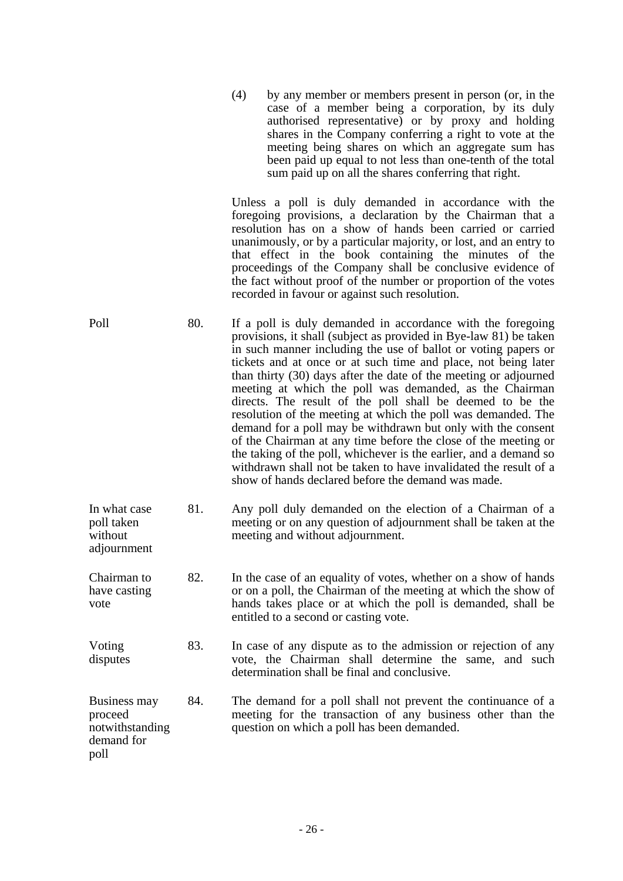| (4) | by any member or members present in person (or, in the<br>case of a member being a corporation, by its duly<br>authorised representative) or by proxy and holding<br>shares in the Company conferring a right to vote at the<br>meeting being shares on which an aggregate sum has<br>been paid up equal to not less than one-tenth of the total |
|-----|--------------------------------------------------------------------------------------------------------------------------------------------------------------------------------------------------------------------------------------------------------------------------------------------------------------------------------------------------|
|     | sum paid up on all the shares conferring that right.                                                                                                                                                                                                                                                                                             |

 Unless a poll is duly demanded in accordance with the foregoing provisions, a declaration by the Chairman that a resolution has on a show of hands been carried or carried unanimously, or by a particular majority, or lost, and an entry to that effect in the book containing the minutes of the proceedings of the Company shall be conclusive evidence of the fact without proof of the number or proportion of the votes recorded in favour or against such resolution.

- Poll 80. If a poll is duly demanded in accordance with the foregoing provisions, it shall (subject as provided in Bye-law 81) be taken in such manner including the use of ballot or voting papers or tickets and at once or at such time and place, not being later than thirty (30) days after the date of the meeting or adjourned meeting at which the poll was demanded, as the Chairman directs. The result of the poll shall be deemed to be the resolution of the meeting at which the poll was demanded. The demand for a poll may be withdrawn but only with the consent of the Chairman at any time before the close of the meeting or the taking of the poll, whichever is the earlier, and a demand so withdrawn shall not be taken to have invalidated the result of a show of hands declared before the demand was made.
- In what case poll taken without adjournment 81. Any poll duly demanded on the election of a Chairman of a meeting or on any question of adjournment shall be taken at the meeting and without adjournment.
- Chairman to have casting vote 82. In the case of an equality of votes, whether on a show of hands or on a poll, the Chairman of the meeting at which the show of hands takes place or at which the poll is demanded, shall be entitled to a second or casting vote.
- Voting disputes 83. In case of any dispute as to the admission or rejection of any vote, the Chairman shall determine the same, and such determination shall be final and conclusive.
- Business may proceed notwithstanding demand for 84. The demand for a poll shall not prevent the continuance of a meeting for the transaction of any business other than the question on which a poll has been demanded.

poll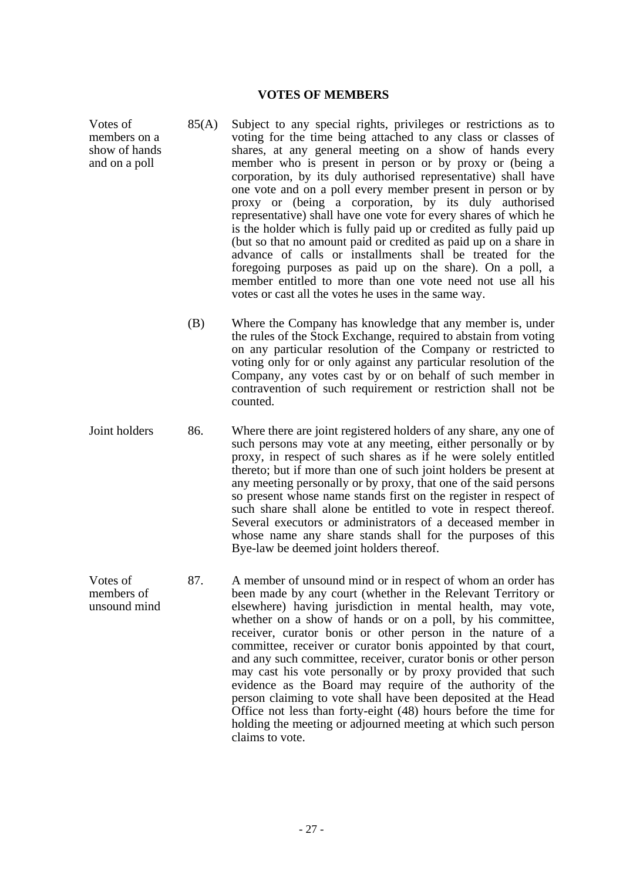### **VOTES OF MEMBERS**

Votes of members on a show of hands and on a poll

- 85(A) Subject to any special rights, privileges or restrictions as to voting for the time being attached to any class or classes of shares, at any general meeting on a show of hands every member who is present in person or by proxy or (being a corporation, by its duly authorised representative) shall have one vote and on a poll every member present in person or by proxy or (being a corporation, by its duly authorised representative) shall have one vote for every shares of which he is the holder which is fully paid up or credited as fully paid up (but so that no amount paid or credited as paid up on a share in advance of calls or installments shall be treated for the foregoing purposes as paid up on the share). On a poll, a member entitled to more than one vote need not use all his votes or cast all the votes he uses in the same way.
- (B) Where the Company has knowledge that any member is, under the rules of the Stock Exchange, required to abstain from voting on any particular resolution of the Company or restricted to voting only for or only against any particular resolution of the Company, any votes cast by or on behalf of such member in contravention of such requirement or restriction shall not be counted.
- Joint holders 86. Where there are joint registered holders of any share, any one of such persons may vote at any meeting, either personally or by proxy, in respect of such shares as if he were solely entitled thereto; but if more than one of such joint holders be present at any meeting personally or by proxy, that one of the said persons so present whose name stands first on the register in respect of such share shall alone be entitled to vote in respect thereof. Several executors or administrators of a deceased member in whose name any share stands shall for the purposes of this Bye-law be deemed joint holders thereof.
- Votes of members of unsound mind 87. A member of unsound mind or in respect of whom an order has been made by any court (whether in the Relevant Territory or elsewhere) having jurisdiction in mental health, may vote, whether on a show of hands or on a poll, by his committee, receiver, curator bonis or other person in the nature of a committee, receiver or curator bonis appointed by that court, and any such committee, receiver, curator bonis or other person may cast his vote personally or by proxy provided that such evidence as the Board may require of the authority of the person claiming to vote shall have been deposited at the Head Office not less than forty-eight (48) hours before the time for holding the meeting or adjourned meeting at which such person claims to vote.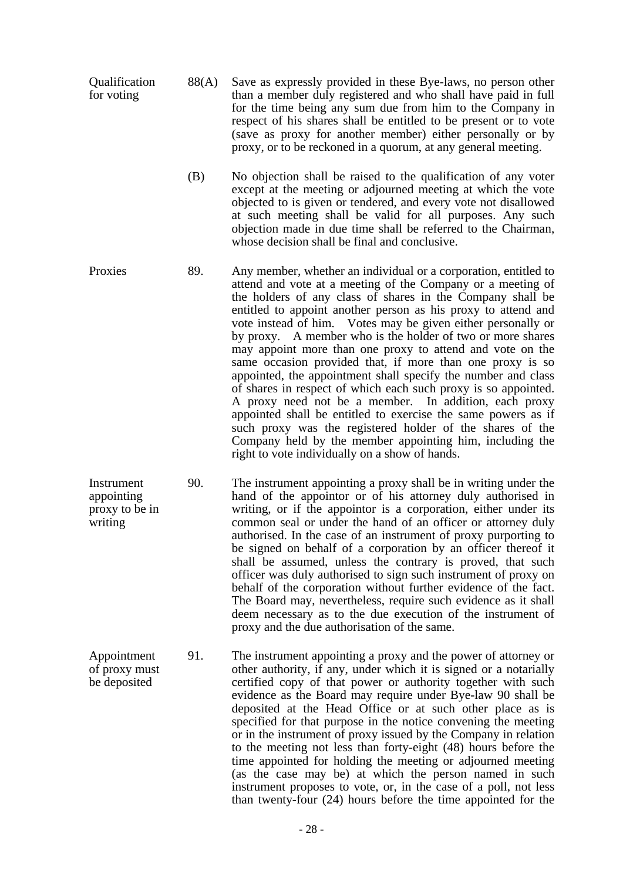- **Oualification** for voting 88(A) Save as expressly provided in these Bye-laws, no person other than a member duly registered and who shall have paid in full for the time being any sum due from him to the Company in respect of his shares shall be entitled to be present or to vote (save as proxy for another member) either personally or by proxy, or to be reckoned in a quorum, at any general meeting.
	- (B) No objection shall be raised to the qualification of any voter except at the meeting or adjourned meeting at which the vote objected to is given or tendered, and every vote not disallowed at such meeting shall be valid for all purposes. Any such objection made in due time shall be referred to the Chairman, whose decision shall be final and conclusive.
- Proxies 89. Any member, whether an individual or a corporation, entitled to attend and vote at a meeting of the Company or a meeting of the holders of any class of shares in the Company shall be entitled to appoint another person as his proxy to attend and vote instead of him. Votes may be given either personally or by proxy. A member who is the holder of two or more shares may appoint more than one proxy to attend and vote on the same occasion provided that, if more than one proxy is so appointed, the appointment shall specify the number and class of shares in respect of which each such proxy is so appointed. A proxy need not be a member. In addition, each proxy appointed shall be entitled to exercise the same powers as if such proxy was the registered holder of the shares of the Company held by the member appointing him, including the right to vote individually on a show of hands.
- Instrument appointing proxy to be in writing 90. The instrument appointing a proxy shall be in writing under the hand of the appointor or of his attorney duly authorised in writing, or if the appointor is a corporation, either under its common seal or under the hand of an officer or attorney duly authorised. In the case of an instrument of proxy purporting to be signed on behalf of a corporation by an officer thereof it shall be assumed, unless the contrary is proved, that such officer was duly authorised to sign such instrument of proxy on behalf of the corporation without further evidence of the fact. The Board may, nevertheless, require such evidence as it shall deem necessary as to the due execution of the instrument of proxy and the due authorisation of the same.

Appointment of proxy must be deposited 91. The instrument appointing a proxy and the power of attorney or other authority, if any, under which it is signed or a notarially certified copy of that power or authority together with such evidence as the Board may require under Bye-law 90 shall be deposited at the Head Office or at such other place as is specified for that purpose in the notice convening the meeting or in the instrument of proxy issued by the Company in relation to the meeting not less than forty-eight (48) hours before the time appointed for holding the meeting or adjourned meeting (as the case may be) at which the person named in such instrument proposes to vote, or, in the case of a poll, not less than twenty-four (24) hours before the time appointed for the

- 28 -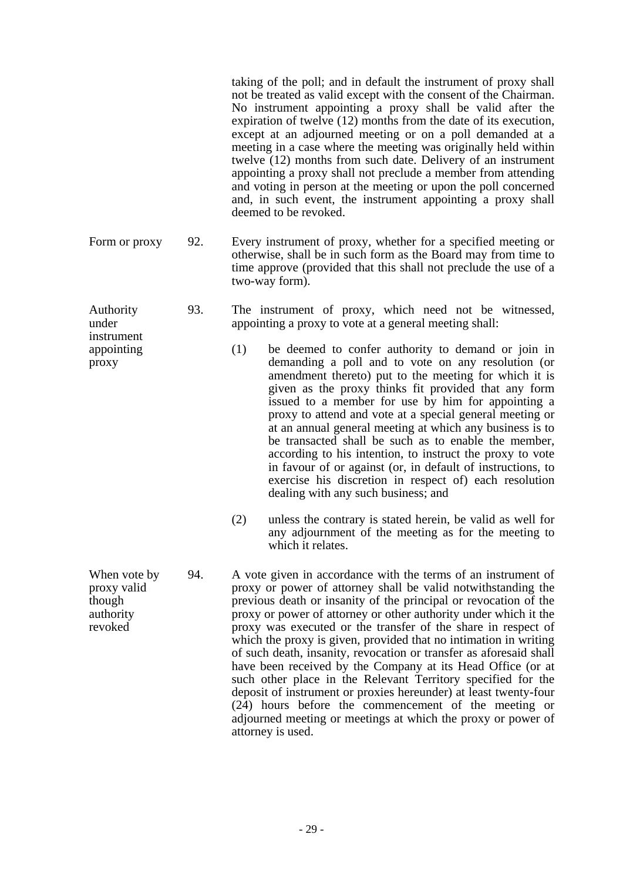taking of the poll; and in default the instrument of proxy shall not be treated as valid except with the consent of the Chairman. No instrument appointing a proxy shall be valid after the expiration of twelve (12) months from the date of its execution, except at an adjourned meeting or on a poll demanded at a meeting in a case where the meeting was originally held within twelve (12) months from such date. Delivery of an instrument appointing a proxy shall not preclude a member from attending and voting in person at the meeting or upon the poll concerned and, in such event, the instrument appointing a proxy shall deemed to be revoked.

Form or proxy 92. Every instrument of proxy, whether for a specified meeting or otherwise, shall be in such form as the Board may from time to time approve (provided that this shall not preclude the use of a two-way form).

- 93. The instrument of proxy, which need not be witnessed, appointing a proxy to vote at a general meeting shall:
	- (1) be deemed to confer authority to demand or join in demanding a poll and to vote on any resolution (or amendment thereto) put to the meeting for which it is given as the proxy thinks fit provided that any form issued to a member for use by him for appointing a proxy to attend and vote at a special general meeting or at an annual general meeting at which any business is to be transacted shall be such as to enable the member, according to his intention, to instruct the proxy to vote in favour of or against (or, in default of instructions, to exercise his discretion in respect of) each resolution dealing with any such business; and
	- (2) unless the contrary is stated herein, be valid as well for any adjournment of the meeting as for the meeting to which it relates.
- When vote by proxy valid though authority revoked 94. A vote given in accordance with the terms of an instrument of proxy or power of attorney shall be valid notwithstanding the previous death or insanity of the principal or revocation of the proxy or power of attorney or other authority under which it the proxy was executed or the transfer of the share in respect of which the proxy is given, provided that no intimation in writing of such death, insanity, revocation or transfer as aforesaid shall have been received by the Company at its Head Office (or at such other place in the Relevant Territory specified for the deposit of instrument or proxies hereunder) at least twenty-four (24) hours before the commencement of the meeting or adjourned meeting or meetings at which the proxy or power of attorney is used.

Authority under instrument appointing

proxy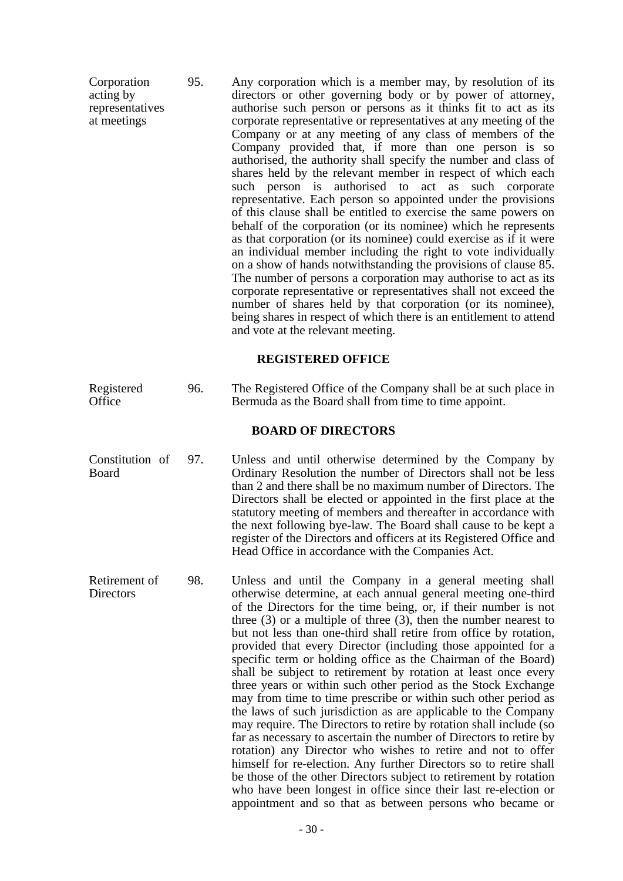Corporation acting by representatives at meetings 95. Any corporation which is a member may, by resolution of its directors or other governing body or by power of attorney, authorise such person or persons as it thinks fit to act as its corporate representative or representatives at any meeting of the Company or at any meeting of any class of members of the Company provided that, if more than one person is so authorised, the authority shall specify the number and class of shares held by the relevant member in respect of which each such person is authorised to act as such corporate representative. Each person so appointed under the provisions of this clause shall be entitled to exercise the same powers on behalf of the corporation (or its nominee) which he represents as that corporation (or its nominee) could exercise as if it were an individual member including the right to vote individually on a show of hands notwithstanding the provisions of clause 85. The number of persons a corporation may authorise to act as its corporate representative or representatives shall not exceed the number of shares held by that corporation (or its nominee), being shares in respect of which there is an entitlement to attend and vote at the relevant meeting.

### **REGISTERED OFFICE**

| Registered<br>Office       | 96. | The Registered Office of the Company shall be at such place in<br>Bermuda as the Board shall from time to time appoint.                                                                                                                                                                                                                                                                                                                                                                                                                                                                                                                                                                                                                                                                                                                                                                                                                                                                                                                                                                                                                                                                                                                 |  |  |  |  |  |
|----------------------------|-----|-----------------------------------------------------------------------------------------------------------------------------------------------------------------------------------------------------------------------------------------------------------------------------------------------------------------------------------------------------------------------------------------------------------------------------------------------------------------------------------------------------------------------------------------------------------------------------------------------------------------------------------------------------------------------------------------------------------------------------------------------------------------------------------------------------------------------------------------------------------------------------------------------------------------------------------------------------------------------------------------------------------------------------------------------------------------------------------------------------------------------------------------------------------------------------------------------------------------------------------------|--|--|--|--|--|
| <b>BOARD OF DIRECTORS</b>  |     |                                                                                                                                                                                                                                                                                                                                                                                                                                                                                                                                                                                                                                                                                                                                                                                                                                                                                                                                                                                                                                                                                                                                                                                                                                         |  |  |  |  |  |
| Constitution of<br>Board   | 97. | Unless and until otherwise determined by the Company by<br>Ordinary Resolution the number of Directors shall not be less<br>than 2 and there shall be no maximum number of Directors. The<br>Directors shall be elected or appointed in the first place at the<br>statutory meeting of members and thereafter in accordance with<br>the next following bye-law. The Board shall cause to be kept a<br>register of the Directors and officers at its Registered Office and<br>Head Office in accordance with the Companies Act.                                                                                                                                                                                                                                                                                                                                                                                                                                                                                                                                                                                                                                                                                                          |  |  |  |  |  |
| Retirement of<br>Directors | 98. | Unless and until the Company in a general meeting shall<br>otherwise determine, at each annual general meeting one-third<br>of the Directors for the time being, or, if their number is not<br>three $(3)$ or a multiple of three $(3)$ , then the number nearest to<br>but not less than one-third shall retire from office by rotation,<br>provided that every Director (including those appointed for a<br>specific term or holding office as the Chairman of the Board)<br>shall be subject to retirement by rotation at least once every<br>three years or within such other period as the Stock Exchange<br>may from time to time prescribe or within such other period as<br>the laws of such jurisdiction as are applicable to the Company<br>may require. The Directors to retire by rotation shall include (so<br>far as necessary to ascertain the number of Directors to retire by<br>rotation) any Director who wishes to retire and not to offer<br>himself for re-election. Any further Directors so to retire shall<br>be those of the other Directors subject to retirement by rotation<br>who have been longest in office since their last re-election or<br>appointment and so that as between persons who became or |  |  |  |  |  |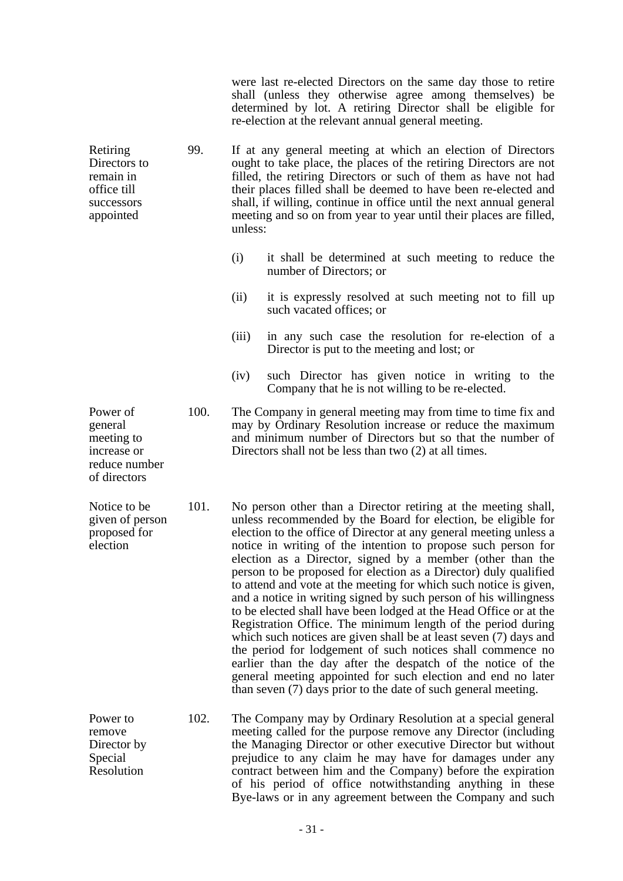were last re-elected Directors on the same day those to retire shall (unless they otherwise agree among themselves) be determined by lot. A retiring Director shall be eligible for re-election at the relevant annual general meeting.

- Retiring Directors to remain in office till successors appointed 99. If at any general meeting at which an election of Directors ought to take place, the places of the retiring Directors are not filled, the retiring Directors or such of them as have not had their places filled shall be deemed to have been re-elected and shall, if willing, continue in office until the next annual general meeting and so on from year to year until their places are filled, unless:
	- (i) it shall be determined at such meeting to reduce the number of Directors; or
	- (ii) it is expressly resolved at such meeting not to fill up such vacated offices; or
	- (iii) in any such case the resolution for re-election of a Director is put to the meeting and lost; or
	- (iv) such Director has given notice in writing to the Company that he is not willing to be re-elected.

Power of meeting to increase or reduce number 100. The Company in general meeting may from time to time fix and may by Ordinary Resolution increase or reduce the maximum and minimum number of Directors but so that the number of Directors shall not be less than two (2) at all times.

Notice to be given of person proposed for election 101. No person other than a Director retiring at the meeting shall, unless recommended by the Board for election, be eligible for election to the office of Director at any general meeting unless a notice in writing of the intention to propose such person for election as a Director, signed by a member (other than the person to be proposed for election as a Director) duly qualified to attend and vote at the meeting for which such notice is given, and a notice in writing signed by such person of his willingness to be elected shall have been lodged at the Head Office or at the Registration Office. The minimum length of the period during which such notices are given shall be at least seven (7) days and the period for lodgement of such notices shall commence no earlier than the day after the despatch of the notice of the general meeting appointed for such election and end no later than seven (7) days prior to the date of such general meeting.

> 102. The Company may by Ordinary Resolution at a special general meeting called for the purpose remove any Director (including the Managing Director or other executive Director but without prejudice to any claim he may have for damages under any contract between him and the Company) before the expiration of his period of office notwithstanding anything in these Bye-laws or in any agreement between the Company and such

general

of directors

Power to remove Director by Special Resolution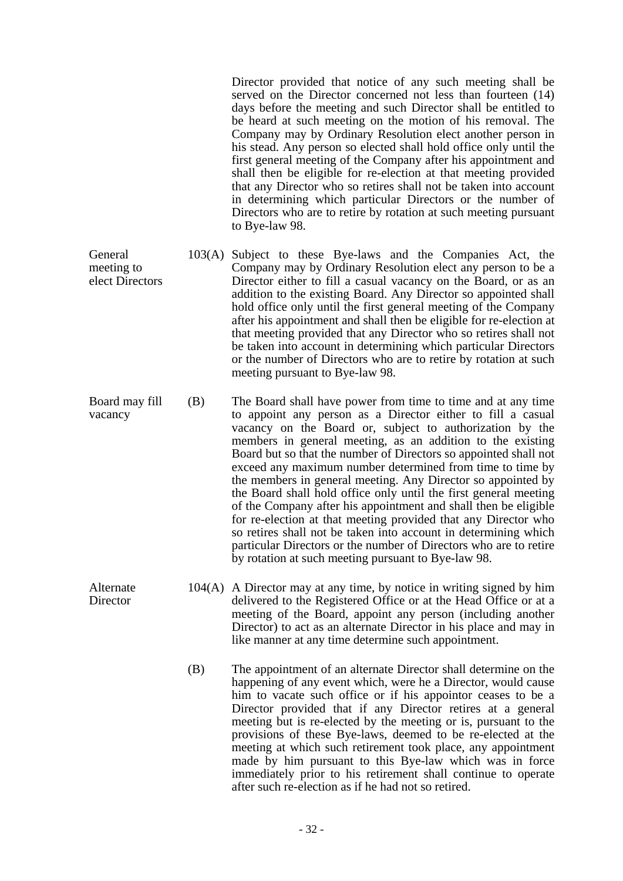Director provided that notice of any such meeting shall be served on the Director concerned not less than fourteen (14) days before the meeting and such Director shall be entitled to be heard at such meeting on the motion of his removal. The Company may by Ordinary Resolution elect another person in his stead. Any person so elected shall hold office only until the first general meeting of the Company after his appointment and shall then be eligible for re-election at that meeting provided that any Director who so retires shall not be taken into account in determining which particular Directors or the number of Directors who are to retire by rotation at such meeting pursuant to Bye-law 98.

- General meeting to elect Directors 103(A) Subject to these Bye-laws and the Companies Act, the Company may by Ordinary Resolution elect any person to be a Director either to fill a casual vacancy on the Board, or as an addition to the existing Board. Any Director so appointed shall hold office only until the first general meeting of the Company after his appointment and shall then be eligible for re-election at that meeting provided that any Director who so retires shall not be taken into account in determining which particular Directors or the number of Directors who are to retire by rotation at such meeting pursuant to Bye-law 98.
- Board may fill vacancy (B) The Board shall have power from time to time and at any time to appoint any person as a Director either to fill a casual vacancy on the Board or, subject to authorization by the members in general meeting, as an addition to the existing Board but so that the number of Directors so appointed shall not exceed any maximum number determined from time to time by the members in general meeting. Any Director so appointed by the Board shall hold office only until the first general meeting of the Company after his appointment and shall then be eligible for re-election at that meeting provided that any Director who so retires shall not be taken into account in determining which particular Directors or the number of Directors who are to retire by rotation at such meeting pursuant to Bye-law 98.

Alternate **Director** 

- 104(A) A Director may at any time, by notice in writing signed by him delivered to the Registered Office or at the Head Office or at a meeting of the Board, appoint any person (including another Director) to act as an alternate Director in his place and may in like manner at any time determine such appointment.
	- (B) The appointment of an alternate Director shall determine on the happening of any event which, were he a Director, would cause him to vacate such office or if his appointor ceases to be a Director provided that if any Director retires at a general meeting but is re-elected by the meeting or is, pursuant to the provisions of these Bye-laws, deemed to be re-elected at the meeting at which such retirement took place, any appointment made by him pursuant to this Bye-law which was in force immediately prior to his retirement shall continue to operate after such re-election as if he had not so retired.
		- 32 -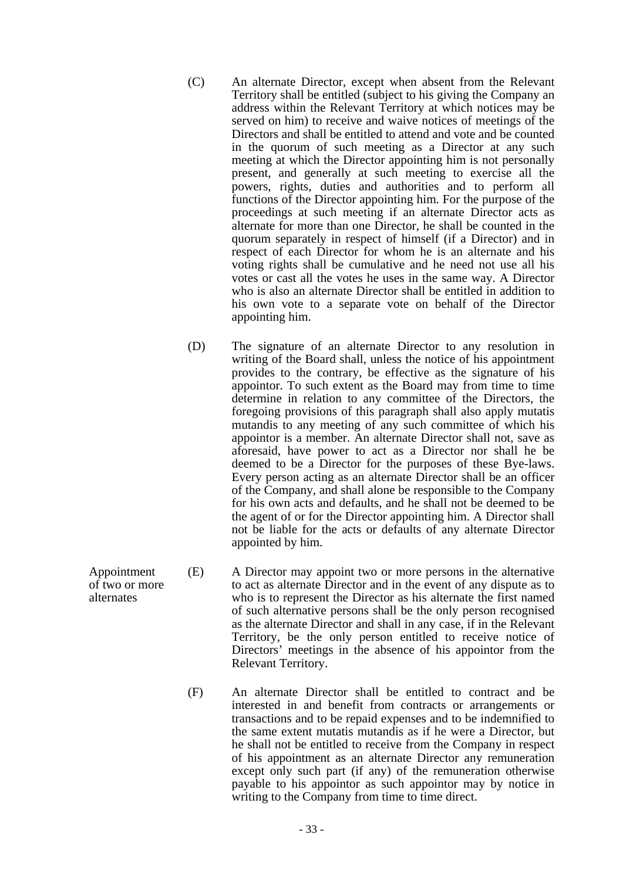- (C) An alternate Director, except when absent from the Relevant Territory shall be entitled (subject to his giving the Company an address within the Relevant Territory at which notices may be served on him) to receive and waive notices of meetings of the Directors and shall be entitled to attend and vote and be counted in the quorum of such meeting as a Director at any such meeting at which the Director appointing him is not personally present, and generally at such meeting to exercise all the powers, rights, duties and authorities and to perform all functions of the Director appointing him. For the purpose of the proceedings at such meeting if an alternate Director acts as alternate for more than one Director, he shall be counted in the quorum separately in respect of himself (if a Director) and in respect of each Director for whom he is an alternate and his voting rights shall be cumulative and he need not use all his votes or cast all the votes he uses in the same way. A Director who is also an alternate Director shall be entitled in addition to his own vote to a separate vote on behalf of the Director appointing him.
- (D) The signature of an alternate Director to any resolution in writing of the Board shall, unless the notice of his appointment provides to the contrary, be effective as the signature of his appointor. To such extent as the Board may from time to time determine in relation to any committee of the Directors, the foregoing provisions of this paragraph shall also apply mutatis mutandis to any meeting of any such committee of which his appointor is a member. An alternate Director shall not, save as aforesaid, have power to act as a Director nor shall he be deemed to be a Director for the purposes of these Bye-laws. Every person acting as an alternate Director shall be an officer of the Company, and shall alone be responsible to the Company for his own acts and defaults, and he shall not be deemed to be the agent of or for the Director appointing him. A Director shall not be liable for the acts or defaults of any alternate Director appointed by him.
- (E) A Director may appoint two or more persons in the alternative to act as alternate Director and in the event of any dispute as to who is to represent the Director as his alternate the first named of such alternative persons shall be the only person recognised as the alternate Director and shall in any case, if in the Relevant Territory, be the only person entitled to receive notice of Directors' meetings in the absence of his appointor from the Relevant Territory.
	- (F) An alternate Director shall be entitled to contract and be interested in and benefit from contracts or arrangements or transactions and to be repaid expenses and to be indemnified to the same extent mutatis mutandis as if he were a Director, but he shall not be entitled to receive from the Company in respect of his appointment as an alternate Director any remuneration except only such part (if any) of the remuneration otherwise payable to his appointor as such appointor may by notice in writing to the Company from time to time direct.

Appointment of two or more alternates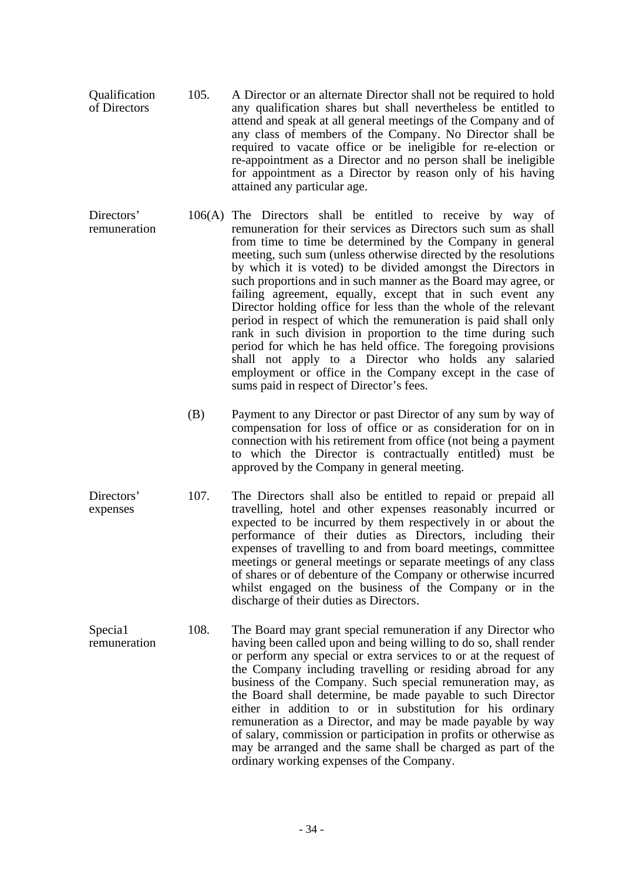- Qualification of Directors 105. A Director or an alternate Director shall not be required to hold any qualification shares but shall nevertheless be entitled to attend and speak at all general meetings of the Company and of any class of members of the Company. No Director shall be required to vacate office or be ineligible for re-election or re-appointment as a Director and no person shall be ineligible for appointment as a Director by reason only of his having attained any particular age.
- Directors' remuneration 106(A) The Directors shall be entitled to receive by way of remuneration for their services as Directors such sum as shall from time to time be determined by the Company in general meeting, such sum (unless otherwise directed by the resolutions by which it is voted) to be divided amongst the Directors in such proportions and in such manner as the Board may agree, or failing agreement, equally, except that in such event any Director holding office for less than the whole of the relevant period in respect of which the remuneration is paid shall only rank in such division in proportion to the time during such period for which he has held office. The foregoing provisions shall not apply to a Director who holds any salaried employment or office in the Company except in the case of sums paid in respect of Director's fees.
	- (B) Payment to any Director or past Director of any sum by way of compensation for loss of office or as consideration for on in connection with his retirement from office (not being a payment to which the Director is contractually entitled) must be approved by the Company in general meeting.
- Directors' expenses 107. The Directors shall also be entitled to repaid or prepaid all travelling, hotel and other expenses reasonably incurred or expected to be incurred by them respectively in or about the performance of their duties as Directors, including their expenses of travelling to and from board meetings, committee meetings or general meetings or separate meetings of any class of shares or of debenture of the Company or otherwise incurred whilst engaged on the business of the Company or in the discharge of their duties as Directors.
- Specia1 remuneration 108. The Board may grant special remuneration if any Director who having been called upon and being willing to do so, shall render or perform any special or extra services to or at the request of the Company including travelling or residing abroad for any business of the Company. Such special remuneration may, as the Board shall determine, be made payable to such Director either in addition to or in substitution for his ordinary remuneration as a Director, and may be made payable by way of salary, commission or participation in profits or otherwise as may be arranged and the same shall be charged as part of the ordinary working expenses of the Company.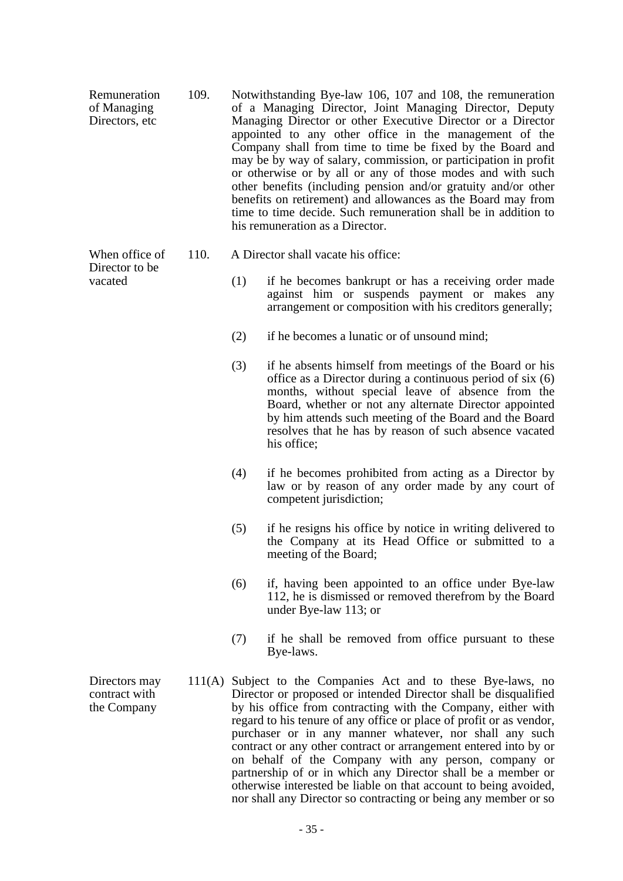- Remuneration of Managing Directors, etc. 109. Notwithstanding Bye-law 106, 107 and 108, the remuneration of a Managing Director, Joint Managing Director, Deputy Managing Director or other Executive Director or a Director appointed to any other office in the management of the Company shall from time to time be fixed by the Board and may be by way of salary, commission, or participation in profit or otherwise or by all or any of those modes and with such other benefits (including pension and/or gratuity and/or other benefits on retirement) and allowances as the Board may from time to time decide. Such remuneration shall be in addition to his remuneration as a Director.
	- 110. A Director shall vacate his office:
		- (1) if he becomes bankrupt or has a receiving order made against him or suspends payment or makes any arrangement or composition with his creditors generally;
		- (2) if he becomes a lunatic or of unsound mind;
		- (3) if he absents himself from meetings of the Board or his office as a Director during a continuous period of six (6) months, without special leave of absence from the Board, whether or not any alternate Director appointed by him attends such meeting of the Board and the Board resolves that he has by reason of such absence vacated his office;
		- (4) if he becomes prohibited from acting as a Director by law or by reason of any order made by any court of competent jurisdiction;
		- (5) if he resigns his office by notice in writing delivered to the Company at its Head Office or submitted to a meeting of the Board;
		- (6) if, having been appointed to an office under Bye-law 112, he is dismissed or removed therefrom by the Board under Bye-law 113; or
		- (7) if he shall be removed from office pursuant to these Bye-laws.
	- 111(A) Subject to the Companies Act and to these Bye-laws, no Director or proposed or intended Director shall be disqualified by his office from contracting with the Company, either with regard to his tenure of any office or place of profit or as vendor, purchaser or in any manner whatever, nor shall any such contract or any other contract or arrangement entered into by or on behalf of the Company with any person, company or partnership of or in which any Director shall be a member or otherwise interested be liable on that account to being avoided, nor shall any Director so contracting or being any member or so

Directors may contract with the Company

When office of Director to be vacated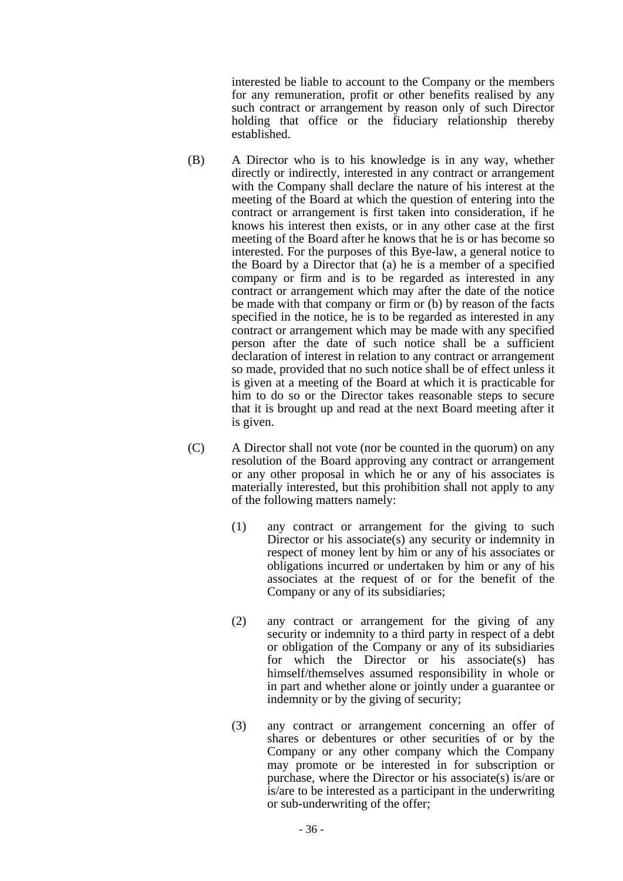interested be liable to account to the Company or the members for any remuneration, profit or other benefits realised by any such contract or arrangement by reason only of such Director holding that office or the fiduciary relationship thereby established.

- (B) A Director who is to his knowledge is in any way, whether directly or indirectly, interested in any contract or arrangement with the Company shall declare the nature of his interest at the meeting of the Board at which the question of entering into the contract or arrangement is first taken into consideration, if he knows his interest then exists, or in any other case at the first meeting of the Board after he knows that he is or has become so interested. For the purposes of this Bye-law, a general notice to the Board by a Director that (a) he is a member of a specified company or firm and is to be regarded as interested in any contract or arrangement which may after the date of the notice be made with that company or firm or (b) by reason of the facts specified in the notice, he is to be regarded as interested in any contract or arrangement which may be made with any specified person after the date of such notice shall be a sufficient declaration of interest in relation to any contract or arrangement so made, provided that no such notice shall be of effect unless it is given at a meeting of the Board at which it is practicable for him to do so or the Director takes reasonable steps to secure that it is brought up and read at the next Board meeting after it is given.
- (C) A Director shall not vote (nor be counted in the quorum) on any resolution of the Board approving any contract or arrangement or any other proposal in which he or any of his associates is materially interested, but this prohibition shall not apply to any of the following matters namely:
	- (1) any contract or arrangement for the giving to such Director or his associate(s) any security or indemnity in respect of money lent by him or any of his associates or obligations incurred or undertaken by him or any of his associates at the request of or for the benefit of the Company or any of its subsidiaries;
	- (2) any contract or arrangement for the giving of any security or indemnity to a third party in respect of a debt or obligation of the Company or any of its subsidiaries for which the Director or his associate(s) has himself/themselves assumed responsibility in whole or in part and whether alone or jointly under a guarantee or indemnity or by the giving of security;
	- (3) any contract or arrangement concerning an offer of shares or debentures or other securities of or by the Company or any other company which the Company may promote or be interested in for subscription or purchase, where the Director or his associate(s) is/are or is/are to be interested as a participant in the underwriting or sub-underwriting of the offer;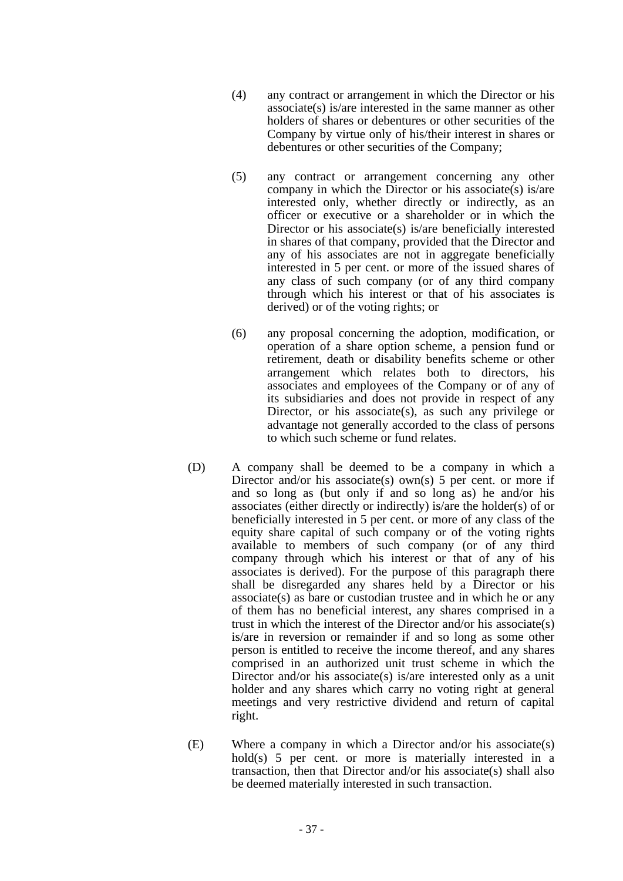- (4) any contract or arrangement in which the Director or his associate(s) is/are interested in the same manner as other holders of shares or debentures or other securities of the Company by virtue only of his/their interest in shares or debentures or other securities of the Company;
- (5) any contract or arrangement concerning any other company in which the Director or his associate(s) is/are interested only, whether directly or indirectly, as an officer or executive or a shareholder or in which the Director or his associate(s) is/are beneficially interested in shares of that company, provided that the Director and any of his associates are not in aggregate beneficially interested in 5 per cent. or more of the issued shares of any class of such company (or of any third company through which his interest or that of his associates is derived) or of the voting rights; or
- (6) any proposal concerning the adoption, modification, or operation of a share option scheme, a pension fund or retirement, death or disability benefits scheme or other arrangement which relates both to directors, his associates and employees of the Company or of any of its subsidiaries and does not provide in respect of any Director, or his associate(s), as such any privilege or advantage not generally accorded to the class of persons to which such scheme or fund relates.
- (D) A company shall be deemed to be a company in which a Director and/or his associate(s) own(s)  $5$  per cent. or more if and so long as (but only if and so long as) he and/or his associates (either directly or indirectly) is/are the holder(s) of or beneficially interested in 5 per cent. or more of any class of the equity share capital of such company or of the voting rights available to members of such company (or of any third company through which his interest or that of any of his associates is derived). For the purpose of this paragraph there shall be disregarded any shares held by a Director or his associate(s) as bare or custodian trustee and in which he or any of them has no beneficial interest, any shares comprised in a trust in which the interest of the Director and/or his associate(s) is/are in reversion or remainder if and so long as some other person is entitled to receive the income thereof, and any shares comprised in an authorized unit trust scheme in which the Director and/or his associate(s) is/are interested only as a unit holder and any shares which carry no voting right at general meetings and very restrictive dividend and return of capital right.
- (E) Where a company in which a Director and/or his associate(s) hold(s) 5 per cent. or more is materially interested in a transaction, then that Director and/or his associate(s) shall also be deemed materially interested in such transaction.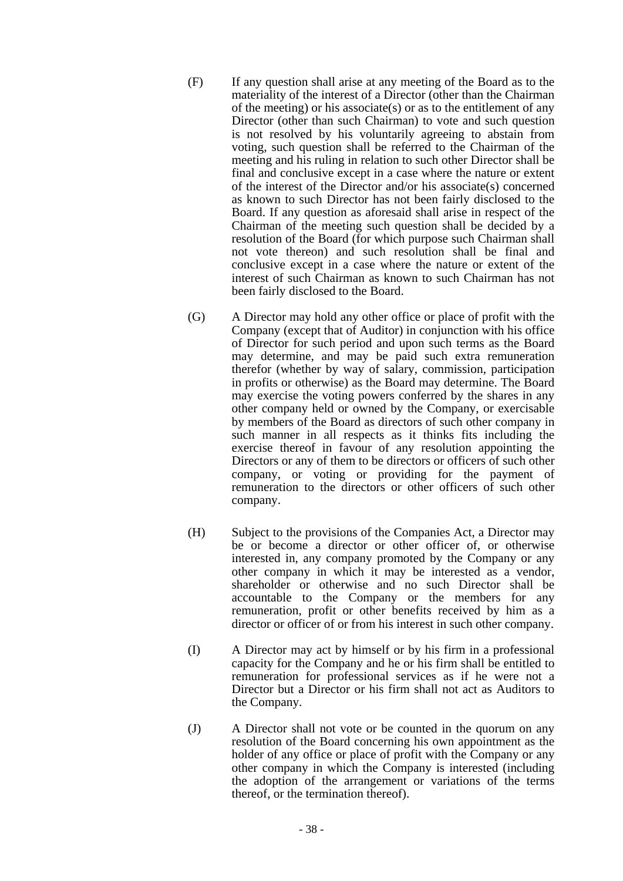- (F) If any question shall arise at any meeting of the Board as to the materiality of the interest of a Director (other than the Chairman of the meeting) or his associate(s) or as to the entitlement of any Director (other than such Chairman) to vote and such question is not resolved by his voluntarily agreeing to abstain from voting, such question shall be referred to the Chairman of the meeting and his ruling in relation to such other Director shall be final and conclusive except in a case where the nature or extent of the interest of the Director and/or his associate(s) concerned as known to such Director has not been fairly disclosed to the Board. If any question as aforesaid shall arise in respect of the Chairman of the meeting such question shall be decided by a resolution of the Board (for which purpose such Chairman shall not vote thereon) and such resolution shall be final and conclusive except in a case where the nature or extent of the interest of such Chairman as known to such Chairman has not been fairly disclosed to the Board.
- (G) A Director may hold any other office or place of profit with the Company (except that of Auditor) in conjunction with his office of Director for such period and upon such terms as the Board may determine, and may be paid such extra remuneration therefor (whether by way of salary, commission, participation in profits or otherwise) as the Board may determine. The Board may exercise the voting powers conferred by the shares in any other company held or owned by the Company, or exercisable by members of the Board as directors of such other company in such manner in all respects as it thinks fits including the exercise thereof in favour of any resolution appointing the Directors or any of them to be directors or officers of such other company, or voting or providing for the payment of remuneration to the directors or other officers of such other company.
- (H) Subject to the provisions of the Companies Act, a Director may be or become a director or other officer of, or otherwise interested in, any company promoted by the Company or any other company in which it may be interested as a vendor, shareholder or otherwise and no such Director shall be accountable to the Company or the members for any remuneration, profit or other benefits received by him as a director or officer of or from his interest in such other company.
- (I) A Director may act by himself or by his firm in a professional capacity for the Company and he or his firm shall be entitled to remuneration for professional services as if he were not a Director but a Director or his firm shall not act as Auditors to the Company.
- (J) A Director shall not vote or be counted in the quorum on any resolution of the Board concerning his own appointment as the holder of any office or place of profit with the Company or any other company in which the Company is interested (including the adoption of the arrangement or variations of the terms thereof, or the termination thereof).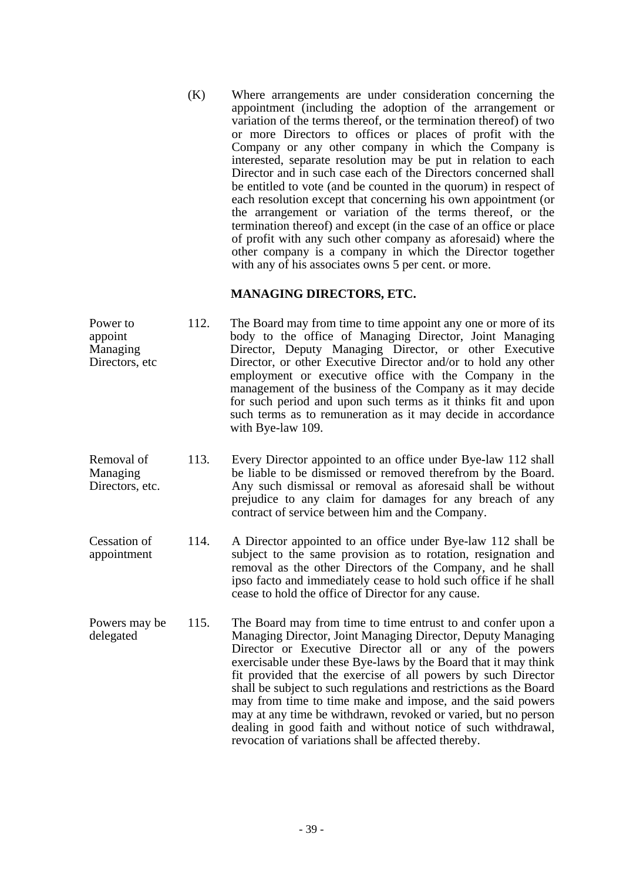(K) Where arrangements are under consideration concerning the appointment (including the adoption of the arrangement or variation of the terms thereof, or the termination thereof) of two or more Directors to offices or places of profit with the Company or any other company in which the Company is interested, separate resolution may be put in relation to each Director and in such case each of the Directors concerned shall be entitled to vote (and be counted in the quorum) in respect of each resolution except that concerning his own appointment (or the arrangement or variation of the terms thereof, or the termination thereof) and except (in the case of an office or place of profit with any such other company as aforesaid) where the other company is a company in which the Director together with any of his associates owns 5 per cent. or more.

# **MANAGING DIRECTORS, ETC.**

- Power to appoint Managing Directors, etc 112. The Board may from time to time appoint any one or more of its body to the office of Managing Director, Joint Managing Director, Deputy Managing Director, or other Executive Director, or other Executive Director and/or to hold any other employment or executive office with the Company in the management of the business of the Company as it may decide for such period and upon such terms as it thinks fit and upon such terms as to remuneration as it may decide in accordance with Bye-law 109.
- Removal of Managing Directors, etc. 113. Every Director appointed to an office under Bye-law 112 shall be liable to be dismissed or removed therefrom by the Board. Any such dismissal or removal as aforesaid shall be without prejudice to any claim for damages for any breach of any contract of service between him and the Company.
- Cessation of appointment 114. A Director appointed to an office under Bye-law 112 shall be subject to the same provision as to rotation, resignation and removal as the other Directors of the Company, and he shall ipso facto and immediately cease to hold such office if he shall cease to hold the office of Director for any cause.
- Powers may be delegated 115. The Board may from time to time entrust to and confer upon a Managing Director, Joint Managing Director, Deputy Managing Director or Executive Director all or any of the powers exercisable under these Bye-laws by the Board that it may think fit provided that the exercise of all powers by such Director shall be subject to such regulations and restrictions as the Board may from time to time make and impose, and the said powers may at any time be withdrawn, revoked or varied, but no person dealing in good faith and without notice of such withdrawal, revocation of variations shall be affected thereby.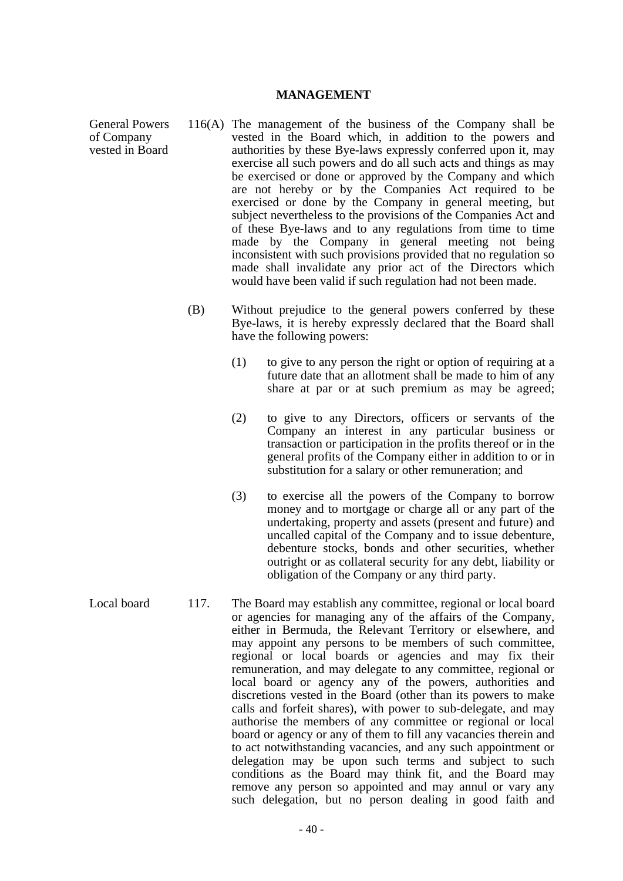#### **MANAGEMENT**

General Powers of Company vested in Board

- 116(A) The management of the business of the Company shall be vested in the Board which, in addition to the powers and authorities by these Bye-laws expressly conferred upon it, may exercise all such powers and do all such acts and things as may be exercised or done or approved by the Company and which are not hereby or by the Companies Act required to be exercised or done by the Company in general meeting, but subject nevertheless to the provisions of the Companies Act and of these Bye-laws and to any regulations from time to time made by the Company in general meeting not being inconsistent with such provisions provided that no regulation so made shall invalidate any prior act of the Directors which would have been valid if such regulation had not been made.
- (B) Without prejudice to the general powers conferred by these Bye-laws, it is hereby expressly declared that the Board shall have the following powers:
	- (1) to give to any person the right or option of requiring at a future date that an allotment shall be made to him of any share at par or at such premium as may be agreed;
	- (2) to give to any Directors, officers or servants of the Company an interest in any particular business or transaction or participation in the profits thereof or in the general profits of the Company either in addition to or in substitution for a salary or other remuneration; and
	- (3) to exercise all the powers of the Company to borrow money and to mortgage or charge all or any part of the undertaking, property and assets (present and future) and uncalled capital of the Company and to issue debenture, debenture stocks, bonds and other securities, whether outright or as collateral security for any debt, liability or obligation of the Company or any third party.
- Local board 117. The Board may establish any committee, regional or local board or agencies for managing any of the affairs of the Company, either in Bermuda, the Relevant Territory or elsewhere, and may appoint any persons to be members of such committee, regional or local boards or agencies and may fix their remuneration, and may delegate to any committee, regional or local board or agency any of the powers, authorities and discretions vested in the Board (other than its powers to make calls and forfeit shares), with power to sub-delegate, and may authorise the members of any committee or regional or local board or agency or any of them to fill any vacancies therein and to act notwithstanding vacancies, and any such appointment or delegation may be upon such terms and subject to such conditions as the Board may think fit, and the Board may remove any person so appointed and may annul or vary any such delegation, but no person dealing in good faith and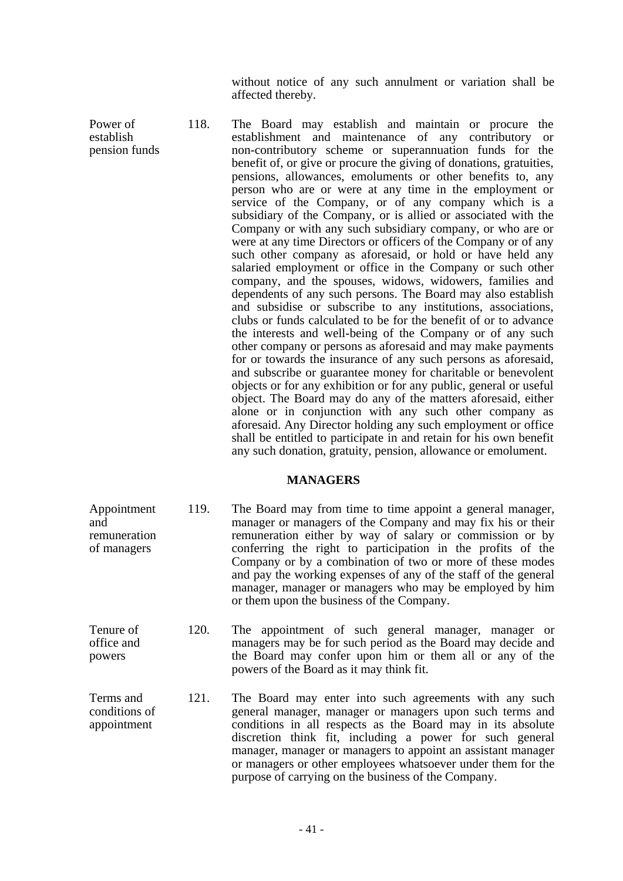without notice of any such annulment or variation shall be affected thereby.

Power of establish pension funds 118. The Board may establish and maintain or procure the establishment and maintenance of any contributory or non-contributory scheme or superannuation funds for the benefit of, or give or procure the giving of donations, gratuities, pensions, allowances, emoluments or other benefits to, any person who are or were at any time in the employment or service of the Company, or of any company which is a subsidiary of the Company, or is allied or associated with the Company or with any such subsidiary company, or who are or were at any time Directors or officers of the Company or of any such other company as aforesaid, or hold or have held any salaried employment or office in the Company or such other company, and the spouses, widows, widowers, families and dependents of any such persons. The Board may also establish and subsidise or subscribe to any institutions, associations, clubs or funds calculated to be for the benefit of or to advance the interests and well-being of the Company or of any such other company or persons as aforesaid and may make payments for or towards the insurance of any such persons as aforesaid, and subscribe or guarantee money for charitable or benevolent objects or for any exhibition or for any public, general or useful object. The Board may do any of the matters aforesaid, either alone or in conjunction with any such other company as aforesaid. Any Director holding any such employment or office shall be entitled to participate in and retain for his own benefit any such donation, gratuity, pension, allowance or emolument.

# **MANAGERS**

- Appointment and remuneration of managers 119. The Board may from time to time appoint a general manager, manager or managers of the Company and may fix his or their remuneration either by way of salary or commission or by conferring the right to participation in the profits of the Company or by a combination of two or more of these modes and pay the working expenses of any of the staff of the general manager, manager or managers who may be employed by him or them upon the business of the Company.
- Tenure of office and powers 120. The appointment of such general manager, manager or managers may be for such period as the Board may decide and the Board may confer upon him or them all or any of the powers of the Board as it may think fit.
- Terms and conditions of appointment 121. The Board may enter into such agreements with any such general manager, manager or managers upon such terms and conditions in all respects as the Board may in its absolute discretion think fit, including a power for such general manager, manager or managers to appoint an assistant manager or managers or other employees whatsoever under them for the purpose of carrying on the business of the Company.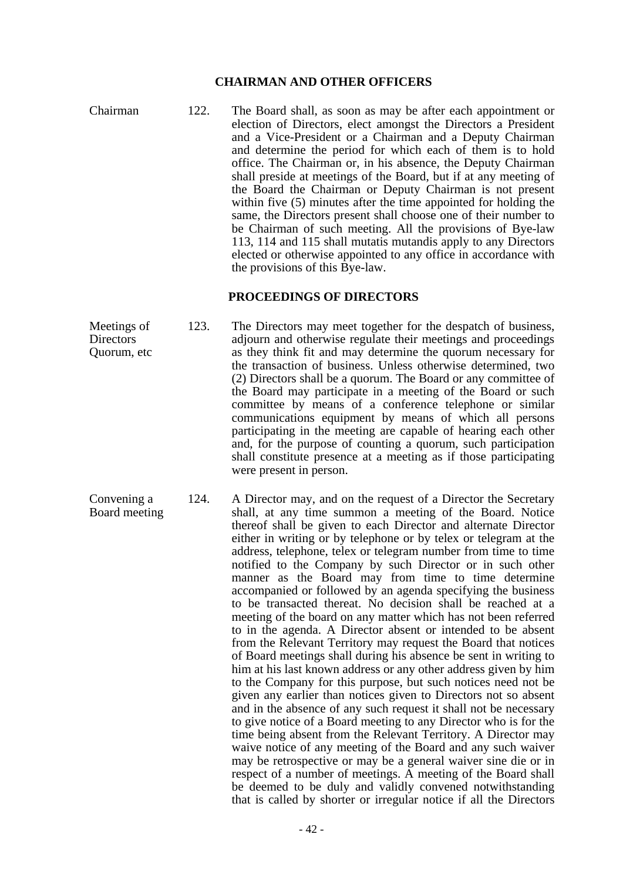# **CHAIRMAN AND OTHER OFFICERS**

Chairman 122. The Board shall, as soon as may be after each appointment or election of Directors, elect amongst the Directors a President and a Vice-President or a Chairman and a Deputy Chairman and determine the period for which each of them is to hold office. The Chairman or, in his absence, the Deputy Chairman shall preside at meetings of the Board, but if at any meeting of the Board the Chairman or Deputy Chairman is not present within five (5) minutes after the time appointed for holding the same, the Directors present shall choose one of their number to be Chairman of such meeting. All the provisions of Bye-law 113, 114 and 115 shall mutatis mutandis apply to any Directors elected or otherwise appointed to any office in accordance with the provisions of this Bye-law.

### **PROCEEDINGS OF DIRECTORS**

Meetings of **Directors** Quorum, etc 123. The Directors may meet together for the despatch of business, adjourn and otherwise regulate their meetings and proceedings as they think fit and may determine the quorum necessary for the transaction of business. Unless otherwise determined, two (2) Directors shall be a quorum. The Board or any committee of the Board may participate in a meeting of the Board or such committee by means of a conference telephone or similar communications equipment by means of which all persons participating in the meeting are capable of hearing each other and, for the purpose of counting a quorum, such participation shall constitute presence at a meeting as if those participating were present in person.

Convening a Board meeting 124. A Director may, and on the request of a Director the Secretary shall, at any time summon a meeting of the Board. Notice thereof shall be given to each Director and alternate Director either in writing or by telephone or by telex or telegram at the address, telephone, telex or telegram number from time to time notified to the Company by such Director or in such other manner as the Board may from time to time determine accompanied or followed by an agenda specifying the business to be transacted thereat. No decision shall be reached at a meeting of the board on any matter which has not been referred to in the agenda. A Director absent or intended to be absent from the Relevant Territory may request the Board that notices of Board meetings shall during his absence be sent in writing to him at his last known address or any other address given by him to the Company for this purpose, but such notices need not be given any earlier than notices given to Directors not so absent and in the absence of any such request it shall not be necessary to give notice of a Board meeting to any Director who is for the time being absent from the Relevant Territory. A Director may waive notice of any meeting of the Board and any such waiver may be retrospective or may be a general waiver sine die or in respect of a number of meetings. A meeting of the Board shall be deemed to be duly and validly convened notwithstanding that is called by shorter or irregular notice if all the Directors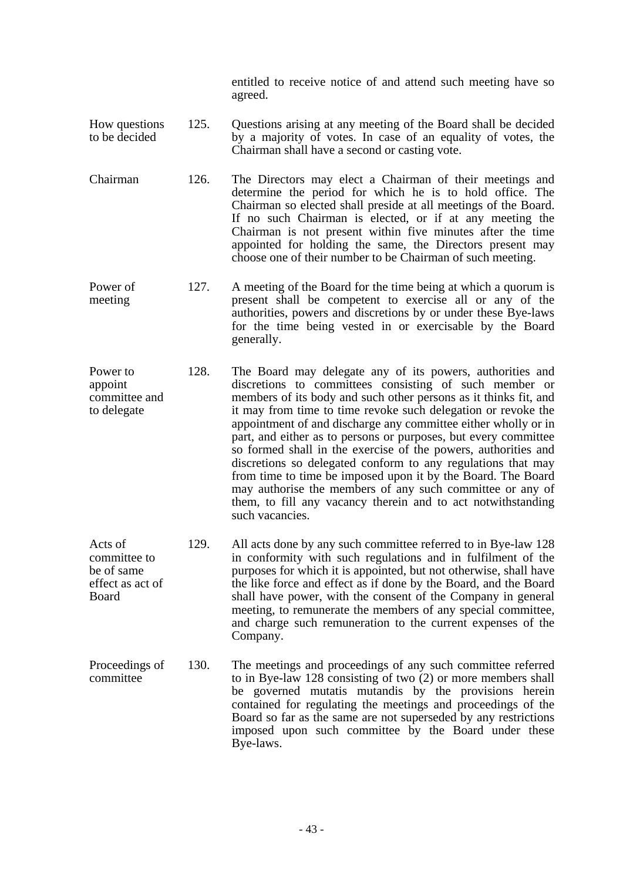entitled to receive notice of and attend such meeting have so agreed.

- How questions to be decided 125. Questions arising at any meeting of the Board shall be decided by a majority of votes. In case of an equality of votes, the Chairman shall have a second or casting vote.
- Chairman 126. The Directors may elect a Chairman of their meetings and determine the period for which he is to hold office. The Chairman so elected shall preside at all meetings of the Board. If no such Chairman is elected, or if at any meeting the Chairman is not present within five minutes after the time appointed for holding the same, the Directors present may choose one of their number to be Chairman of such meeting.
- Power of meeting 127. A meeting of the Board for the time being at which a quorum is present shall be competent to exercise all or any of the authorities, powers and discretions by or under these Bye-laws for the time being vested in or exercisable by the Board generally.
- Power to appoint committee and to delegate 128. The Board may delegate any of its powers, authorities and discretions to committees consisting of such member or members of its body and such other persons as it thinks fit, and it may from time to time revoke such delegation or revoke the appointment of and discharge any committee either wholly or in part, and either as to persons or purposes, but every committee so formed shall in the exercise of the powers, authorities and discretions so delegated conform to any regulations that may from time to time be imposed upon it by the Board. The Board may authorise the members of any such committee or any of them, to fill any vacancy therein and to act notwithstanding such vacancies.
- Acts of committee to be of same effect as act of Board 129. All acts done by any such committee referred to in Bye-law 128 in conformity with such regulations and in fulfilment of the purposes for which it is appointed, but not otherwise, shall have the like force and effect as if done by the Board, and the Board shall have power, with the consent of the Company in general meeting, to remunerate the members of any special committee, and charge such remuneration to the current expenses of the Company.
- Proceedings of committee 130. The meetings and proceedings of any such committee referred to in Bye-law 128 consisting of two (2) or more members shall be governed mutatis mutandis by the provisions herein contained for regulating the meetings and proceedings of the Board so far as the same are not superseded by any restrictions imposed upon such committee by the Board under these Bye-laws.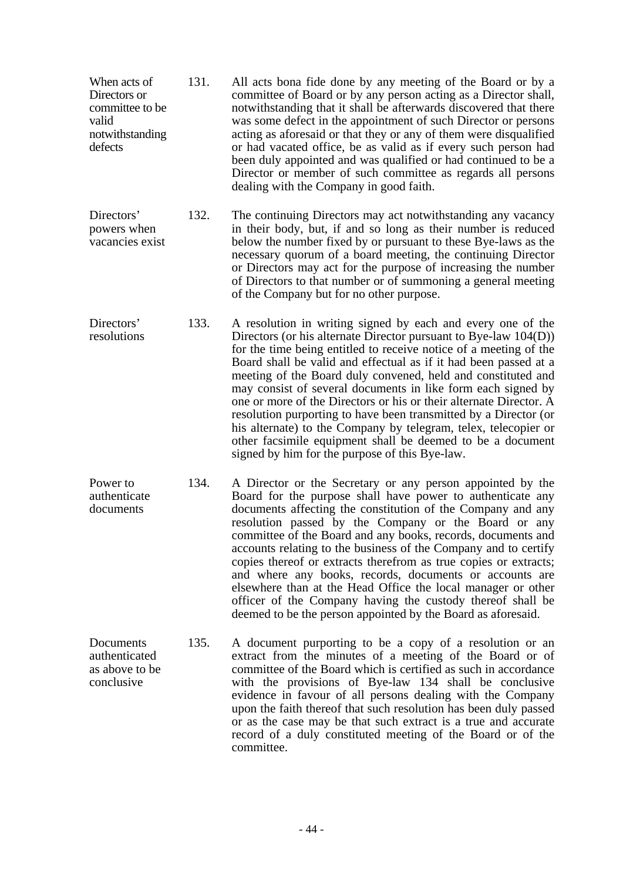| When acts of<br>Directors or<br>committee to be<br>valid<br>notwithstanding<br>defects | 131. | All acts bona fide done by any meeting of the Board or by a<br>committee of Board or by any person acting as a Director shall,<br>notwithstanding that it shall be afterwards discovered that there<br>was some defect in the appointment of such Director or persons<br>acting as aforesaid or that they or any of them were disqualified<br>or had vacated office, be as valid as if every such person had<br>been duly appointed and was qualified or had continued to be a<br>Director or member of such committee as regards all persons<br>dealing with the Company in good faith.                                                                                                                                              |
|----------------------------------------------------------------------------------------|------|---------------------------------------------------------------------------------------------------------------------------------------------------------------------------------------------------------------------------------------------------------------------------------------------------------------------------------------------------------------------------------------------------------------------------------------------------------------------------------------------------------------------------------------------------------------------------------------------------------------------------------------------------------------------------------------------------------------------------------------|
| Directors'<br>powers when<br>vacancies exist                                           | 132. | The continuing Directors may act notwithstanding any vacancy<br>in their body, but, if and so long as their number is reduced<br>below the number fixed by or pursuant to these Bye-laws as the<br>necessary quorum of a board meeting, the continuing Director<br>or Directors may act for the purpose of increasing the number<br>of Directors to that number or of summoning a general meeting<br>of the Company but for no other purpose.                                                                                                                                                                                                                                                                                         |
| Directors'<br>resolutions                                                              | 133. | A resolution in writing signed by each and every one of the<br>Directors (or his alternate Director pursuant to Bye-law 104(D))<br>for the time being entitled to receive notice of a meeting of the<br>Board shall be valid and effectual as if it had been passed at a<br>meeting of the Board duly convened, held and constituted and<br>may consist of several documents in like form each signed by<br>one or more of the Directors or his or their alternate Director. A<br>resolution purporting to have been transmitted by a Director (or<br>his alternate) to the Company by telegram, telex, telecopier or<br>other facsimile equipment shall be deemed to be a document<br>signed by him for the purpose of this Bye-law. |
| Power to<br>authenticate<br>documents                                                  | 134. | A Director or the Secretary or any person appointed by the<br>Board for the purpose shall have power to authenticate any<br>documents affecting the constitution of the Company and any<br>resolution passed by the Company or the Board or any<br>committee of the Board and any books, records, documents and<br>accounts relating to the business of the Company and to certify<br>copies thereof or extracts therefrom as true copies or extracts;<br>and where any books, records, documents or accounts are<br>elsewhere than at the Head Office the local manager or other<br>officer of the Company having the custody thereof shall be<br>deemed to be the person appointed by the Board as aforesaid.                       |
| Documents<br>authenticated<br>as above to be<br>conclusive                             | 135. | A document purporting to be a copy of a resolution or an<br>extract from the minutes of a meeting of the Board or of<br>committee of the Board which is certified as such in accordance<br>with the provisions of Bye-law 134 shall be conclusive<br>evidence in favour of all persons dealing with the Company<br>upon the faith thereof that such resolution has been duly passed<br>or as the case may be that such extract is a true and accurate<br>record of a duly constituted meeting of the Board or of the<br>committee.                                                                                                                                                                                                    |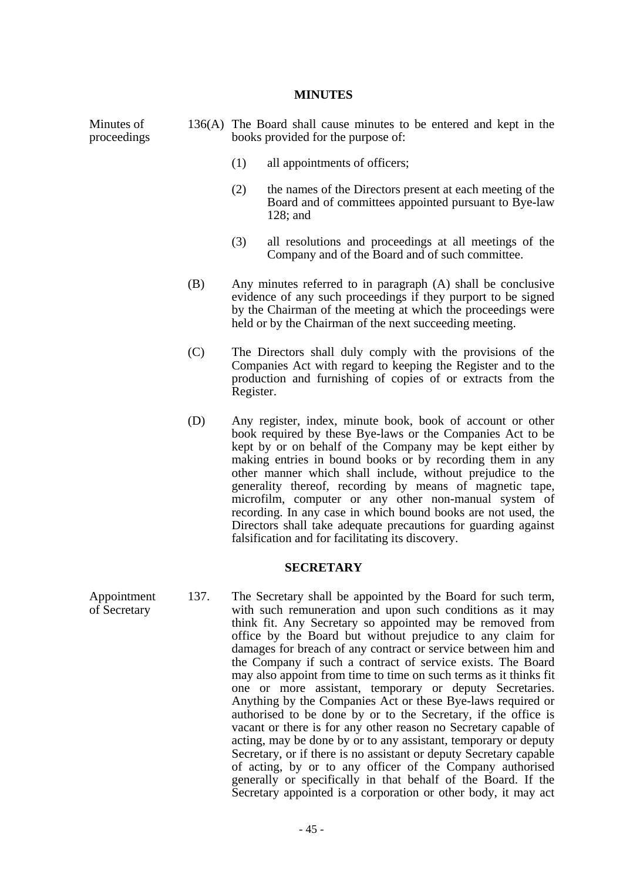#### **MINUTES**

Minutes of proceedings 136(A) The Board shall cause minutes to be entered and kept in the books provided for the purpose of:

- (1) all appointments of officers;
- (2) the names of the Directors present at each meeting of the Board and of committees appointed pursuant to Bye-law 128; and
- (3) all resolutions and proceedings at all meetings of the Company and of the Board and of such committee.
- (B) Any minutes referred to in paragraph (A) shall be conclusive evidence of any such proceedings if they purport to be signed by the Chairman of the meeting at which the proceedings were held or by the Chairman of the next succeeding meeting.
- (C) The Directors shall duly comply with the provisions of the Companies Act with regard to keeping the Register and to the production and furnishing of copies of or extracts from the Register.
- (D) Any register, index, minute book, book of account or other book required by these Bye-laws or the Companies Act to be kept by or on behalf of the Company may be kept either by making entries in bound books or by recording them in any other manner which shall include, without prejudice to the generality thereof, recording by means of magnetic tape, microfilm, computer or any other non-manual system of recording. In any case in which bound books are not used, the Directors shall take adequate precautions for guarding against falsification and for facilitating its discovery.

#### **SECRETARY**

Appointment of Secretary 137. The Secretary shall be appointed by the Board for such term, with such remuneration and upon such conditions as it may think fit. Any Secretary so appointed may be removed from office by the Board but without prejudice to any claim for damages for breach of any contract or service between him and the Company if such a contract of service exists. The Board may also appoint from time to time on such terms as it thinks fit one or more assistant, temporary or deputy Secretaries. Anything by the Companies Act or these Bye-laws required or authorised to be done by or to the Secretary, if the office is vacant or there is for any other reason no Secretary capable of acting, may be done by or to any assistant, temporary or deputy Secretary, or if there is no assistant or deputy Secretary capable of acting, by or to any officer of the Company authorised generally or specifically in that behalf of the Board. If the Secretary appointed is a corporation or other body, it may act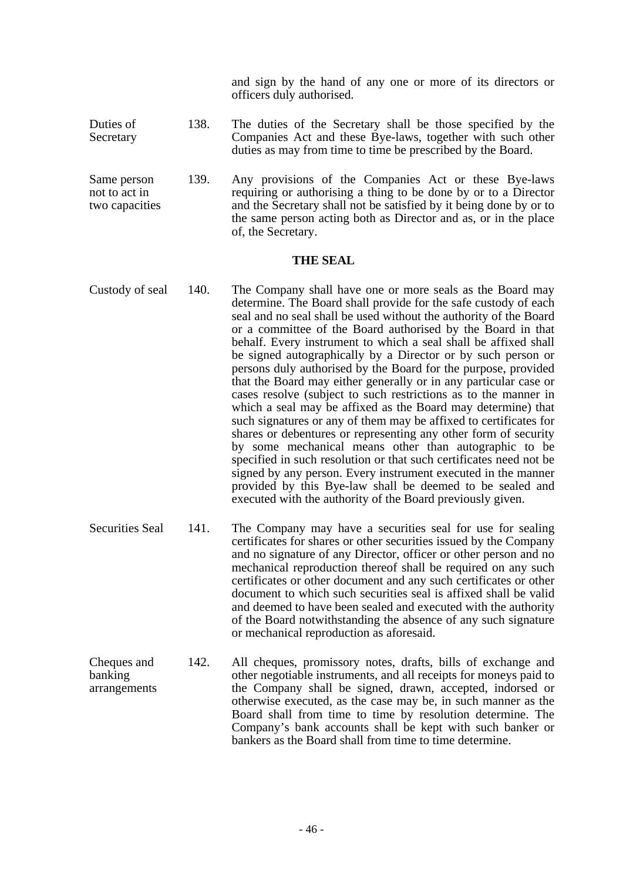and sign by the hand of any one or more of its directors or officers duly authorised.

- Duties of Secretary 138. The duties of the Secretary shall be those specified by the Companies Act and these Bye-laws, together with such other duties as may from time to time be prescribed by the Board.
- Same person not to act in two capacities 139. Any provisions of the Companies Act or these Bye-laws requiring or authorising a thing to be done by or to a Director and the Secretary shall not be satisfied by it being done by or to the same person acting both as Director and as, or in the place of, the Secretary.

### **THE SEAL**

- Custody of seal 140. The Company shall have one or more seals as the Board may determine. The Board shall provide for the safe custody of each seal and no seal shall be used without the authority of the Board or a committee of the Board authorised by the Board in that behalf. Every instrument to which a seal shall be affixed shall be signed autographically by a Director or by such person or persons duly authorised by the Board for the purpose, provided that the Board may either generally or in any particular case or cases resolve (subject to such restrictions as to the manner in which a seal may be affixed as the Board may determine) that such signatures or any of them may be affixed to certificates for shares or debentures or representing any other form of security by some mechanical means other than autographic to be specified in such resolution or that such certificates need not be signed by any person. Every instrument executed in the manner provided by this Bye-law shall be deemed to be sealed and executed with the authority of the Board previously given.
- Securities Seal 141. The Company may have a securities seal for use for sealing certificates for shares or other securities issued by the Company and no signature of any Director, officer or other person and no mechanical reproduction thereof shall be required on any such certificates or other document and any such certificates or other document to which such securities seal is affixed shall be valid and deemed to have been sealed and executed with the authority of the Board notwithstanding the absence of any such signature or mechanical reproduction as aforesaid.
- Cheques and banking arrangements 142. All cheques, promissory notes, drafts, bills of exchange and other negotiable instruments, and all receipts for moneys paid to the Company shall be signed, drawn, accepted, indorsed or otherwise executed, as the case may be, in such manner as the Board shall from time to time by resolution determine. The Company's bank accounts shall be kept with such banker or bankers as the Board shall from time to time determine.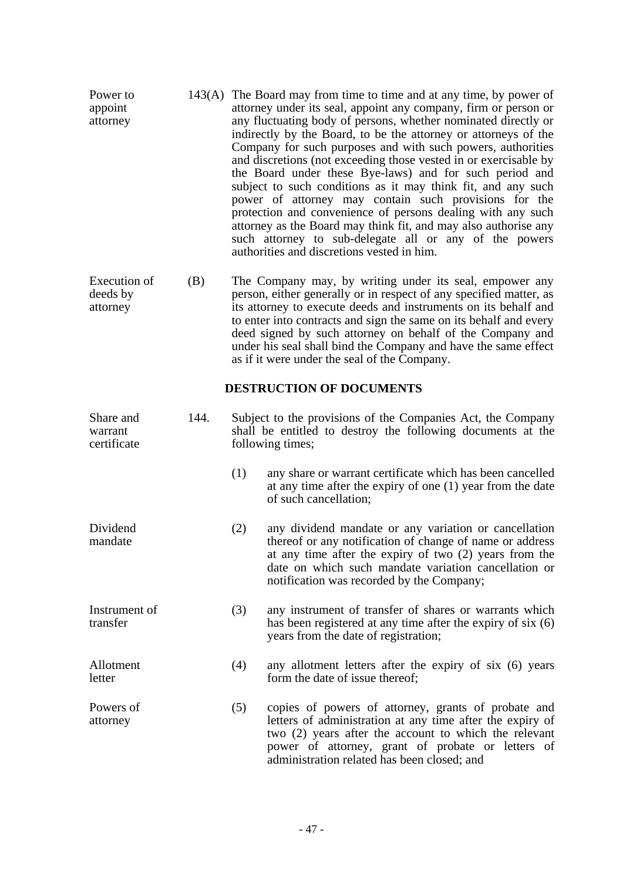| Power to<br>appoint<br>attorney      |      | 143(A) The Board may from time to time and at any time, by power of<br>attorney under its seal, appoint any company, firm or person or<br>any fluctuating body of persons, whether nominated directly or<br>indirectly by the Board, to be the attorney or attorneys of the<br>Company for such purposes and with such powers, authorities<br>and discretions (not exceeding those vested in or exercisable by<br>the Board under these Bye-laws) and for such period and<br>subject to such conditions as it may think fit, and any such<br>power of attorney may contain such provisions for the<br>protection and convenience of persons dealing with any such<br>attorney as the Board may think fit, and may also authorise any<br>such attorney to sub-delegate all or any of the powers<br>authorities and discretions vested in him. |                                                                                                                                                                                                                                                                                    |  |  |
|--------------------------------------|------|----------------------------------------------------------------------------------------------------------------------------------------------------------------------------------------------------------------------------------------------------------------------------------------------------------------------------------------------------------------------------------------------------------------------------------------------------------------------------------------------------------------------------------------------------------------------------------------------------------------------------------------------------------------------------------------------------------------------------------------------------------------------------------------------------------------------------------------------|------------------------------------------------------------------------------------------------------------------------------------------------------------------------------------------------------------------------------------------------------------------------------------|--|--|
| Execution of<br>deeds by<br>attorney | (B)  | The Company may, by writing under its seal, empower any<br>person, either generally or in respect of any specified matter, as<br>its attorney to execute deeds and instruments on its behalf and<br>to enter into contracts and sign the same on its behalf and every<br>deed signed by such attorney on behalf of the Company and<br>under his seal shall bind the Company and have the same effect<br>as if it were under the seal of the Company.                                                                                                                                                                                                                                                                                                                                                                                         |                                                                                                                                                                                                                                                                                    |  |  |
| <b>DESTRUCTION OF DOCUMENTS</b>      |      |                                                                                                                                                                                                                                                                                                                                                                                                                                                                                                                                                                                                                                                                                                                                                                                                                                              |                                                                                                                                                                                                                                                                                    |  |  |
| Share and<br>warrant<br>certificate  | 144. | Subject to the provisions of the Companies Act, the Company<br>shall be entitled to destroy the following documents at the<br>following times;                                                                                                                                                                                                                                                                                                                                                                                                                                                                                                                                                                                                                                                                                               |                                                                                                                                                                                                                                                                                    |  |  |
|                                      |      | (1)                                                                                                                                                                                                                                                                                                                                                                                                                                                                                                                                                                                                                                                                                                                                                                                                                                          | any share or warrant certificate which has been cancelled<br>at any time after the expiry of one $(1)$ year from the date<br>of such cancellation;                                                                                                                                 |  |  |
| Dividend<br>mandate                  |      | (2)                                                                                                                                                                                                                                                                                                                                                                                                                                                                                                                                                                                                                                                                                                                                                                                                                                          | any dividend mandate or any variation or cancellation<br>thereof or any notification of change of name or address<br>at any time after the expiry of two $(2)$ years from the<br>date on which such mandate variation cancellation or<br>notification was recorded by the Company; |  |  |
| Instrument of<br>transfer            |      | (3)                                                                                                                                                                                                                                                                                                                                                                                                                                                                                                                                                                                                                                                                                                                                                                                                                                          | any instrument of transfer of shares or warrants which<br>has been registered at any time after the expiry of six (6)<br>years from the date of registration;                                                                                                                      |  |  |
| Allotment<br>letter                  |      | (4)                                                                                                                                                                                                                                                                                                                                                                                                                                                                                                                                                                                                                                                                                                                                                                                                                                          | any allotment letters after the expiry of six (6) years<br>form the date of issue thereof;                                                                                                                                                                                         |  |  |
| Powers of<br>attorney                |      | (5)                                                                                                                                                                                                                                                                                                                                                                                                                                                                                                                                                                                                                                                                                                                                                                                                                                          | copies of powers of attorney, grants of probate and<br>letters of administration at any time after the expiry of<br>two (2) years after the account to which the relevant<br>power of attorney, grant of probate or letters of<br>administration related has been closed; and      |  |  |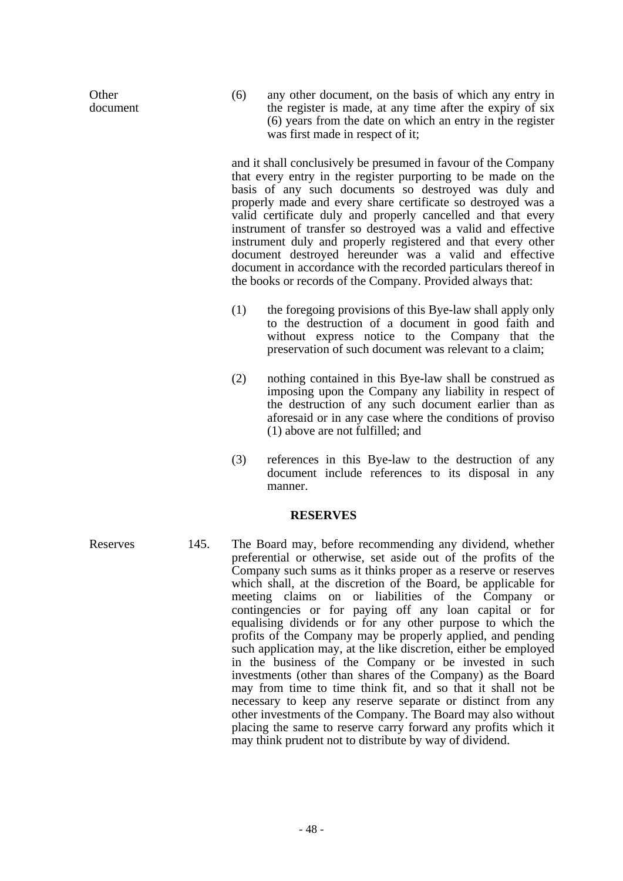**Other** document (6) any other document, on the basis of which any entry in the register is made, at any time after the expiry of six (6) years from the date on which an entry in the register was first made in respect of it;

 and it shall conclusively be presumed in favour of the Company that every entry in the register purporting to be made on the basis of any such documents so destroyed was duly and properly made and every share certificate so destroyed was a valid certificate duly and properly cancelled and that every instrument of transfer so destroyed was a valid and effective instrument duly and properly registered and that every other document destroyed hereunder was a valid and effective document in accordance with the recorded particulars thereof in the books or records of the Company. Provided always that:

- (1) the foregoing provisions of this Bye-law shall apply only to the destruction of a document in good faith and without express notice to the Company that the preservation of such document was relevant to a claim;
- (2) nothing contained in this Bye-law shall be construed as imposing upon the Company any liability in respect of the destruction of any such document earlier than as aforesaid or in any case where the conditions of proviso (1) above are not fulfilled; and
- (3) references in this Bye-law to the destruction of any document include references to its disposal in any manner.

# **RESERVES**

Reserves 145. The Board may, before recommending any dividend, whether preferential or otherwise, set aside out of the profits of the Company such sums as it thinks proper as a reserve or reserves which shall, at the discretion of the Board, be applicable for meeting claims on or liabilities of the Company or contingencies or for paying off any loan capital or for equalising dividends or for any other purpose to which the profits of the Company may be properly applied, and pending such application may, at the like discretion, either be employed in the business of the Company or be invested in such investments (other than shares of the Company) as the Board may from time to time think fit, and so that it shall not be necessary to keep any reserve separate or distinct from any other investments of the Company. The Board may also without placing the same to reserve carry forward any profits which it may think prudent not to distribute by way of dividend.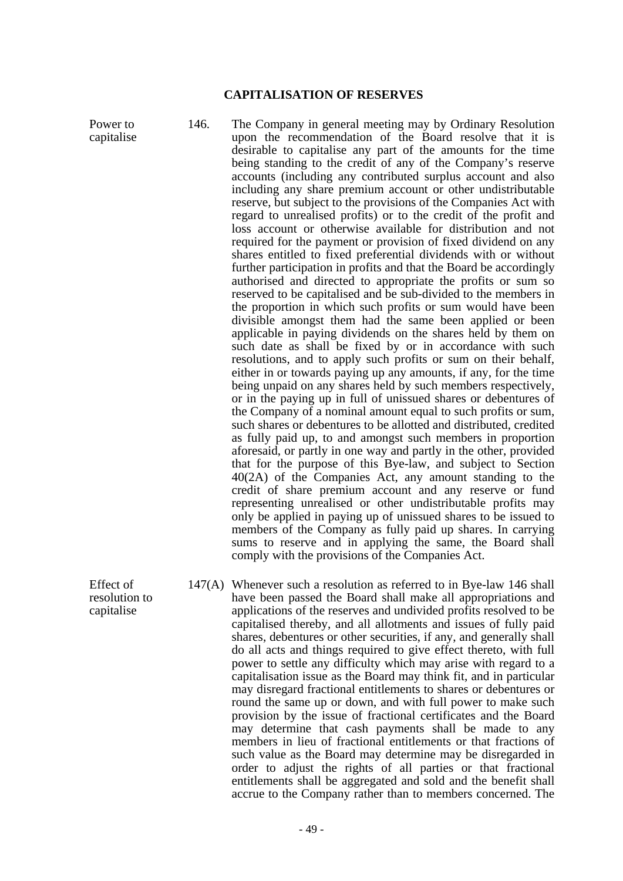#### **CAPITALISATION OF RESERVES**

- Power to capitalise 146. The Company in general meeting may by Ordinary Resolution upon the recommendation of the Board resolve that it is desirable to capitalise any part of the amounts for the time being standing to the credit of any of the Company's reserve accounts (including any contributed surplus account and also including any share premium account or other undistributable reserve, but subject to the provisions of the Companies Act with regard to unrealised profits) or to the credit of the profit and loss account or otherwise available for distribution and not required for the payment or provision of fixed dividend on any shares entitled to fixed preferential dividends with or without further participation in profits and that the Board be accordingly authorised and directed to appropriate the profits or sum so reserved to be capitalised and be sub-divided to the members in the proportion in which such profits or sum would have been divisible amongst them had the same been applied or been applicable in paying dividends on the shares held by them on such date as shall be fixed by or in accordance with such resolutions, and to apply such profits or sum on their behalf, either in or towards paying up any amounts, if any, for the time being unpaid on any shares held by such members respectively, or in the paying up in full of unissued shares or debentures of the Company of a nominal amount equal to such profits or sum, such shares or debentures to be allotted and distributed, credited as fully paid up, to and amongst such members in proportion aforesaid, or partly in one way and partly in the other, provided that for the purpose of this Bye-law, and subject to Section 40(2A) of the Companies Act, any amount standing to the credit of share premium account and any reserve or fund representing unrealised or other undistributable profits may only be applied in paying up of unissued shares to be issued to members of the Company as fully paid up shares. In carrying sums to reserve and in applying the same, the Board shall comply with the provisions of the Companies Act. Effect of
	- 147(A) Whenever such a resolution as referred to in Bye-law 146 shall have been passed the Board shall make all appropriations and applications of the reserves and undivided profits resolved to be capitalised thereby, and all allotments and issues of fully paid shares, debentures or other securities, if any, and generally shall do all acts and things required to give effect thereto, with full power to settle any difficulty which may arise with regard to a capitalisation issue as the Board may think fit, and in particular may disregard fractional entitlements to shares or debentures or round the same up or down, and with full power to make such provision by the issue of fractional certificates and the Board may determine that cash payments shall be made to any members in lieu of fractional entitlements or that fractions of such value as the Board may determine may be disregarded in order to adjust the rights of all parties or that fractional entitlements shall be aggregated and sold and the benefit shall accrue to the Company rather than to members concerned. The

- 49 -

resolution to capitalise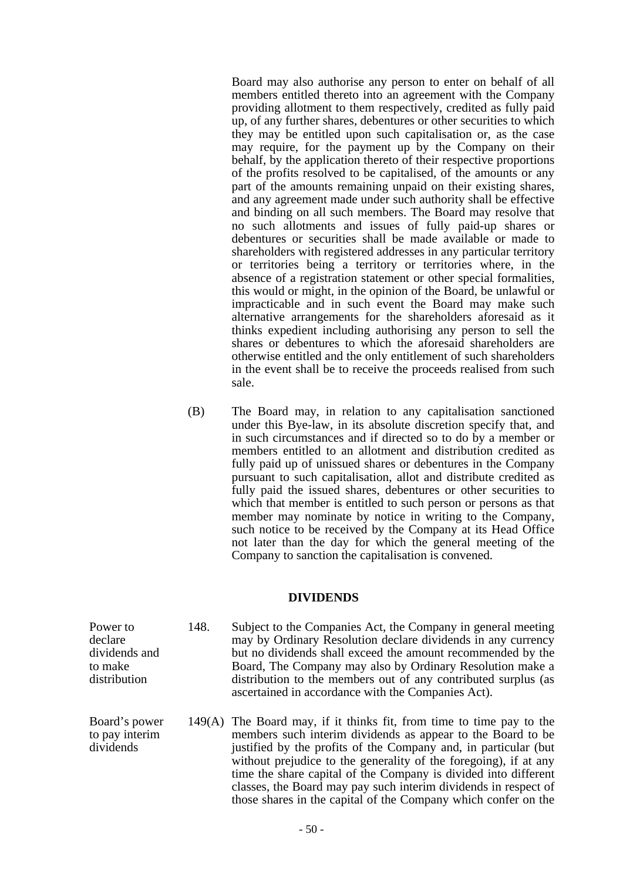Board may also authorise any person to enter on behalf of all members entitled thereto into an agreement with the Company providing allotment to them respectively, credited as fully paid up, of any further shares, debentures or other securities to which they may be entitled upon such capitalisation or, as the case may require, for the payment up by the Company on their behalf, by the application thereto of their respective proportions of the profits resolved to be capitalised, of the amounts or any part of the amounts remaining unpaid on their existing shares, and any agreement made under such authority shall be effective and binding on all such members. The Board may resolve that no such allotments and issues of fully paid-up shares or debentures or securities shall be made available or made to shareholders with registered addresses in any particular territory or territories being a territory or territories where, in the absence of a registration statement or other special formalities, this would or might, in the opinion of the Board, be unlawful or impracticable and in such event the Board may make such alternative arrangements for the shareholders aforesaid as it thinks expedient including authorising any person to sell the shares or debentures to which the aforesaid shareholders are otherwise entitled and the only entitlement of such shareholders in the event shall be to receive the proceeds realised from such sale.

 (B) The Board may, in relation to any capitalisation sanctioned under this Bye-law, in its absolute discretion specify that, and in such circumstances and if directed so to do by a member or members entitled to an allotment and distribution credited as fully paid up of unissued shares or debentures in the Company pursuant to such capitalisation, allot and distribute credited as fully paid the issued shares, debentures or other securities to which that member is entitled to such person or persons as that member may nominate by notice in writing to the Company, such notice to be received by the Company at its Head Office not later than the day for which the general meeting of the Company to sanction the capitalisation is convened.

# **DIVIDENDS**

- 148. Subject to the Companies Act, the Company in general meeting may by Ordinary Resolution declare dividends in any currency but no dividends shall exceed the amount recommended by the Board, The Company may also by Ordinary Resolution make a distribution to the members out of any contributed surplus (as ascertained in accordance with the Companies Act).
	- 149(A) The Board may, if it thinks fit, from time to time pay to the members such interim dividends as appear to the Board to be justified by the profits of the Company and, in particular (but without prejudice to the generality of the foregoing), if at any time the share capital of the Company is divided into different classes, the Board may pay such interim dividends in respect of those shares in the capital of the Company which confer on the

Power to declare dividends and to make distribution

Board's power to pay interim dividends

- 50 -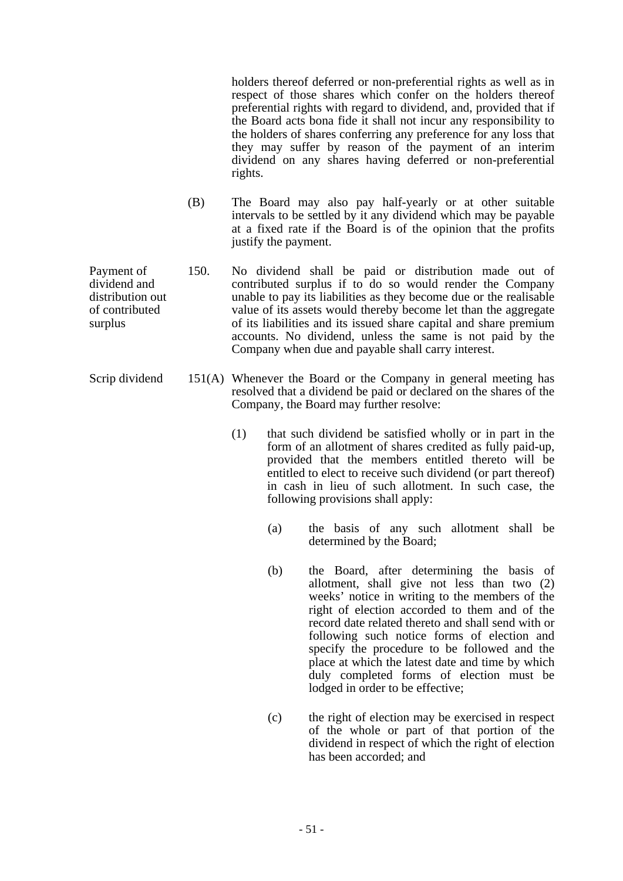holders thereof deferred or non-preferential rights as well as in respect of those shares which confer on the holders thereof preferential rights with regard to dividend, and, provided that if the Board acts bona fide it shall not incur any responsibility to the holders of shares conferring any preference for any loss that they may suffer by reason of the payment of an interim dividend on any shares having deferred or non-preferential rights.

- (B) The Board may also pay half-yearly or at other suitable intervals to be settled by it any dividend which may be payable at a fixed rate if the Board is of the opinion that the profits justify the payment.
- 150. No dividend shall be paid or distribution made out of contributed surplus if to do so would render the Company unable to pay its liabilities as they become due or the realisable value of its assets would thereby become let than the aggregate of its liabilities and its issued share capital and share premium accounts. No dividend, unless the same is not paid by the Company when due and payable shall carry interest.
- Scrip dividend 151(A) Whenever the Board or the Company in general meeting has resolved that a dividend be paid or declared on the shares of the Company, the Board may further resolve:
	- (1) that such dividend be satisfied wholly or in part in the form of an allotment of shares credited as fully paid-up, provided that the members entitled thereto will be entitled to elect to receive such dividend (or part thereof) in cash in lieu of such allotment. In such case, the following provisions shall apply:
		- (a) the basis of any such allotment shall be determined by the Board;
		- (b) the Board, after determining the basis of allotment, shall give not less than two (2) weeks' notice in writing to the members of the right of election accorded to them and of the record date related thereto and shall send with or following such notice forms of election and specify the procedure to be followed and the place at which the latest date and time by which duly completed forms of election must be lodged in order to be effective;
		- (c) the right of election may be exercised in respect of the whole or part of that portion of the dividend in respect of which the right of election has been accorded; and

Payment of dividend and distribution out of contributed surplus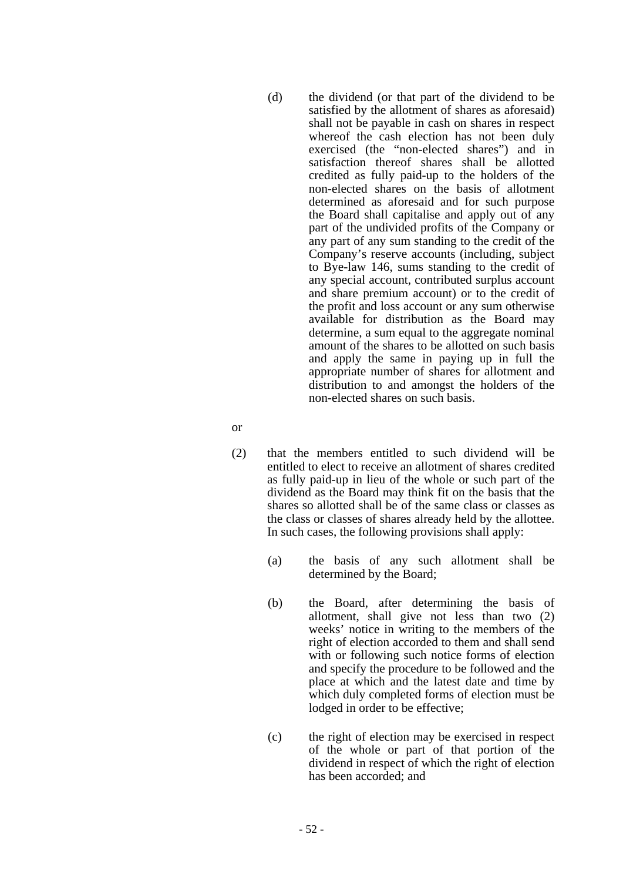- (d) the dividend (or that part of the dividend to be satisfied by the allotment of shares as aforesaid) shall not be payable in cash on shares in respect whereof the cash election has not been duly exercised (the "non-elected shares") and in satisfaction thereof shares shall be allotted credited as fully paid-up to the holders of the non-elected shares on the basis of allotment determined as aforesaid and for such purpose the Board shall capitalise and apply out of any part of the undivided profits of the Company or any part of any sum standing to the credit of the Company's reserve accounts (including, subject to Bye-law 146, sums standing to the credit of any special account, contributed surplus account and share premium account) or to the credit of the profit and loss account or any sum otherwise available for distribution as the Board may determine, a sum equal to the aggregate nominal amount of the shares to be allotted on such basis and apply the same in paying up in full the appropriate number of shares for allotment and distribution to and amongst the holders of the non-elected shares on such basis.
- or
	- (2) that the members entitled to such dividend will be entitled to elect to receive an allotment of shares credited as fully paid-up in lieu of the whole or such part of the dividend as the Board may think fit on the basis that the shares so allotted shall be of the same class or classes as the class or classes of shares already held by the allottee. In such cases, the following provisions shall apply:
		- (a) the basis of any such allotment shall be determined by the Board;
		- (b) the Board, after determining the basis of allotment, shall give not less than two (2) weeks' notice in writing to the members of the right of election accorded to them and shall send with or following such notice forms of election and specify the procedure to be followed and the place at which and the latest date and time by which duly completed forms of election must be lodged in order to be effective;
		- (c) the right of election may be exercised in respect of the whole or part of that portion of the dividend in respect of which the right of election has been accorded; and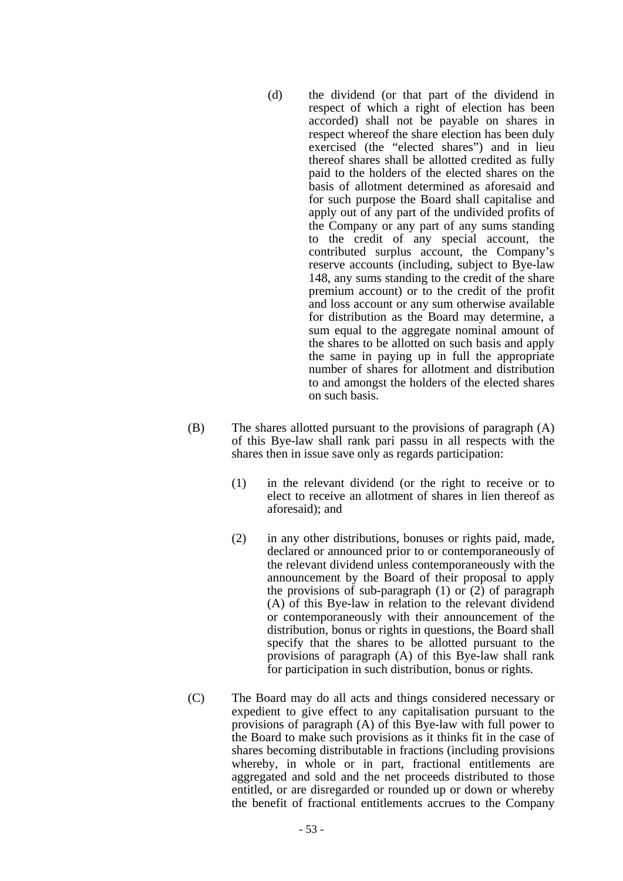- (d) the dividend (or that part of the dividend in respect of which a right of election has been accorded) shall not be payable on shares in respect whereof the share election has been duly exercised (the "elected shares") and in lieu thereof shares shall be allotted credited as fully paid to the holders of the elected shares on the basis of allotment determined as aforesaid and for such purpose the Board shall capitalise and apply out of any part of the undivided profits of the Company or any part of any sums standing to the credit of any special account, the contributed surplus account, the Company's reserve accounts (including, subject to Bye-law 148, any sums standing to the credit of the share premium account) or to the credit of the profit and loss account or any sum otherwise available for distribution as the Board may determine, a sum equal to the aggregate nominal amount of the shares to be allotted on such basis and apply the same in paying up in full the appropriate number of shares for allotment and distribution to and amongst the holders of the elected shares on such basis.
- (B) The shares allotted pursuant to the provisions of paragraph (A) of this Bye-law shall rank pari passu in all respects with the shares then in issue save only as regards participation:
	- (1) in the relevant dividend (or the right to receive or to elect to receive an allotment of shares in lien thereof as aforesaid); and
	- (2) in any other distributions, bonuses or rights paid, made, declared or announced prior to or contemporaneously of the relevant dividend unless contemporaneously with the announcement by the Board of their proposal to apply the provisions of sub-paragraph  $(1)$  or  $(2)$  of paragraph (A) of this Bye-law in relation to the relevant dividend or contemporaneously with their announcement of the distribution, bonus or rights in questions, the Board shall specify that the shares to be allotted pursuant to the provisions of paragraph (A) of this Bye-law shall rank for participation in such distribution, bonus or rights.
- (C) The Board may do all acts and things considered necessary or expedient to give effect to any capitalisation pursuant to the provisions of paragraph (A) of this Bye-law with full power to the Board to make such provisions as it thinks fit in the case of shares becoming distributable in fractions (including provisions whereby, in whole or in part, fractional entitlements are aggregated and sold and the net proceeds distributed to those entitled, or are disregarded or rounded up or down or whereby the benefit of fractional entitlements accrues to the Company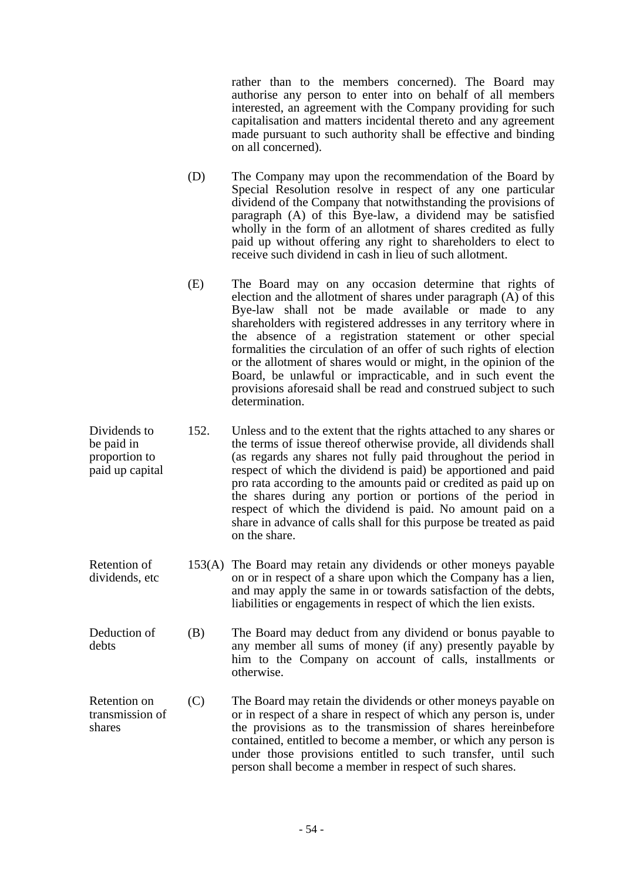rather than to the members concerned). The Board may authorise any person to enter into on behalf of all members interested, an agreement with the Company providing for such capitalisation and matters incidental thereto and any agreement made pursuant to such authority shall be effective and binding on all concerned).

- (D) The Company may upon the recommendation of the Board by Special Resolution resolve in respect of any one particular dividend of the Company that notwithstanding the provisions of paragraph (A) of this Bye-law, a dividend may be satisfied wholly in the form of an allotment of shares credited as fully paid up without offering any right to shareholders to elect to receive such dividend in cash in lieu of such allotment.
- (E) The Board may on any occasion determine that rights of election and the allotment of shares under paragraph (A) of this Bye-law shall not be made available or made to any shareholders with registered addresses in any territory where in the absence of a registration statement or other special formalities the circulation of an offer of such rights of election or the allotment of shares would or might, in the opinion of the Board, be unlawful or impracticable, and in such event the provisions aforesaid shall be read and construed subject to such determination.
- Dividends to be paid in proportion to paid up capital 152. Unless and to the extent that the rights attached to any shares or the terms of issue thereof otherwise provide, all dividends shall (as regards any shares not fully paid throughout the period in respect of which the dividend is paid) be apportioned and paid pro rata according to the amounts paid or credited as paid up on the shares during any portion or portions of the period in respect of which the dividend is paid. No amount paid on a share in advance of calls shall for this purpose be treated as paid on the share.
- Retention of dividends, etc 153(A) The Board may retain any dividends or other moneys payable on or in respect of a share upon which the Company has a lien, and may apply the same in or towards satisfaction of the debts, liabilities or engagements in respect of which the lien exists.
- Deduction of debts (B) The Board may deduct from any dividend or bonus payable to any member all sums of money (if any) presently payable by him to the Company on account of calls, installments or otherwise.
- Retention on transmission of shares (C) The Board may retain the dividends or other moneys payable on or in respect of a share in respect of which any person is, under the provisions as to the transmission of shares hereinbefore contained, entitled to become a member, or which any person is under those provisions entitled to such transfer, until such person shall become a member in respect of such shares.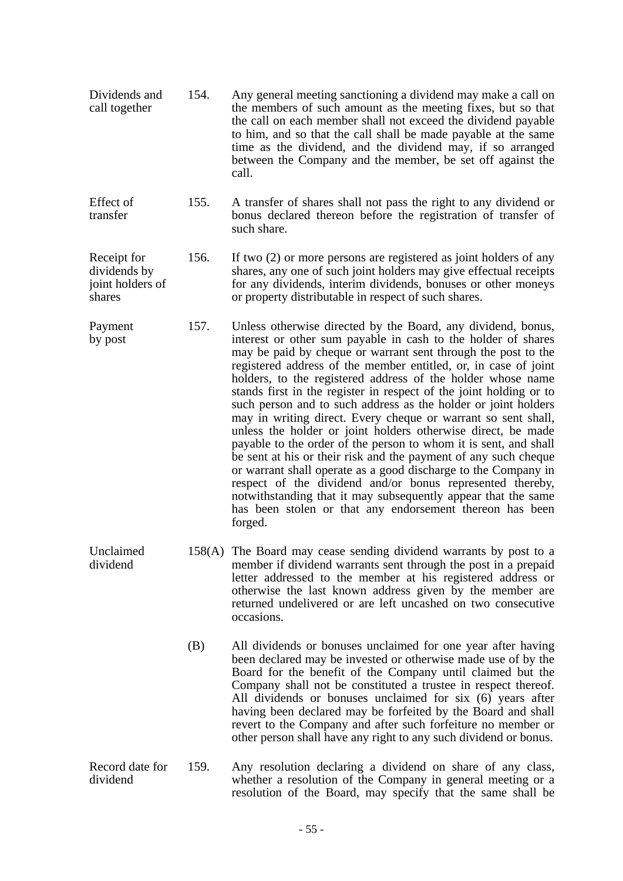- Dividends and call together 154. Any general meeting sanctioning a dividend may make a call on the members of such amount as the meeting fixes, but so that the call on each member shall not exceed the dividend payable to him, and so that the call shall be made payable at the same time as the dividend, and the dividend may, if so arranged between the Company and the member, be set off against the call.
- Effect of transfer 155. A transfer of shares shall not pass the right to any dividend or bonus declared thereon before the registration of transfer of such share.
- Receipt for dividends by joint holders of shares 156. If two (2) or more persons are registered as joint holders of any shares, any one of such joint holders may give effectual receipts for any dividends, interim dividends, bonuses or other moneys or property distributable in respect of such shares.
- Payment by post 157. Unless otherwise directed by the Board, any dividend, bonus, interest or other sum payable in cash to the holder of shares may be paid by cheque or warrant sent through the post to the registered address of the member entitled, or, in case of joint holders, to the registered address of the holder whose name stands first in the register in respect of the joint holding or to such person and to such address as the holder or joint holders may in writing direct. Every cheque or warrant so sent shall, unless the holder or joint holders otherwise direct, be made payable to the order of the person to whom it is sent, and shall be sent at his or their risk and the payment of any such cheque or warrant shall operate as a good discharge to the Company in respect of the dividend and/or bonus represented thereby, notwithstanding that it may subsequently appear that the same has been stolen or that any endorsement thereon has been forged.
- Unclaimed dividend 158(A) The Board may cease sending dividend warrants by post to a member if dividend warrants sent through the post in a prepaid letter addressed to the member at his registered address or otherwise the last known address given by the member are returned undelivered or are left uncashed on two consecutive occasions.
	- (B) All dividends or bonuses unclaimed for one year after having been declared may be invested or otherwise made use of by the Board for the benefit of the Company until claimed but the Company shall not be constituted a trustee in respect thereof. All dividends or bonuses unclaimed for six (6) years after having been declared may be forfeited by the Board and shall revert to the Company and after such forfeiture no member or other person shall have any right to any such dividend or bonus.
- Record date for dividend 159. Any resolution declaring a dividend on share of any class, whether a resolution of the Company in general meeting or a resolution of the Board, may specify that the same shall be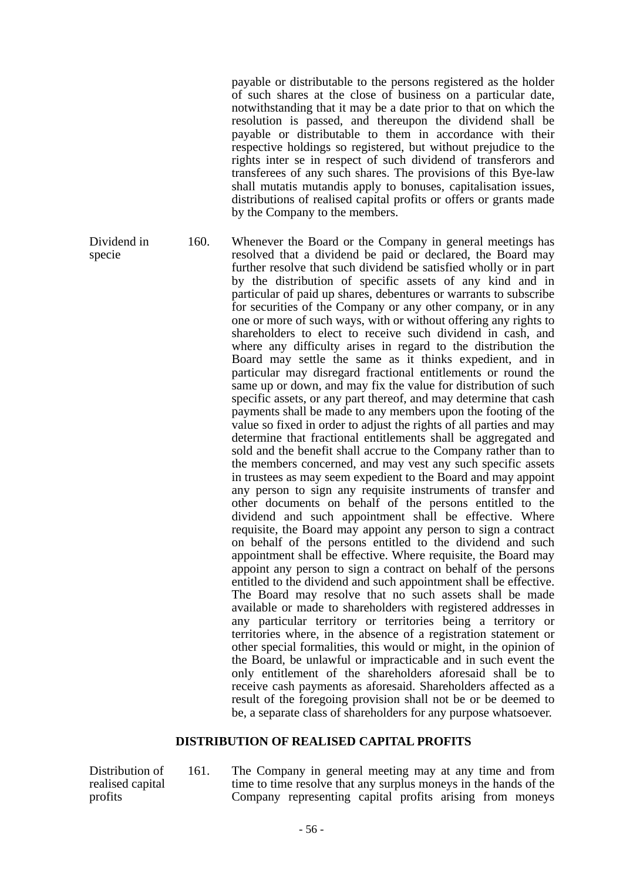payable or distributable to the persons registered as the holder of such shares at the close of business on a particular date, notwithstanding that it may be a date prior to that on which the resolution is passed, and thereupon the dividend shall be payable or distributable to them in accordance with their respective holdings so registered, but without prejudice to the rights inter se in respect of such dividend of transferors and transferees of any such shares. The provisions of this Bye-law shall mutatis mutandis apply to bonuses, capitalisation issues, distributions of realised capital profits or offers or grants made by the Company to the members.

Dividend in specie 160. Whenever the Board or the Company in general meetings has resolved that a dividend be paid or declared, the Board may further resolve that such dividend be satisfied wholly or in part by the distribution of specific assets of any kind and in particular of paid up shares, debentures or warrants to subscribe for securities of the Company or any other company, or in any one or more of such ways, with or without offering any rights to shareholders to elect to receive such dividend in cash, and where any difficulty arises in regard to the distribution the Board may settle the same as it thinks expedient, and in particular may disregard fractional entitlements or round the same up or down, and may fix the value for distribution of such specific assets, or any part thereof, and may determine that cash payments shall be made to any members upon the footing of the value so fixed in order to adjust the rights of all parties and may determine that fractional entitlements shall be aggregated and sold and the benefit shall accrue to the Company rather than to the members concerned, and may vest any such specific assets in trustees as may seem expedient to the Board and may appoint any person to sign any requisite instruments of transfer and other documents on behalf of the persons entitled to the dividend and such appointment shall be effective. Where requisite, the Board may appoint any person to sign a contract on behalf of the persons entitled to the dividend and such appointment shall be effective. Where requisite, the Board may appoint any person to sign a contract on behalf of the persons entitled to the dividend and such appointment shall be effective. The Board may resolve that no such assets shall be made available or made to shareholders with registered addresses in any particular territory or territories being a territory or territories where, in the absence of a registration statement or other special formalities, this would or might, in the opinion of the Board, be unlawful or impracticable and in such event the only entitlement of the shareholders aforesaid shall be to receive cash payments as aforesaid. Shareholders affected as a result of the foregoing provision shall not be or be deemed to be, a separate class of shareholders for any purpose whatsoever.

# **DISTRIBUTION OF REALISED CAPITAL PROFITS**

Distribution of realised capital profits

161. The Company in general meeting may at any time and from time to time resolve that any surplus moneys in the hands of the Company representing capital profits arising from moneys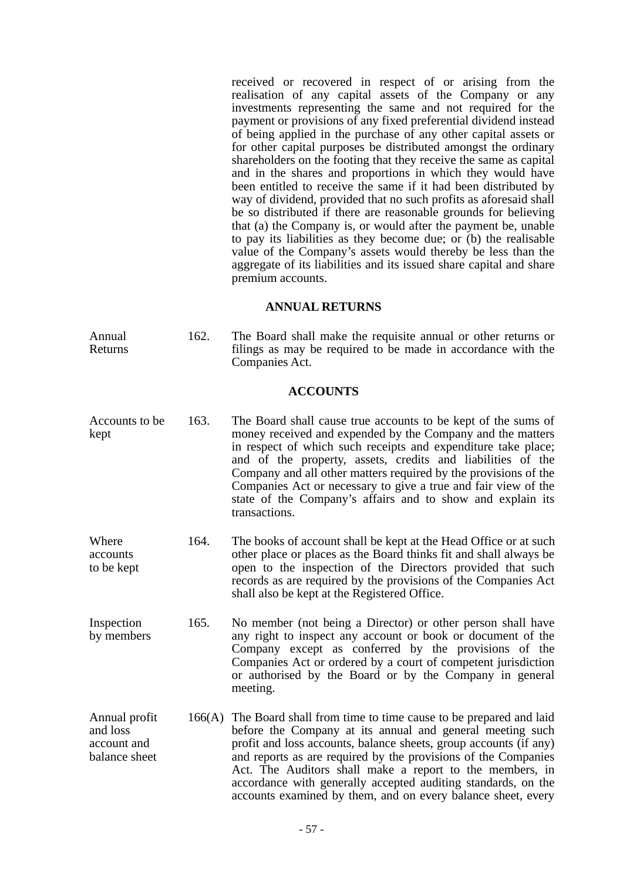received or recovered in respect of or arising from the realisation of any capital assets of the Company or any investments representing the same and not required for the payment or provisions of any fixed preferential dividend instead of being applied in the purchase of any other capital assets or for other capital purposes be distributed amongst the ordinary shareholders on the footing that they receive the same as capital and in the shares and proportions in which they would have been entitled to receive the same if it had been distributed by way of dividend, provided that no such profits as aforesaid shall be so distributed if there are reasonable grounds for believing that (a) the Company is, or would after the payment be, unable to pay its liabilities as they become due; or (b) the realisable value of the Company's assets would thereby be less than the aggregate of its liabilities and its issued share capital and share premium accounts.

# **ANNUAL RETURNS**

Annual Returns 162. The Board shall make the requisite annual or other returns or filings as may be required to be made in accordance with the Companies Act.

### **ACCOUNTS**

- Accounts to be kept 163. The Board shall cause true accounts to be kept of the sums of money received and expended by the Company and the matters in respect of which such receipts and expenditure take place; and of the property, assets, credits and liabilities of the Company and all other matters required by the provisions of the Companies Act or necessary to give a true and fair view of the state of the Company's affairs and to show and explain its transactions.
- Where accounts to be kept 164. The books of account shall be kept at the Head Office or at such other place or places as the Board thinks fit and shall always be open to the inspection of the Directors provided that such records as are required by the provisions of the Companies Act shall also be kept at the Registered Office.
- Inspection by members 165. No member (not being a Director) or other person shall have any right to inspect any account or book or document of the Company except as conferred by the provisions of the Companies Act or ordered by a court of competent jurisdiction or authorised by the Board or by the Company in general meeting.
- Annual profit and loss account and balance sheet 166(A) The Board shall from time to time cause to be prepared and laid before the Company at its annual and general meeting such profit and loss accounts, balance sheets, group accounts (if any) and reports as are required by the provisions of the Companies Act. The Auditors shall make a report to the members, in accordance with generally accepted auditing standards, on the accounts examined by them, and on every balance sheet, every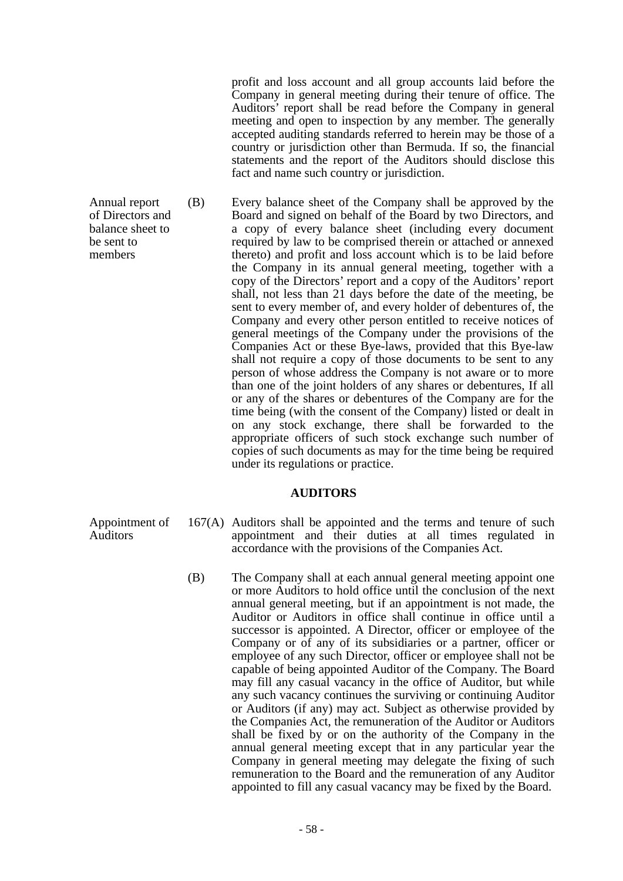profit and loss account and all group accounts laid before the Company in general meeting during their tenure of office. The Auditors' report shall be read before the Company in general meeting and open to inspection by any member. The generally accepted auditing standards referred to herein may be those of a country or jurisdiction other than Bermuda. If so, the financial statements and the report of the Auditors should disclose this fact and name such country or jurisdiction.

Annual report (B) Every balance sheet of the Company shall be approved by the Board and signed on behalf of the Board by two Directors, and a copy of every balance sheet (including every document required by law to be comprised therein or attached or annexed thereto) and profit and loss account which is to be laid before the Company in its annual general meeting, together with a copy of the Directors' report and a copy of the Auditors' report shall, not less than 21 days before the date of the meeting, be sent to every member of, and every holder of debentures of, the Company and every other person entitled to receive notices of general meetings of the Company under the provisions of the Companies Act or these Bye-laws, provided that this Bye-law shall not require a copy of those documents to be sent to any person of whose address the Company is not aware or to more than one of the joint holders of any shares or debentures, If all or any of the shares or debentures of the Company are for the time being (with the consent of the Company) listed or dealt in on any stock exchange, there shall be forwarded to the appropriate officers of such stock exchange such number of copies of such documents as may for the time being be required under its regulations or practice.

# **AUDITORS**

- Appointment of 167(A) Auditors shall be appointed and the terms and tenure of such appointment and their duties at all times regulated in accordance with the provisions of the Companies Act.
	- (B) The Company shall at each annual general meeting appoint one or more Auditors to hold office until the conclusion of the next annual general meeting, but if an appointment is not made, the Auditor or Auditors in office shall continue in office until a successor is appointed. A Director, officer or employee of the Company or of any of its subsidiaries or a partner, officer or employee of any such Director, officer or employee shall not be capable of being appointed Auditor of the Company. The Board may fill any casual vacancy in the office of Auditor, but while any such vacancy continues the surviving or continuing Auditor or Auditors (if any) may act. Subject as otherwise provided by the Companies Act, the remuneration of the Auditor or Auditors shall be fixed by or on the authority of the Company in the annual general meeting except that in any particular year the Company in general meeting may delegate the fixing of such remuneration to the Board and the remuneration of any Auditor appointed to fill any casual vacancy may be fixed by the Board.

of Directors and balance sheet to be sent to members

Auditors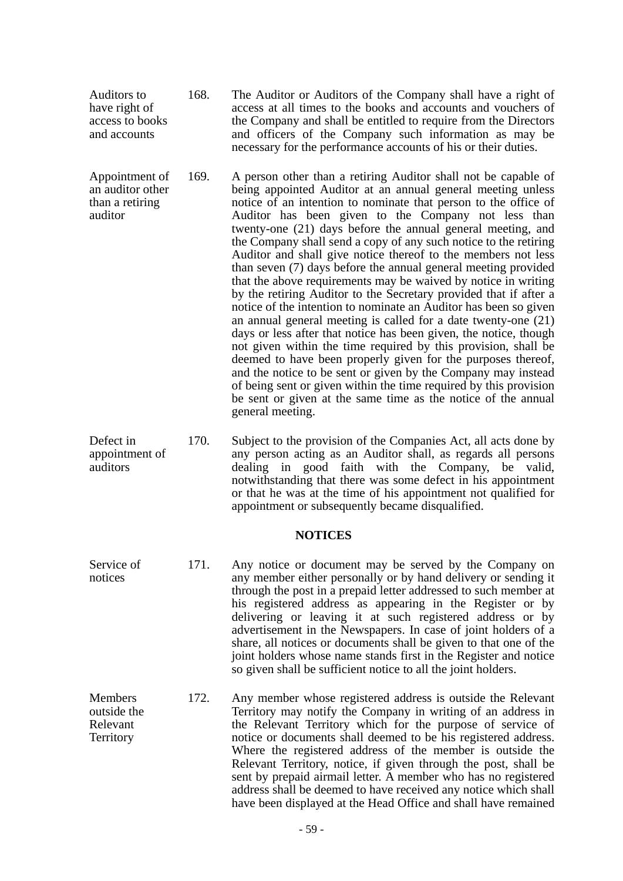- Auditors to have right of access to books and accounts 168. The Auditor or Auditors of the Company shall have a right of access at all times to the books and accounts and vouchers of the Company and shall be entitled to require from the Directors and officers of the Company such information as may be necessary for the performance accounts of his or their duties.
- Appointment of an auditor other than a retiring auditor 169. A person other than a retiring Auditor shall not be capable of being appointed Auditor at an annual general meeting unless notice of an intention to nominate that person to the office of Auditor has been given to the Company not less than twenty-one (21) days before the annual general meeting, and the Company shall send a copy of any such notice to the retiring Auditor and shall give notice thereof to the members not less than seven (7) days before the annual general meeting provided that the above requirements may be waived by notice in writing by the retiring Auditor to the Secretary provided that if after a notice of the intention to nominate an Auditor has been so given an annual general meeting is called for a date twenty-one (21) days or less after that notice has been given, the notice, though not given within the time required by this provision, shall be deemed to have been properly given for the purposes thereof, and the notice to be sent or given by the Company may instead of being sent or given within the time required by this provision be sent or given at the same time as the notice of the annual general meeting.
- Defect in appointment of auditors 170. Subject to the provision of the Companies Act, all acts done by any person acting as an Auditor shall, as regards all persons dealing in good faith with the Company, be valid, notwithstanding that there was some defect in his appointment or that he was at the time of his appointment not qualified for appointment or subsequently became disqualified.

# **NOTICES**

- Service of notices 171. Any notice or document may be served by the Company on any member either personally or by hand delivery or sending it through the post in a prepaid letter addressed to such member at his registered address as appearing in the Register or by delivering or leaving it at such registered address or by advertisement in the Newspapers. In case of joint holders of a share, all notices or documents shall be given to that one of the joint holders whose name stands first in the Register and notice so given shall be sufficient notice to all the joint holders.
- **Members** outside the Relevant **Territory** 172. Any member whose registered address is outside the Relevant Territory may notify the Company in writing of an address in the Relevant Territory which for the purpose of service of notice or documents shall deemed to be his registered address. Where the registered address of the member is outside the Relevant Territory, notice, if given through the post, shall be sent by prepaid airmail letter. A member who has no registered address shall be deemed to have received any notice which shall have been displayed at the Head Office and shall have remained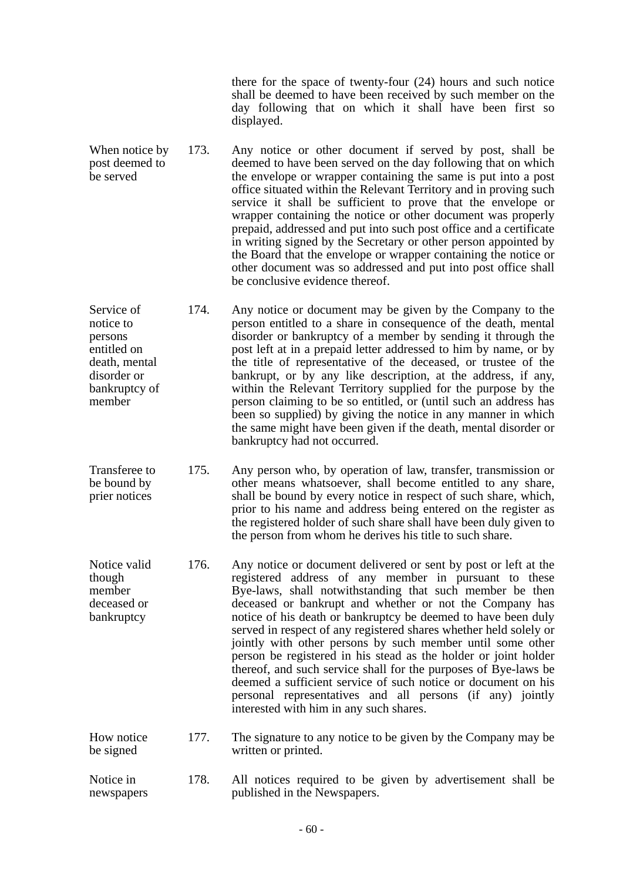there for the space of twenty-four (24) hours and such notice shall be deemed to have been received by such member on the day following that on which it shall have been first so displayed.

- When notice by post deemed to be served 173. Any notice or other document if served by post, shall be deemed to have been served on the day following that on which the envelope or wrapper containing the same is put into a post office situated within the Relevant Territory and in proving such service it shall be sufficient to prove that the envelope or wrapper containing the notice or other document was properly prepaid, addressed and put into such post office and a certificate in writing signed by the Secretary or other person appointed by the Board that the envelope or wrapper containing the notice or other document was so addressed and put into post office shall be conclusive evidence thereof.
- Service of notice to persons entitled on death, mental disorder or bankruptcy of member 174. Any notice or document may be given by the Company to the person entitled to a share in consequence of the death, mental disorder or bankruptcy of a member by sending it through the post left at in a prepaid letter addressed to him by name, or by the title of representative of the deceased, or trustee of the bankrupt, or by any like description, at the address, if any, within the Relevant Territory supplied for the purpose by the person claiming to be so entitled, or (until such an address has been so supplied) by giving the notice in any manner in which the same might have been given if the death, mental disorder or bankruptcy had not occurred.
- Transferee to be bound by prier notices 175. Any person who, by operation of law, transfer, transmission or other means whatsoever, shall become entitled to any share, shall be bound by every notice in respect of such share, which, prior to his name and address being entered on the register as the registered holder of such share shall have been duly given to the person from whom he derives his title to such share.
- Notice valid though member deceased or bankruptcy 176. Any notice or document delivered or sent by post or left at the registered address of any member in pursuant to these Bye-laws, shall notwithstanding that such member be then deceased or bankrupt and whether or not the Company has notice of his death or bankruptcy be deemed to have been duly served in respect of any registered shares whether held solely or jointly with other persons by such member until some other person be registered in his stead as the holder or joint holder thereof, and such service shall for the purposes of Bye-laws be deemed a sufficient service of such notice or document on his personal representatives and all persons (if any) jointly interested with him in any such shares.
- How notice be signed 177. The signature to any notice to be given by the Company may be written or printed.
- Notice in newspapers 178. All notices required to be given by advertisement shall be published in the Newspapers.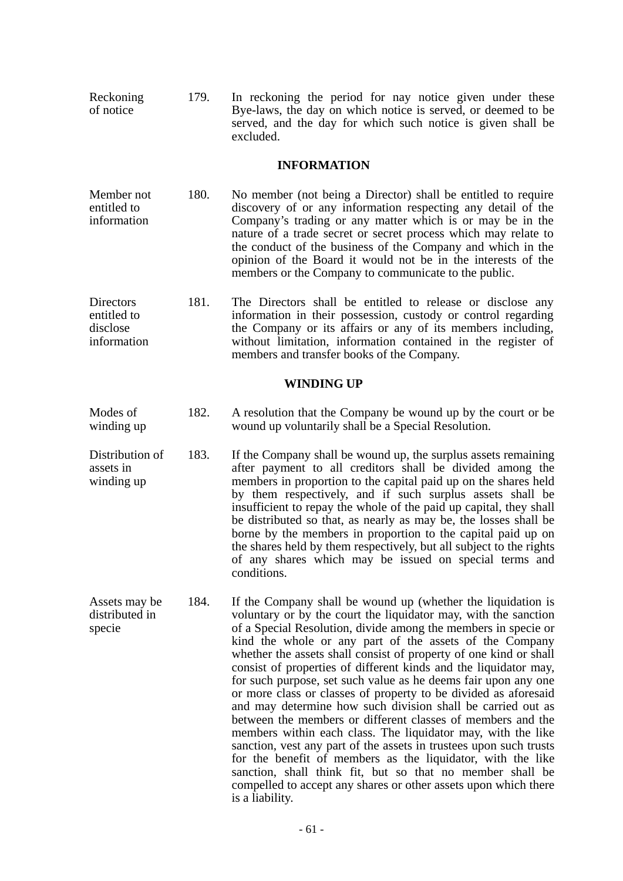Reckoning of notice 179. In reckoning the period for nay notice given under these Bye-laws, the day on which notice is served, or deemed to be served, and the day for which such notice is given shall be excluded.

# **INFORMATION**

- Member not entitled to information 180. No member (not being a Director) shall be entitled to require discovery of or any information respecting any detail of the Company's trading or any matter which is or may be in the nature of a trade secret or secret process which may relate to the conduct of the business of the Company and which in the opinion of the Board it would not be in the interests of the members or the Company to communicate to the public.
- Directors entitled to disclose information 181. The Directors shall be entitled to release or disclose any information in their possession, custody or control regarding the Company or its affairs or any of its members including, without limitation, information contained in the register of members and transfer books of the Company.

### **WINDING UP**

- Modes of winding up 182. A resolution that the Company be wound up by the court or be wound up voluntarily shall be a Special Resolution.
- Distribution of assets in winding up 183. If the Company shall be wound up, the surplus assets remaining after payment to all creditors shall be divided among the members in proportion to the capital paid up on the shares held by them respectively, and if such surplus assets shall be insufficient to repay the whole of the paid up capital, they shall be distributed so that, as nearly as may be, the losses shall be borne by the members in proportion to the capital paid up on the shares held by them respectively, but all subject to the rights of any shares which may be issued on special terms and conditions.
- Assets may be distributed in specie 184. If the Company shall be wound up (whether the liquidation is voluntary or by the court the liquidator may, with the sanction of a Special Resolution, divide among the members in specie or kind the whole or any part of the assets of the Company whether the assets shall consist of property of one kind or shall consist of properties of different kinds and the liquidator may, for such purpose, set such value as he deems fair upon any one or more class or classes of property to be divided as aforesaid and may determine how such division shall be carried out as between the members or different classes of members and the members within each class. The liquidator may, with the like sanction, vest any part of the assets in trustees upon such trusts for the benefit of members as the liquidator, with the like sanction, shall think fit, but so that no member shall be compelled to accept any shares or other assets upon which there is a liability.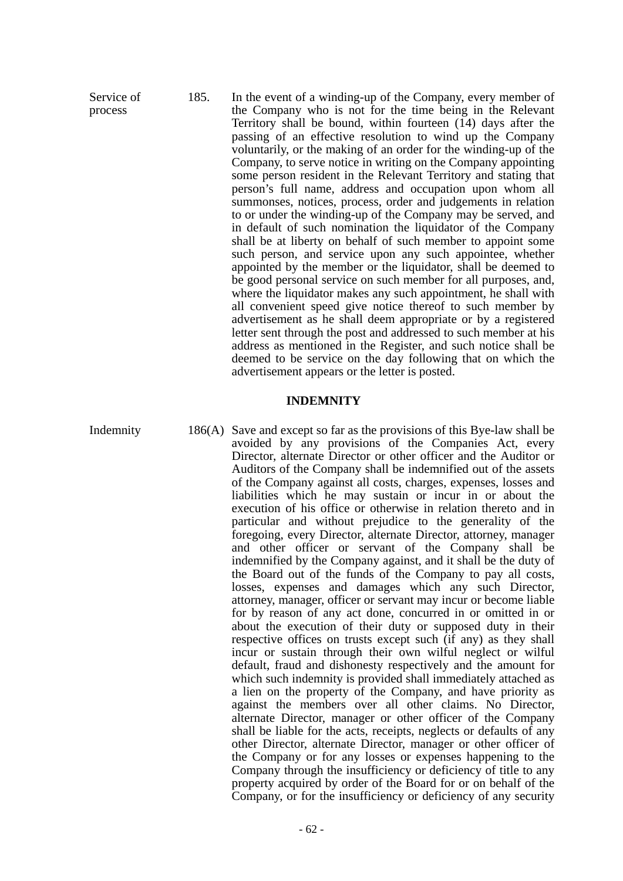Service of process 185. In the event of a winding-up of the Company, every member of the Company who is not for the time being in the Relevant Territory shall be bound, within fourteen (14) days after the passing of an effective resolution to wind up the Company voluntarily, or the making of an order for the winding-up of the Company, to serve notice in writing on the Company appointing some person resident in the Relevant Territory and stating that person's full name, address and occupation upon whom all summonses, notices, process, order and judgements in relation to or under the winding-up of the Company may be served, and in default of such nomination the liquidator of the Company shall be at liberty on behalf of such member to appoint some such person, and service upon any such appointee, whether appointed by the member or the liquidator, shall be deemed to be good personal service on such member for all purposes, and, where the liquidator makes any such appointment, he shall with all convenient speed give notice thereof to such member by advertisement as he shall deem appropriate or by a registered letter sent through the post and addressed to such member at his address as mentioned in the Register, and such notice shall be deemed to be service on the day following that on which the advertisement appears or the letter is posted.

#### **INDEMNITY**

Indemnity 186(A) Save and except so far as the provisions of this Bye-law shall be avoided by any provisions of the Companies Act, every Director, alternate Director or other officer and the Auditor or Auditors of the Company shall be indemnified out of the assets of the Company against all costs, charges, expenses, losses and liabilities which he may sustain or incur in or about the execution of his office or otherwise in relation thereto and in particular and without prejudice to the generality of the foregoing, every Director, alternate Director, attorney, manager and other officer or servant of the Company shall be indemnified by the Company against, and it shall be the duty of the Board out of the funds of the Company to pay all costs, losses, expenses and damages which any such Director, attorney, manager, officer or servant may incur or become liable for by reason of any act done, concurred in or omitted in or about the execution of their duty or supposed duty in their respective offices on trusts except such (if any) as they shall incur or sustain through their own wilful neglect or wilful default, fraud and dishonesty respectively and the amount for which such indemnity is provided shall immediately attached as a lien on the property of the Company, and have priority as against the members over all other claims. No Director, alternate Director, manager or other officer of the Company shall be liable for the acts, receipts, neglects or defaults of any other Director, alternate Director, manager or other officer of the Company or for any losses or expenses happening to the Company through the insufficiency or deficiency of title to any property acquired by order of the Board for or on behalf of the Company, or for the insufficiency or deficiency of any security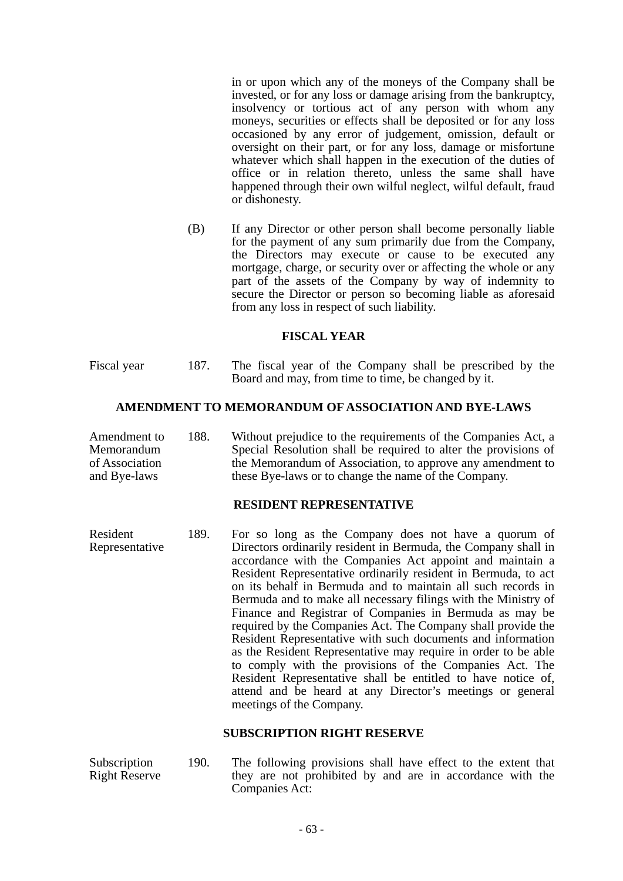in or upon which any of the moneys of the Company shall be invested, or for any loss or damage arising from the bankruptcy, insolvency or tortious act of any person with whom any moneys, securities or effects shall be deposited or for any loss occasioned by any error of judgement, omission, default or oversight on their part, or for any loss, damage or misfortune whatever which shall happen in the execution of the duties of office or in relation thereto, unless the same shall have happened through their own wilful neglect, wilful default, fraud or dishonesty.

(B) If any Director or other person shall become personally liable for the payment of any sum primarily due from the Company, the Directors may execute or cause to be executed any mortgage, charge, or security over or affecting the whole or any part of the assets of the Company by way of indemnity to secure the Director or person so becoming liable as aforesaid from any loss in respect of such liability.

## **FISCAL YEAR**

Fiscal year 187. The fiscal year of the Company shall be prescribed by the Board and may, from time to time, be changed by it.

## **AMENDMENT TO MEMORANDUM OF ASSOCIATION AND BYE-LAWS**

Amendment to Memorandum of Association and Bye-laws 188. Without prejudice to the requirements of the Companies Act, a Special Resolution shall be required to alter the provisions of the Memorandum of Association, to approve any amendment to these Bye-laws or to change the name of the Company.

# **RESIDENT REPRESENTATIVE**

Resident Representative 189. For so long as the Company does not have a quorum of Directors ordinarily resident in Bermuda, the Company shall in accordance with the Companies Act appoint and maintain a Resident Representative ordinarily resident in Bermuda, to act on its behalf in Bermuda and to maintain all such records in Bermuda and to make all necessary filings with the Ministry of Finance and Registrar of Companies in Bermuda as may be required by the Companies Act. The Company shall provide the Resident Representative with such documents and information as the Resident Representative may require in order to be able to comply with the provisions of the Companies Act. The Resident Representative shall be entitled to have notice of, attend and be heard at any Director's meetings or general meetings of the Company.

#### **SUBSCRIPTION RIGHT RESERVE**

Subscription Right Reserve 190. The following provisions shall have effect to the extent that they are not prohibited by and are in accordance with the Companies Act: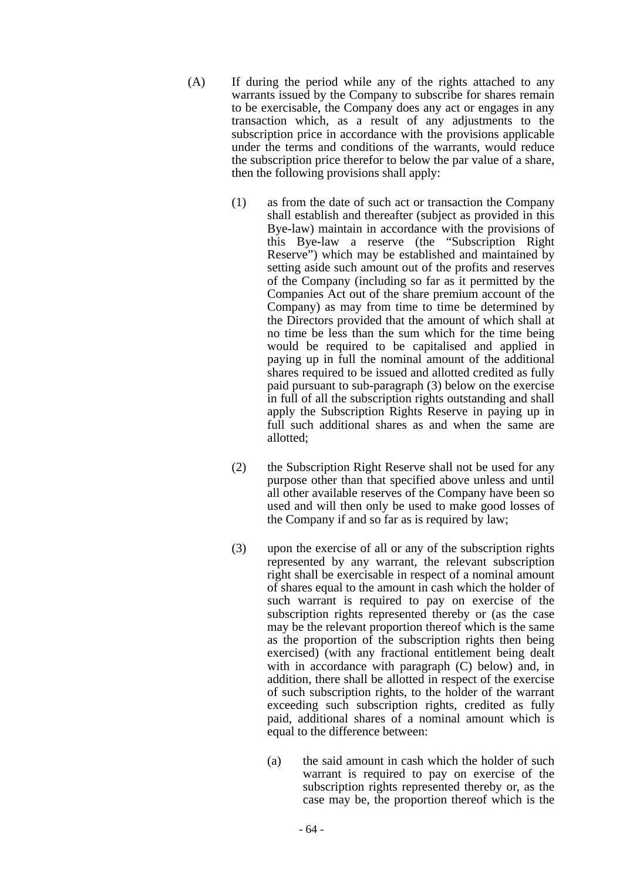- (A) If during the period while any of the rights attached to any warrants issued by the Company to subscribe for shares remain to be exercisable, the Company does any act or engages in any transaction which, as a result of any adjustments to the subscription price in accordance with the provisions applicable under the terms and conditions of the warrants, would reduce the subscription price therefor to below the par value of a share, then the following provisions shall apply:
	- (1) as from the date of such act or transaction the Company shall establish and thereafter (subject as provided in this Bye-law) maintain in accordance with the provisions of this Bye-law a reserve (the "Subscription Right Reserve") which may be established and maintained by setting aside such amount out of the profits and reserves of the Company (including so far as it permitted by the Companies Act out of the share premium account of the Company) as may from time to time be determined by the Directors provided that the amount of which shall at no time be less than the sum which for the time being would be required to be capitalised and applied in paying up in full the nominal amount of the additional shares required to be issued and allotted credited as fully paid pursuant to sub-paragraph (3) below on the exercise in full of all the subscription rights outstanding and shall apply the Subscription Rights Reserve in paying up in full such additional shares as and when the same are allotted;
	- (2) the Subscription Right Reserve shall not be used for any purpose other than that specified above unless and until all other available reserves of the Company have been so used and will then only be used to make good losses of the Company if and so far as is required by law;
	- (3) upon the exercise of all or any of the subscription rights represented by any warrant, the relevant subscription right shall be exercisable in respect of a nominal amount of shares equal to the amount in cash which the holder of such warrant is required to pay on exercise of the subscription rights represented thereby or (as the case may be the relevant proportion thereof which is the same as the proportion of the subscription rights then being exercised) (with any fractional entitlement being dealt with in accordance with paragraph (C) below) and, in addition, there shall be allotted in respect of the exercise of such subscription rights, to the holder of the warrant exceeding such subscription rights, credited as fully paid, additional shares of a nominal amount which is equal to the difference between:
		- (a) the said amount in cash which the holder of such warrant is required to pay on exercise of the subscription rights represented thereby or, as the case may be, the proportion thereof which is the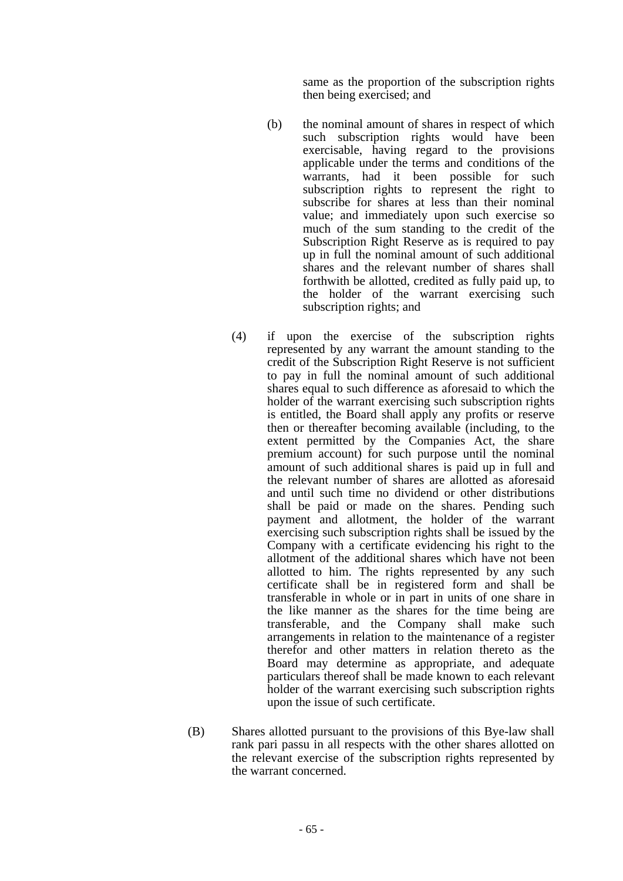same as the proportion of the subscription rights then being exercised; and

- (b) the nominal amount of shares in respect of which such subscription rights would have been exercisable, having regard to the provisions applicable under the terms and conditions of the warrants, had it been possible for such subscription rights to represent the right to subscribe for shares at less than their nominal value; and immediately upon such exercise so much of the sum standing to the credit of the Subscription Right Reserve as is required to pay up in full the nominal amount of such additional shares and the relevant number of shares shall forthwith be allotted, credited as fully paid up, to the holder of the warrant exercising such subscription rights; and
- (4) if upon the exercise of the subscription rights represented by any warrant the amount standing to the credit of the Subscription Right Reserve is not sufficient to pay in full the nominal amount of such additional shares equal to such difference as aforesaid to which the holder of the warrant exercising such subscription rights is entitled, the Board shall apply any profits or reserve then or thereafter becoming available (including, to the extent permitted by the Companies Act, the share premium account) for such purpose until the nominal amount of such additional shares is paid up in full and the relevant number of shares are allotted as aforesaid and until such time no dividend or other distributions shall be paid or made on the shares. Pending such payment and allotment, the holder of the warrant exercising such subscription rights shall be issued by the Company with a certificate evidencing his right to the allotment of the additional shares which have not been allotted to him. The rights represented by any such certificate shall be in registered form and shall be transferable in whole or in part in units of one share in the like manner as the shares for the time being are transferable, and the Company shall make such arrangements in relation to the maintenance of a register therefor and other matters in relation thereto as the Board may determine as appropriate, and adequate particulars thereof shall be made known to each relevant holder of the warrant exercising such subscription rights upon the issue of such certificate.
- (B) Shares allotted pursuant to the provisions of this Bye-law shall rank pari passu in all respects with the other shares allotted on the relevant exercise of the subscription rights represented by the warrant concerned.